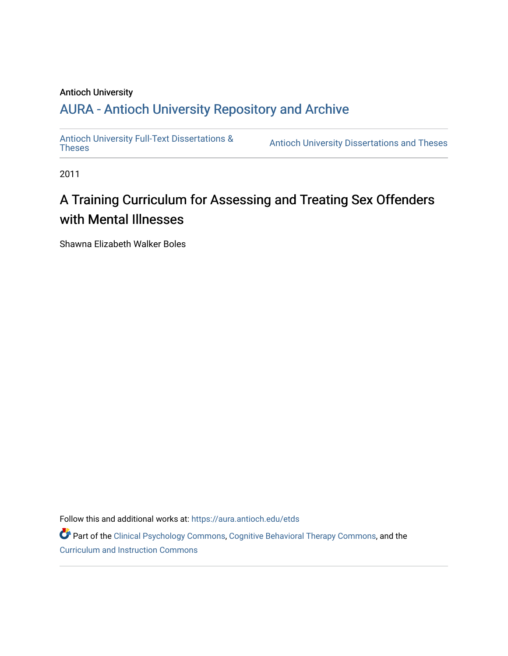# Antioch University

# A[URA - Antioch University Reposit](https://aura.antioch.edu/)ory and Archive

[Antioch University Full-Text Dissertations &](https://aura.antioch.edu/etds) Antioch University Dissertations and Theses

2011

# A Training Curriculum for Assessing and Treating Sex Offenders with Mental Illnesses

Shawna Elizabeth Walker Boles

Follow this and additional works at: [https://aura.antioch.edu/etds](https://aura.antioch.edu/etds?utm_source=aura.antioch.edu%2Fetds%2F853&utm_medium=PDF&utm_campaign=PDFCoverPages)

Part of the [Clinical Psychology Commons,](https://network.bepress.com/hgg/discipline/406?utm_source=aura.antioch.edu%2Fetds%2F853&utm_medium=PDF&utm_campaign=PDFCoverPages) [Cognitive Behavioral Therapy Commons](https://network.bepress.com/hgg/discipline/1078?utm_source=aura.antioch.edu%2Fetds%2F853&utm_medium=PDF&utm_campaign=PDFCoverPages), and the [Curriculum and Instruction Commons](https://network.bepress.com/hgg/discipline/786?utm_source=aura.antioch.edu%2Fetds%2F853&utm_medium=PDF&utm_campaign=PDFCoverPages)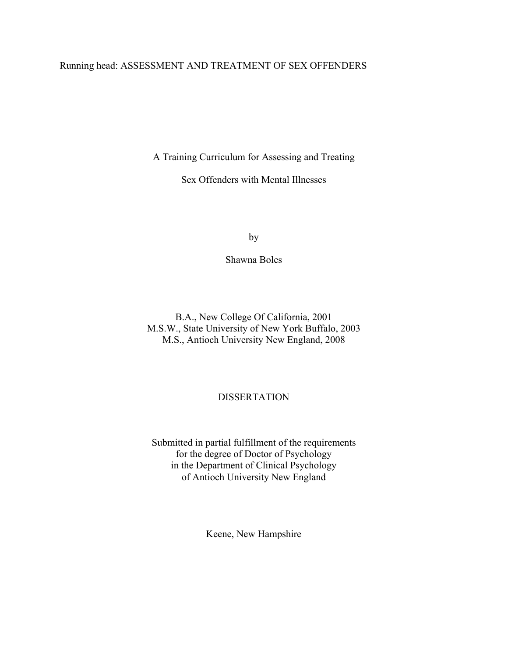# Running head: ASSESSMENT AND TREATMENT OF SEX OFFENDERS

A Training Curriculum for Assessing and Treating

Sex Offenders with Mental Illnesses

by

Shawna Boles

B.A., New College Of California, 2001 M.S.W., State University of New York Buffalo, 2003 M.S., Antioch University New England, 2008

# DISSERTATION

Submitted in partial fulfillment of the requirements for the degree of Doctor of Psychology in the Department of Clinical Psychology of Antioch University New England

Keene, New Hampshire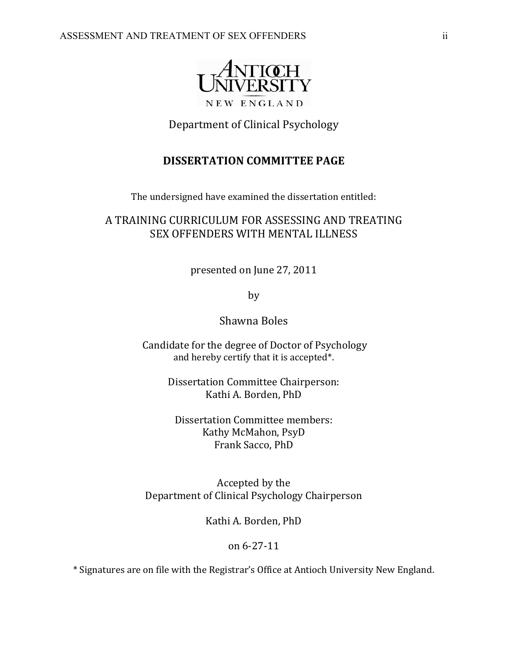

# Department of Clinical Psychology

# **DISSERTATION COMMITTEE PAGE**

The undersigned have examined the dissertation entitled:

# A TRAINING CURRICULUM FOR ASSESSING AND TREATING SEX OFFENDERS WITH MENTAL ILLNESS

presented on June 27, 2011

by

# Shawna Boles

 Candidate for the degree of Doctor of Psychology and hereby certify that it is accepted\*.

> Dissertation Committee Chairperson: Kathi A. Borden, PhD

Dissertation Committee members: Kathy McMahon, PsyD Frank Sacco, PhD

Accepted by the Department of Clinical Psychology Chairperson

Kathi A. Borden, PhD

## on 6-27-11

\* Signatures are on file with the Registrar's Office at Antioch University New England.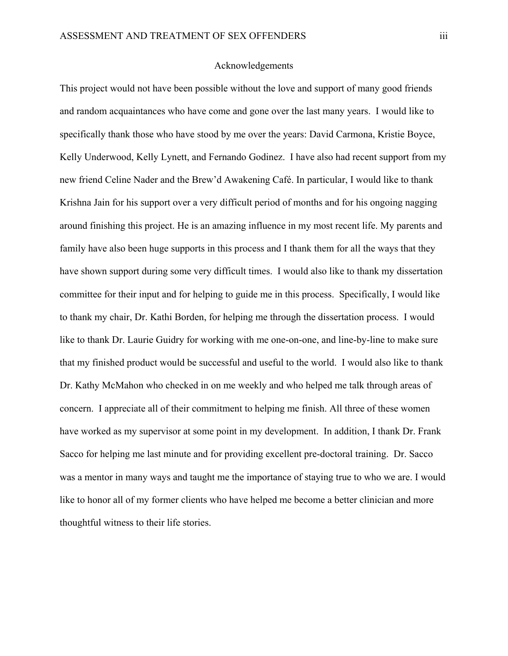## Acknowledgements

This project would not have been possible without the love and support of many good friends and random acquaintances who have come and gone over the last many years. I would like to specifically thank those who have stood by me over the years: David Carmona, Kristie Boyce, Kelly Underwood, Kelly Lynett, and Fernando Godinez. I have also had recent support from my new friend Celine Nader and the Brew'd Awakening Café. In particular, I would like to thank Krishna Jain for his support over a very difficult period of months and for his ongoing nagging around finishing this project. He is an amazing influence in my most recent life. My parents and family have also been huge supports in this process and I thank them for all the ways that they have shown support during some very difficult times. I would also like to thank my dissertation committee for their input and for helping to guide me in this process. Specifically, I would like to thank my chair, Dr. Kathi Borden, for helping me through the dissertation process. I would like to thank Dr. Laurie Guidry for working with me one-on-one, and line-by-line to make sure that my finished product would be successful and useful to the world. I would also like to thank Dr. Kathy McMahon who checked in on me weekly and who helped me talk through areas of concern. I appreciate all of their commitment to helping me finish. All three of these women have worked as my supervisor at some point in my development. In addition, I thank Dr. Frank Sacco for helping me last minute and for providing excellent pre-doctoral training. Dr. Sacco was a mentor in many ways and taught me the importance of staying true to who we are. I would like to honor all of my former clients who have helped me become a better clinician and more thoughtful witness to their life stories.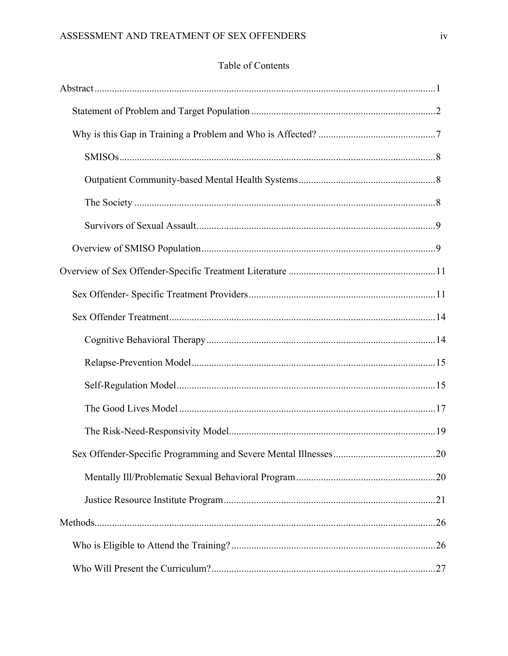# Table of Contents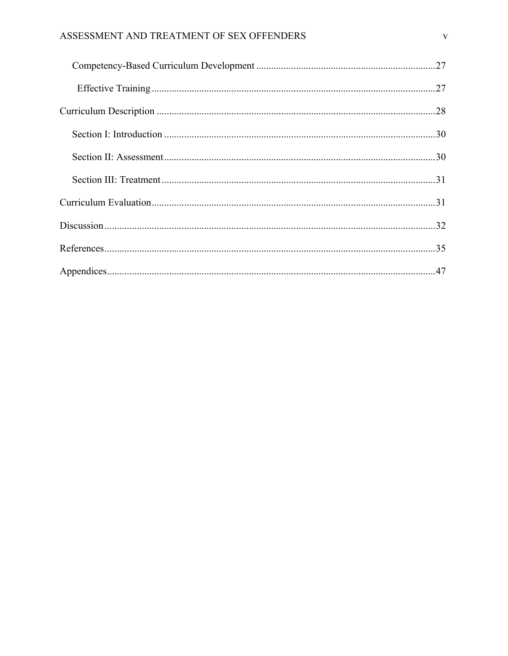# ASSESSMENT AND TREATMENT OF SEX OFFENDERS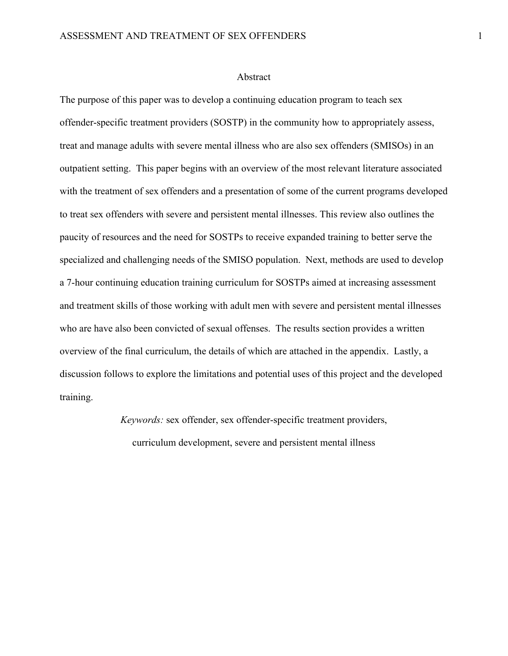#### Abstract

The purpose of this paper was to develop a continuing education program to teach sex offender-specific treatment providers (SOSTP) in the community how to appropriately assess, treat and manage adults with severe mental illness who are also sex offenders (SMISOs) in an outpatient setting. This paper begins with an overview of the most relevant literature associated with the treatment of sex offenders and a presentation of some of the current programs developed to treat sex offenders with severe and persistent mental illnesses. This review also outlines the paucity of resources and the need for SOSTPs to receive expanded training to better serve the specialized and challenging needs of the SMISO population. Next, methods are used to develop a 7-hour continuing education training curriculum for SOSTPs aimed at increasing assessment and treatment skills of those working with adult men with severe and persistent mental illnesses who are have also been convicted of sexual offenses. The results section provides a written overview of the final curriculum, the details of which are attached in the appendix. Lastly, a discussion follows to explore the limitations and potential uses of this project and the developed training.

> *Keywords:* sex offender, sex offender-specific treatment providers, curriculum development, severe and persistent mental illness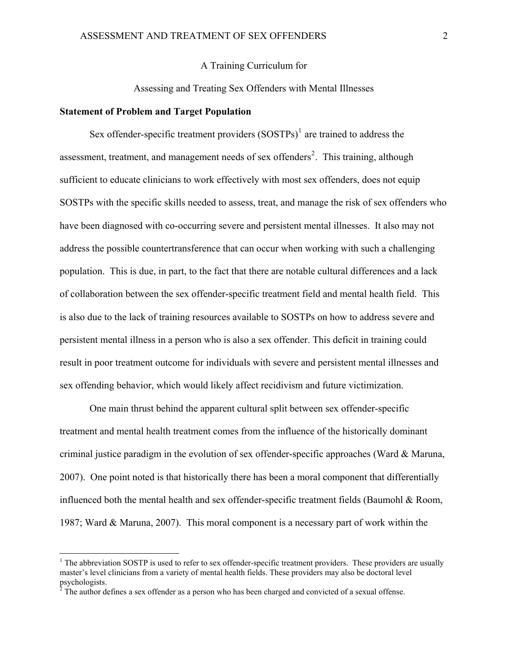## A Training Curriculum for

Assessing and Treating Sex Offenders with Mental Illnesses

### **Statement of Problem and Target Population**

Sex offender-specific treatment providers  $(SOSTPs)^1$  $(SOSTPs)^1$  are trained to address the assessment, treatment, and management needs of sex offenders<sup>[2](#page-7-1)</sup>. This training, although sufficient to educate clinicians to work effectively with most sex offenders, does not equip SOSTPs with the specific skills needed to assess, treat, and manage the risk of sex offenders who have been diagnosed with co-occurring severe and persistent mental illnesses. It also may not address the possible countertransference that can occur when working with such a challenging population. This is due, in part, to the fact that there are notable cultural differences and a lack of collaboration between the sex offender-specific treatment field and mental health field. This is also due to the lack of training resources available to SOSTPs on how to address severe and persistent mental illness in a person who is also a sex offender. This deficit in training could result in poor treatment outcome for individuals with severe and persistent mental illnesses and sex offending behavior, which would likely affect recidivism and future victimization.

One main thrust behind the apparent cultural split between sex offender-specific treatment and mental health treatment comes from the influence of the historically dominant criminal justice paradigm in the evolution of sex offender-specific approaches (Ward & Maruna, 2007). One point noted is that historically there has been a moral component that differentially influenced both the mental health and sex offender-specific treatment fields (Baumohl  $\&$  Room, 1987; Ward & Maruna, 2007). This moral component is a necessary part of work within the

 $\overline{a}$ 

<span id="page-7-0"></span> $1$  The abbreviation SOSTP is used to refer to sex offender-specific treatment providers. These providers are usually master's level clinicians from a variety of mental health fields. These providers may also be doctoral level psychologists.<br><sup>2</sup> The syther de

<span id="page-7-1"></span>The author defines a sex offender as a person who has been charged and convicted of a sexual offense.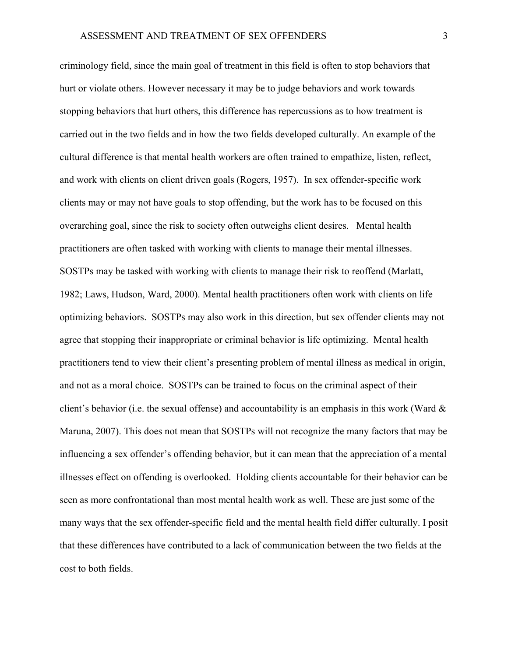criminology field, since the main goal of treatment in this field is often to stop behaviors that hurt or violate others. However necessary it may be to judge behaviors and work towards stopping behaviors that hurt others, this difference has repercussions as to how treatment is carried out in the two fields and in how the two fields developed culturally. An example of the cultural difference is that mental health workers are often trained to empathize, listen, reflect, and work with clients on client driven goals (Rogers, 1957). In sex offender-specific work clients may or may not have goals to stop offending, but the work has to be focused on this overarching goal, since the risk to society often outweighs client desires. Mental health practitioners are often tasked with working with clients to manage their mental illnesses. SOSTPs may be tasked with working with clients to manage their risk to reoffend (Marlatt, 1982; Laws, Hudson, Ward, 2000). Mental health practitioners often work with clients on life optimizing behaviors. SOSTPs may also work in this direction, but sex offender clients may not agree that stopping their inappropriate or criminal behavior is life optimizing. Mental health practitioners tend to view their client's presenting problem of mental illness as medical in origin, and not as a moral choice. SOSTPs can be trained to focus on the criminal aspect of their client's behavior (i.e. the sexual offense) and accountability is an emphasis in this work (Ward  $\&$ Maruna, 2007). This does not mean that SOSTPs will not recognize the many factors that may be influencing a sex offender's offending behavior, but it can mean that the appreciation of a mental illnesses effect on offending is overlooked. Holding clients accountable for their behavior can be seen as more confrontational than most mental health work as well. These are just some of the many ways that the sex offender-specific field and the mental health field differ culturally. I posit that these differences have contributed to a lack of communication between the two fields at the cost to both fields.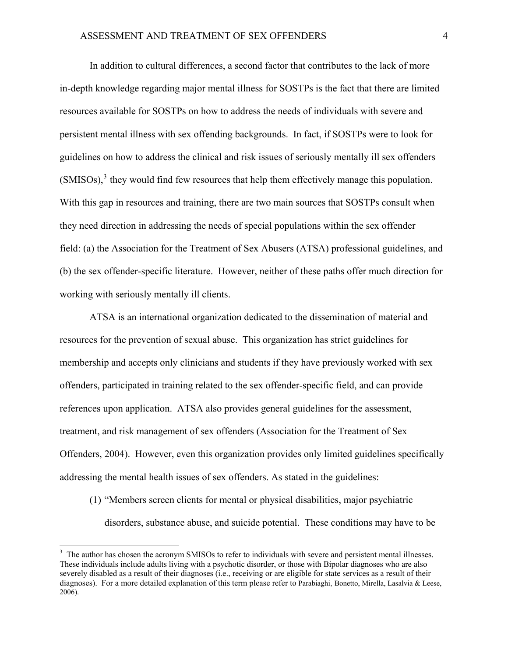In addition to cultural differences, a second factor that contributes to the lack of more in-depth knowledge regarding major mental illness for SOSTPs is the fact that there are limited resources available for SOSTPs on how to address the needs of individuals with severe and persistent mental illness with sex offending backgrounds. In fact, if SOSTPs were to look for guidelines on how to address the clinical and risk issues of seriously mentally ill sex offenders  $(SMISOs)$ ,<sup>[3](#page-9-0)</sup> they would find few resources that help them effectively manage this population. With this gap in resources and training, there are two main sources that SOSTPs consult when they need direction in addressing the needs of special populations within the sex offender field: (a) the Association for the Treatment of Sex Abusers (ATSA) professional guidelines, and (b) the sex offender-specific literature. However, neither of these paths offer much direction for working with seriously mentally ill clients.

ATSA is an international organization dedicated to the dissemination of material and resources for the prevention of sexual abuse. This organization has strict guidelines for membership and accepts only clinicians and students if they have previously worked with sex offenders, participated in training related to the sex offender-specific field, and can provide references upon application. ATSA also provides general guidelines for the assessment, treatment, and risk management of sex offenders (Association for the Treatment of Sex Offenders, 2004). However, even this organization provides only limited guidelines specifically addressing the mental health issues of sex offenders. As stated in the guidelines:

(1) "Members screen clients for mental or physical disabilities, major psychiatric disorders, substance abuse, and suicide potential. These conditions may have to be

 $\overline{a}$ 

<span id="page-9-0"></span> $3$  The author has chosen the acronym SMISOs to refer to individuals with severe and persistent mental illnesses. These individuals include adults living with a psychotic disorder, or those with Bipolar diagnoses who are also severely disabled as a result of their diagnoses (i.e., receiving or are eligible for state services as a result of their diagnoses). For a more detailed explanation of this term please refer to Parabiaghi, Bonetto, Mirella, Lasalvia & Leese, 2006).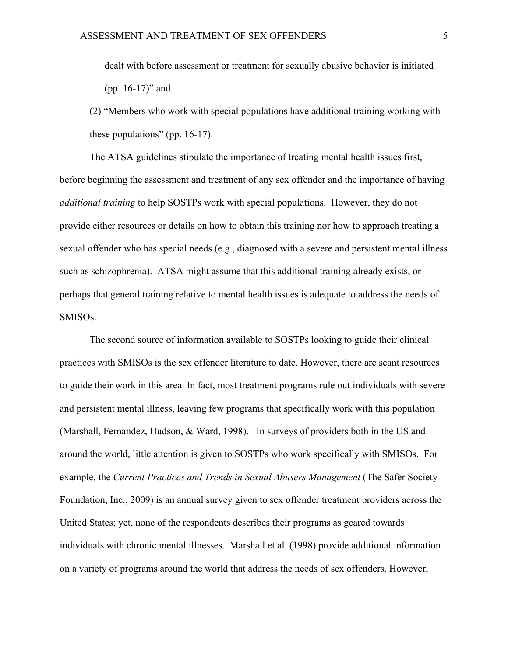dealt with before assessment or treatment for sexually abusive behavior is initiated (pp. 16-17)" and

(2) "Members who work with special populations have additional training working with these populations" (pp. 16-17).

 The ATSA guidelines stipulate the importance of treating mental health issues first, before beginning the assessment and treatment of any sex offender and the importance of having *additional training* to help SOSTPs work with special populations. However, they do not provide either resources or details on how to obtain this training nor how to approach treating a sexual offender who has special needs (e.g., diagnosed with a severe and persistent mental illness such as schizophrenia). ATSA might assume that this additional training already exists, or perhaps that general training relative to mental health issues is adequate to address the needs of SMISOs.

The second source of information available to SOSTPs looking to guide their clinical practices with SMISOs is the sex offender literature to date. However, there are scant resources to guide their work in this area. In fact, most treatment programs rule out individuals with severe and persistent mental illness, leaving few programs that specifically work with this population (Marshall, Fernandez, Hudson, & Ward, 1998). In surveys of providers both in the US and around the world, little attention is given to SOSTPs who work specifically with SMISOs. For example, the *Current Practices and Trends in Sexual Abusers Management* (The Safer Society Foundation, Inc., 2009) is an annual survey given to sex offender treatment providers across the United States; yet, none of the respondents describes their programs as geared towards individuals with chronic mental illnesses. Marshall et al. (1998) provide additional information on a variety of programs around the world that address the needs of sex offenders. However,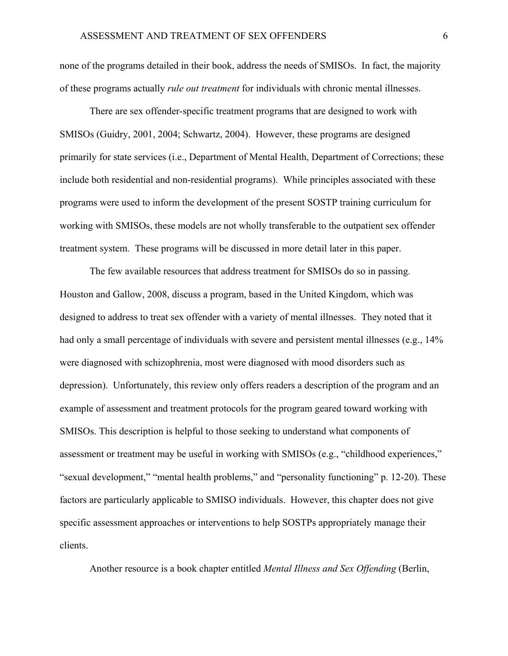none of the programs detailed in their book, address the needs of SMISOs. In fact, the majority of these programs actually *rule out treatment* for individuals with chronic mental illnesses.

 There are sex offender-specific treatment programs that are designed to work with SMISOs (Guidry, 2001, 2004; Schwartz, 2004). However, these programs are designed primarily for state services (i.e., Department of Mental Health, Department of Corrections; these include both residential and non-residential programs). While principles associated with these programs were used to inform the development of the present SOSTP training curriculum for working with SMISOs, these models are not wholly transferable to the outpatient sex offender treatment system. These programs will be discussed in more detail later in this paper.

The few available resources that address treatment for SMISOs do so in passing. Houston and Gallow, 2008, discuss a program, based in the United Kingdom, which was designed to address to treat sex offender with a variety of mental illnesses. They noted that it had only a small percentage of individuals with severe and persistent mental illnesses (e.g., 14% were diagnosed with schizophrenia, most were diagnosed with mood disorders such as depression). Unfortunately, this review only offers readers a description of the program and an example of assessment and treatment protocols for the program geared toward working with SMISOs. This description is helpful to those seeking to understand what components of assessment or treatment may be useful in working with SMISOs (e.g., "childhood experiences," "sexual development," "mental health problems," and "personality functioning" p. 12-20). These factors are particularly applicable to SMISO individuals. However, this chapter does not give specific assessment approaches or interventions to help SOSTPs appropriately manage their clients.

Another resource is a book chapter entitled *Mental Illness and Sex Offending* (Berlin,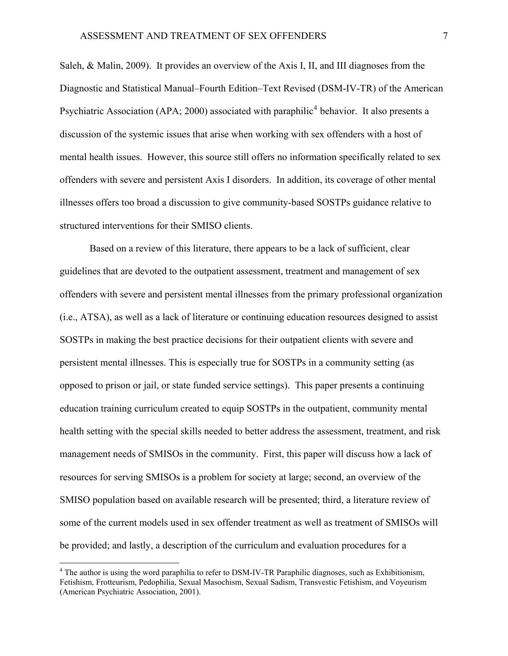Saleh, & Malin, 2009). It provides an overview of the Axis I, II, and III diagnoses from the Diagnostic and Statistical Manual–Fourth Edition–Text Revised (DSM-IV-TR) of the American Psychiatric Association (APA; 2000) associated with paraphilic<sup>[4](#page-12-0)</sup> behavior. It also presents a discussion of the systemic issues that arise when working with sex offenders with a host of mental health issues. However, this source still offers no information specifically related to sex offenders with severe and persistent Axis I disorders. In addition, its coverage of other mental illnesses offers too broad a discussion to give community-based SOSTPs guidance relative to structured interventions for their SMISO clients.

 Based on a review of this literature, there appears to be a lack of sufficient, clear guidelines that are devoted to the outpatient assessment, treatment and management of sex offenders with severe and persistent mental illnesses from the primary professional organization (i.e., ATSA), as well as a lack of literature or continuing education resources designed to assist SOSTPs in making the best practice decisions for their outpatient clients with severe and persistent mental illnesses. This is especially true for SOSTPs in a community setting (as opposed to prison or jail, or state funded service settings). This paper presents a continuing education training curriculum created to equip SOSTPs in the outpatient, community mental health setting with the special skills needed to better address the assessment, treatment, and risk management needs of SMISOs in the community. First, this paper will discuss how a lack of resources for serving SMISOs is a problem for society at large; second, an overview of the SMISO population based on available research will be presented; third, a literature review of some of the current models used in sex offender treatment as well as treatment of SMISOs will be provided; and lastly, a description of the curriculum and evaluation procedures for a

 $\overline{a}$ 

<span id="page-12-0"></span><sup>&</sup>lt;sup>4</sup> The author is using the word paraphilia to refer to DSM-IV-TR Paraphilic diagnoses, such as Exhibitionism, Fetishism, Frotteurism, Pedophilia, Sexual Masochism, Sexual Sadism, Transvestic Fetishism, and Voyeurism (American Psychiatric Association, 2001).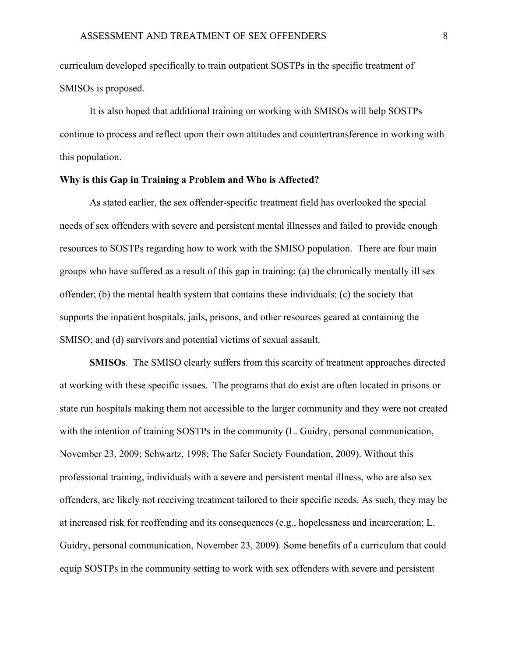curriculum developed specifically to train outpatient SOSTPs in the specific treatment of SMISOs is proposed.

 It is also hoped that additional training on working with SMISOs will help SOSTPs continue to process and reflect upon their own attitudes and countertransference in working with this population.

## **Why is this Gap in Training a Problem and Who is Affected?**

 As stated earlier, the sex offender-specific treatment field has overlooked the special needs of sex offenders with severe and persistent mental illnesses and failed to provide enough resources to SOSTPs regarding how to work with the SMISO population. There are four main groups who have suffered as a result of this gap in training: (a) the chronically mentally ill sex offender; (b) the mental health system that contains these individuals; (c) the society that supports the inpatient hospitals, jails, prisons, and other resources geared at containing the SMISO; and (d) survivors and potential victims of sexual assault.

**SMISOs**. The SMISO clearly suffers from this scarcity of treatment approaches directed at working with these specific issues. The programs that do exist are often located in prisons or state run hospitals making them not accessible to the larger community and they were not created with the intention of training SOSTPs in the community (L. Guidry, personal communication, November 23, 2009; Schwartz, 1998; The Safer Society Foundation, 2009). Without this professional training, individuals with a severe and persistent mental illness, who are also sex offenders, are likely not receiving treatment tailored to their specific needs. As such, they may be at increased risk for reoffending and its consequences (e.g., hopelessness and incarceration; L. Guidry, personal communication, November 23, 2009). Some benefits of a curriculum that could equip SOSTPs in the community setting to work with sex offenders with severe and persistent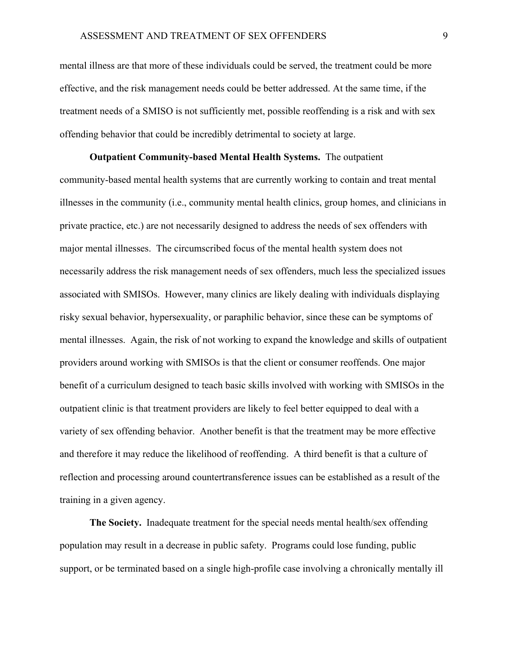mental illness are that more of these individuals could be served, the treatment could be more effective, and the risk management needs could be better addressed. At the same time, if the treatment needs of a SMISO is not sufficiently met, possible reoffending is a risk and with sex offending behavior that could be incredibly detrimental to society at large.

**Outpatient Community-based Mental Health Systems.** The outpatient community-based mental health systems that are currently working to contain and treat mental illnesses in the community (i.e., community mental health clinics, group homes, and clinicians in private practice, etc.) are not necessarily designed to address the needs of sex offenders with major mental illnesses. The circumscribed focus of the mental health system does not necessarily address the risk management needs of sex offenders, much less the specialized issues associated with SMISOs. However, many clinics are likely dealing with individuals displaying risky sexual behavior, hypersexuality, or paraphilic behavior, since these can be symptoms of mental illnesses. Again, the risk of not working to expand the knowledge and skills of outpatient providers around working with SMISOs is that the client or consumer reoffends. One major benefit of a curriculum designed to teach basic skills involved with working with SMISOs in the outpatient clinic is that treatment providers are likely to feel better equipped to deal with a variety of sex offending behavior. Another benefit is that the treatment may be more effective and therefore it may reduce the likelihood of reoffending. A third benefit is that a culture of reflection and processing around countertransference issues can be established as a result of the training in a given agency.

**The Society.** Inadequate treatment for the special needs mental health/sex offending population may result in a decrease in public safety. Programs could lose funding, public support, or be terminated based on a single high-profile case involving a chronically mentally ill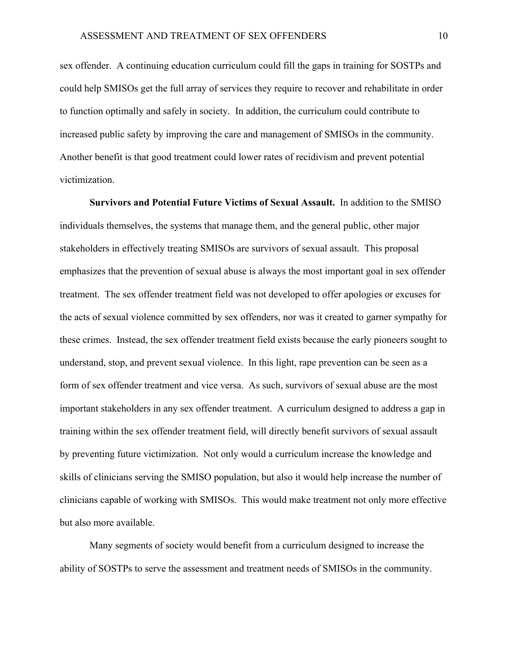sex offender. A continuing education curriculum could fill the gaps in training for SOSTPs and could help SMISOs get the full array of services they require to recover and rehabilitate in order to function optimally and safely in society. In addition, the curriculum could contribute to increased public safety by improving the care and management of SMISOs in the community. Another benefit is that good treatment could lower rates of recidivism and prevent potential victimization.

**Survivors and Potential Future Victims of Sexual Assault.** In addition to the SMISO individuals themselves, the systems that manage them, and the general public, other major stakeholders in effectively treating SMISOs are survivors of sexual assault. This proposal emphasizes that the prevention of sexual abuse is always the most important goal in sex offender treatment. The sex offender treatment field was not developed to offer apologies or excuses for the acts of sexual violence committed by sex offenders, nor was it created to garner sympathy for these crimes. Instead, the sex offender treatment field exists because the early pioneers sought to understand, stop, and prevent sexual violence. In this light, rape prevention can be seen as a form of sex offender treatment and vice versa. As such, survivors of sexual abuse are the most important stakeholders in any sex offender treatment. A curriculum designed to address a gap in training within the sex offender treatment field, will directly benefit survivors of sexual assault by preventing future victimization. Not only would a curriculum increase the knowledge and skills of clinicians serving the SMISO population, but also it would help increase the number of clinicians capable of working with SMISOs. This would make treatment not only more effective but also more available.

Many segments of society would benefit from a curriculum designed to increase the ability of SOSTPs to serve the assessment and treatment needs of SMISOs in the community.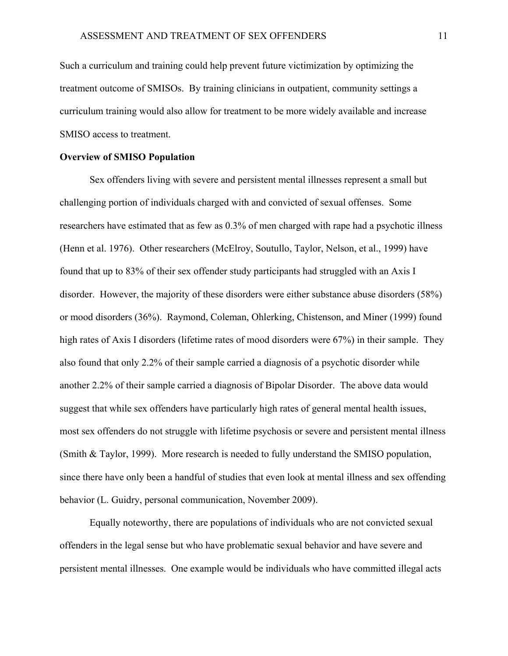Such a curriculum and training could help prevent future victimization by optimizing the treatment outcome of SMISOs. By training clinicians in outpatient, community settings a curriculum training would also allow for treatment to be more widely available and increase SMISO access to treatment.

## **Overview of SMISO Population**

 Sex offenders living with severe and persistent mental illnesses represent a small but challenging portion of individuals charged with and convicted of sexual offenses. Some researchers have estimated that as few as 0.3% of men charged with rape had a psychotic illness (Henn et al. 1976). Other researchers (McElroy, Soutullo, Taylor, Nelson, et al., 1999) have found that up to 83% of their sex offender study participants had struggled with an Axis I disorder. However, the majority of these disorders were either substance abuse disorders (58%) or mood disorders (36%). Raymond, Coleman, Ohlerking, Chistenson, and Miner (1999) found high rates of Axis I disorders (lifetime rates of mood disorders were 67%) in their sample. They also found that only 2.2% of their sample carried a diagnosis of a psychotic disorder while another 2.2% of their sample carried a diagnosis of Bipolar Disorder. The above data would suggest that while sex offenders have particularly high rates of general mental health issues, most sex offenders do not struggle with lifetime psychosis or severe and persistent mental illness (Smith & Taylor, 1999). More research is needed to fully understand the SMISO population, since there have only been a handful of studies that even look at mental illness and sex offending behavior (L. Guidry, personal communication, November 2009).

Equally noteworthy, there are populations of individuals who are not convicted sexual offenders in the legal sense but who have problematic sexual behavior and have severe and persistent mental illnesses. One example would be individuals who have committed illegal acts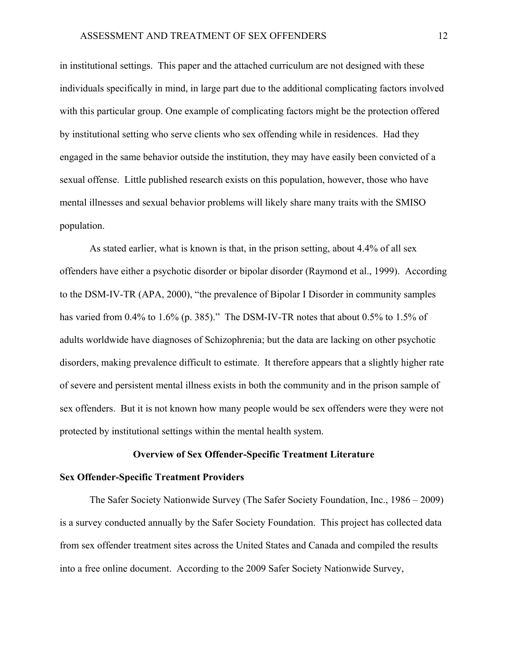in institutional settings. This paper and the attached curriculum are not designed with these individuals specifically in mind, in large part due to the additional complicating factors involved with this particular group. One example of complicating factors might be the protection offered by institutional setting who serve clients who sex offending while in residences. Had they engaged in the same behavior outside the institution, they may have easily been convicted of a sexual offense. Little published research exists on this population, however, those who have mental illnesses and sexual behavior problems will likely share many traits with the SMISO population.

As stated earlier, what is known is that, in the prison setting, about 4.4% of all sex offenders have either a psychotic disorder or bipolar disorder (Raymond et al., 1999). According to the DSM-IV-TR (APA, 2000), "the prevalence of Bipolar I Disorder in community samples has varied from 0.4% to 1.6% (p. 385)." The DSM-IV-TR notes that about 0.5% to 1.5% of adults worldwide have diagnoses of Schizophrenia; but the data are lacking on other psychotic disorders, making prevalence difficult to estimate. It therefore appears that a slightly higher rate of severe and persistent mental illness exists in both the community and in the prison sample of sex offenders. But it is not known how many people would be sex offenders were they were not protected by institutional settings within the mental health system.

#### **Overview of Sex Offender-Specific Treatment Literature**

### **Sex Offender-Specific Treatment Providers**

The Safer Society Nationwide Survey (The Safer Society Foundation, Inc., 1986 – 2009) is a survey conducted annually by the Safer Society Foundation. This project has collected data from sex offender treatment sites across the United States and Canada and compiled the results into a free online document. According to the 2009 Safer Society Nationwide Survey,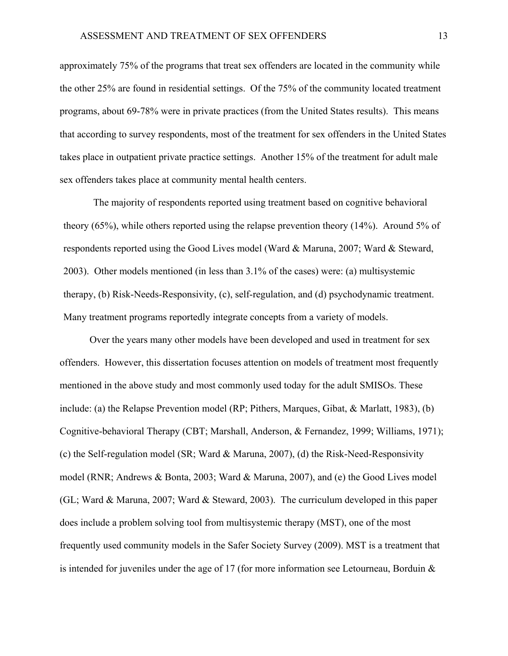approximately 75% of the programs that treat sex offenders are located in the community while the other 25% are found in residential settings. Of the 75% of the community located treatment programs, about 69-78% were in private practices (from the United States results). This means that according to survey respondents, most of the treatment for sex offenders in the United States takes place in outpatient private practice settings. Another 15% of the treatment for adult male sex offenders takes place at community mental health centers.

The majority of respondents reported using treatment based on cognitive behavioral theory (65%), while others reported using the relapse prevention theory (14%). Around 5% of respondents reported using the Good Lives model (Ward & Maruna, 2007; Ward & Steward, 2003). Other models mentioned (in less than 3.1% of the cases) were: (a) multisystemic therapy, (b) Risk-Needs-Responsivity, (c), self-regulation, and (d) psychodynamic treatment. Many treatment programs reportedly integrate concepts from a variety of models.

Over the years many other models have been developed and used in treatment for sex offenders. However, this dissertation focuses attention on models of treatment most frequently mentioned in the above study and most commonly used today for the adult SMISOs. These include: (a) the Relapse Prevention model (RP; Pithers, Marques, Gibat, & Marlatt, 1983), (b) Cognitive-behavioral Therapy (CBT; Marshall, Anderson, & Fernandez, 1999; Williams, 1971); (c) the Self-regulation model (SR; Ward & Maruna, 2007), (d) the Risk-Need-Responsivity model (RNR; Andrews & Bonta, 2003; Ward & Maruna, 2007), and (e) the Good Lives model (GL; Ward & Maruna, 2007; Ward & Steward, 2003). The curriculum developed in this paper does include a problem solving tool from multisystemic therapy (MST), one of the most frequently used community models in the Safer Society Survey (2009). MST is a treatment that is intended for juveniles under the age of 17 (for more information see Letourneau, Borduin &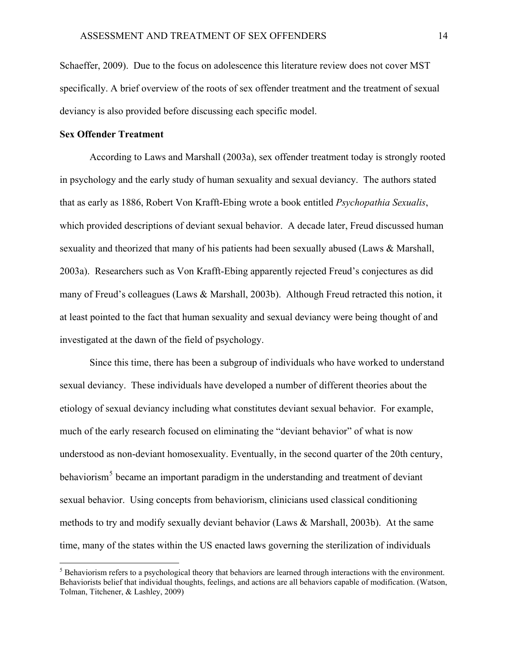Schaeffer, 2009). Due to the focus on adolescence this literature review does not cover MST specifically. A brief overview of the roots of sex offender treatment and the treatment of sexual deviancy is also provided before discussing each specific model.

# **Sex Offender Treatment**

 $\overline{a}$ 

According to Laws and Marshall (2003a), sex offender treatment today is strongly rooted in psychology and the early study of human sexuality and sexual deviancy. The authors stated that as early as 1886, Robert Von Krafft-Ebing wrote a book entitled *Psychopathia Sexualis*, which provided descriptions of deviant sexual behavior. A decade later, Freud discussed human sexuality and theorized that many of his patients had been sexually abused (Laws & Marshall, 2003a). Researchers such as Von Krafft-Ebing apparently rejected Freud's conjectures as did many of Freud's colleagues (Laws & Marshall, 2003b). Although Freud retracted this notion, it at least pointed to the fact that human sexuality and sexual deviancy were being thought of and investigated at the dawn of the field of psychology.

Since this time, there has been a subgroup of individuals who have worked to understand sexual deviancy. These individuals have developed a number of different theories about the etiology of sexual deviancy including what constitutes deviant sexual behavior. For example, much of the early research focused on eliminating the "deviant behavior" of what is now understood as non-deviant homosexuality. Eventually, in the second quarter of the 20th century, behaviorism<sup>[5](#page-19-0)</sup> became an important paradigm in the understanding and treatment of deviant sexual behavior. Using concepts from behaviorism, clinicians used classical conditioning methods to try and modify sexually deviant behavior (Laws & Marshall, 2003b). At the same time, many of the states within the US enacted laws governing the sterilization of individuals

<span id="page-19-0"></span> $<sup>5</sup>$  Behaviorism refers to a psychological theory that behaviors are learned through interactions with the environment.</sup> Behaviorists belief that individual thoughts, feelings, and actions are all behaviors capable of modification. (Watson, Tolman, Titchener, & Lashley, 2009)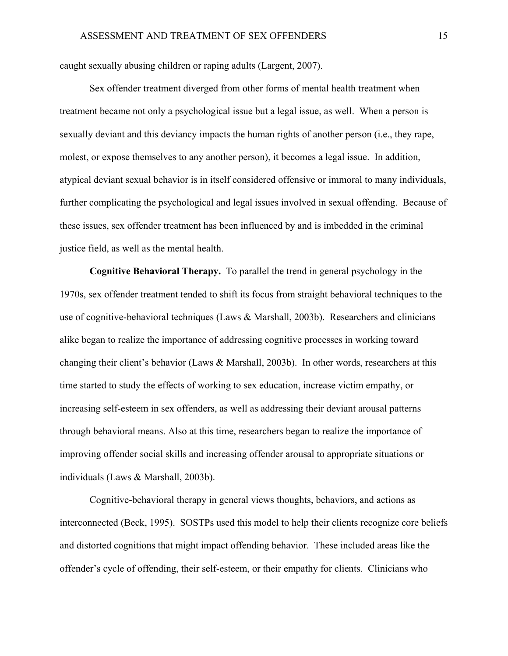caught sexually abusing children or raping adults (Largent, 2007).

Sex offender treatment diverged from other forms of mental health treatment when treatment became not only a psychological issue but a legal issue, as well. When a person is sexually deviant and this deviancy impacts the human rights of another person (i.e., they rape, molest, or expose themselves to any another person), it becomes a legal issue. In addition, atypical deviant sexual behavior is in itself considered offensive or immoral to many individuals, further complicating the psychological and legal issues involved in sexual offending. Because of these issues, sex offender treatment has been influenced by and is imbedded in the criminal justice field, as well as the mental health.

**Cognitive Behavioral Therapy.** To parallel the trend in general psychology in the 1970s, sex offender treatment tended to shift its focus from straight behavioral techniques to the use of cognitive-behavioral techniques (Laws & Marshall, 2003b). Researchers and clinicians alike began to realize the importance of addressing cognitive processes in working toward changing their client's behavior (Laws & Marshall, 2003b). In other words, researchers at this time started to study the effects of working to sex education, increase victim empathy, or increasing self-esteem in sex offenders, as well as addressing their deviant arousal patterns through behavioral means. Also at this time, researchers began to realize the importance of improving offender social skills and increasing offender arousal to appropriate situations or individuals (Laws & Marshall, 2003b).

Cognitive-behavioral therapy in general views thoughts, behaviors, and actions as interconnected (Beck, 1995). SOSTPs used this model to help their clients recognize core beliefs and distorted cognitions that might impact offending behavior. These included areas like the offender's cycle of offending, their self-esteem, or their empathy for clients. Clinicians who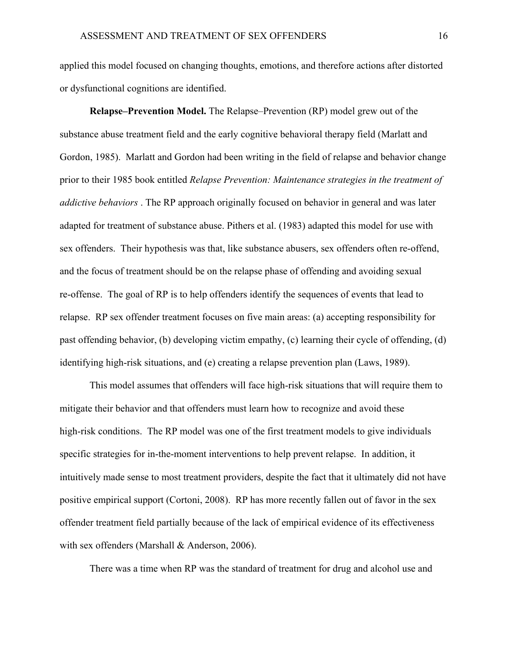applied this model focused on changing thoughts, emotions, and therefore actions after distorted or dysfunctional cognitions are identified.

**Relapse–Prevention Model.** The Relapse–Prevention (RP) model grew out of the substance abuse treatment field and the early cognitive behavioral therapy field (Marlatt and Gordon, 1985). Marlatt and Gordon had been writing in the field of relapse and behavior change prior to their 1985 book entitled *Relapse Prevention: Maintenance strategies in the treatment of addictive behaviors* . The RP approach originally focused on behavior in general and was later adapted for treatment of substance abuse. Pithers et al. (1983) adapted this model for use with sex offenders. Their hypothesis was that, like substance abusers, sex offenders often re-offend, and the focus of treatment should be on the relapse phase of offending and avoiding sexual re-offense. The goal of RP is to help offenders identify the sequences of events that lead to relapse. RP sex offender treatment focuses on five main areas: (a) accepting responsibility for past offending behavior, (b) developing victim empathy, (c) learning their cycle of offending, (d) identifying high-risk situations, and (e) creating a relapse prevention plan (Laws, 1989).

 This model assumes that offenders will face high-risk situations that will require them to mitigate their behavior and that offenders must learn how to recognize and avoid these high-risk conditions. The RP model was one of the first treatment models to give individuals specific strategies for in-the-moment interventions to help prevent relapse. In addition, it intuitively made sense to most treatment providers, despite the fact that it ultimately did not have positive empirical support (Cortoni, 2008). RP has more recently fallen out of favor in the sex offender treatment field partially because of the lack of empirical evidence of its effectiveness with sex offenders (Marshall & Anderson, 2006).

There was a time when RP was the standard of treatment for drug and alcohol use and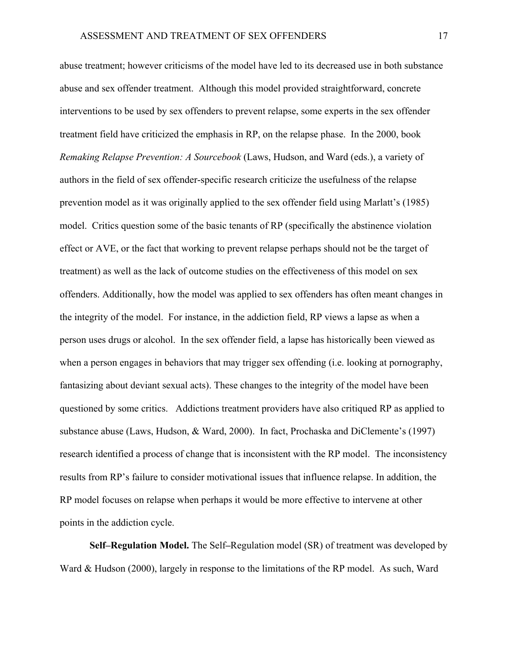abuse treatment; however criticisms of the model have led to its decreased use in both substance abuse and sex offender treatment. Although this model provided straightforward, concrete interventions to be used by sex offenders to prevent relapse, some experts in the sex offender treatment field have criticized the emphasis in RP, on the relapse phase. In the 2000, book *Remaking Relapse Prevention: A Sourcebook* (Laws, Hudson, and Ward (eds.), a variety of authors in the field of sex offender-specific research criticize the usefulness of the relapse prevention model as it was originally applied to the sex offender field using Marlatt's (1985) model. Critics question some of the basic tenants of RP (specifically the abstinence violation effect or AVE, or the fact that working to prevent relapse perhaps should not be the target of treatment) as well as the lack of outcome studies on the effectiveness of this model on sex offenders. Additionally, how the model was applied to sex offenders has often meant changes in the integrity of the model. For instance, in the addiction field, RP views a lapse as when a person uses drugs or alcohol. In the sex offender field, a lapse has historically been viewed as when a person engages in behaviors that may trigger sex offending (i.e. looking at pornography, fantasizing about deviant sexual acts). These changes to the integrity of the model have been questioned by some critics. Addictions treatment providers have also critiqued RP as applied to substance abuse (Laws, Hudson, & Ward, 2000). In fact, Prochaska and DiClemente's (1997) research identified a process of change that is inconsistent with the RP model. The inconsistency results from RP's failure to consider motivational issues that influence relapse. In addition, the RP model focuses on relapse when perhaps it would be more effective to intervene at other points in the addiction cycle.

**Self–Regulation Model.** The Self**–**Regulation model (SR) of treatment was developed by Ward & Hudson (2000), largely in response to the limitations of the RP model. As such, Ward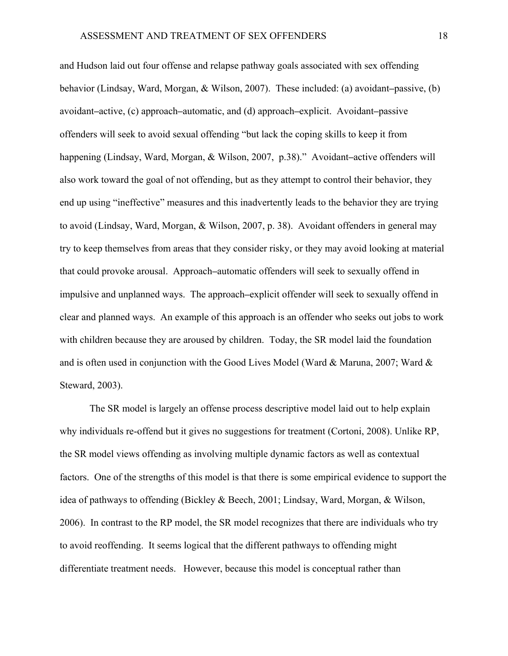and Hudson laid out four offense and relapse pathway goals associated with sex offending behavior (Lindsay, Ward, Morgan, & Wilson, 2007). These included: (a) avoidant**–**passive, (b) avoidant**–**active, (c) approach**–**automatic, and (d) approach**–**explicit. Avoidant**–**passive offenders will seek to avoid sexual offending "but lack the coping skills to keep it from happening (Lindsay, Ward, Morgan, & Wilson, 2007, p.38)." Avoidant**–**active offenders will also work toward the goal of not offending, but as they attempt to control their behavior, they end up using "ineffective" measures and this inadvertently leads to the behavior they are trying to avoid (Lindsay, Ward, Morgan, & Wilson, 2007, p. 38). Avoidant offenders in general may try to keep themselves from areas that they consider risky, or they may avoid looking at material that could provoke arousal. Approach**–**automatic offenders will seek to sexually offend in impulsive and unplanned ways. The approach**–**explicit offender will seek to sexually offend in clear and planned ways. An example of this approach is an offender who seeks out jobs to work with children because they are aroused by children. Today, the SR model laid the foundation and is often used in conjunction with the Good Lives Model (Ward & Maruna, 2007; Ward & Steward, 2003).

 The SR model is largely an offense process descriptive model laid out to help explain why individuals re-offend but it gives no suggestions for treatment (Cortoni, 2008). Unlike RP, the SR model views offending as involving multiple dynamic factors as well as contextual factors. One of the strengths of this model is that there is some empirical evidence to support the idea of pathways to offending (Bickley & Beech, 2001; Lindsay, Ward, Morgan, & Wilson, 2006). In contrast to the RP model, the SR model recognizes that there are individuals who try to avoid reoffending. It seems logical that the different pathways to offending might differentiate treatment needs. However, because this model is conceptual rather than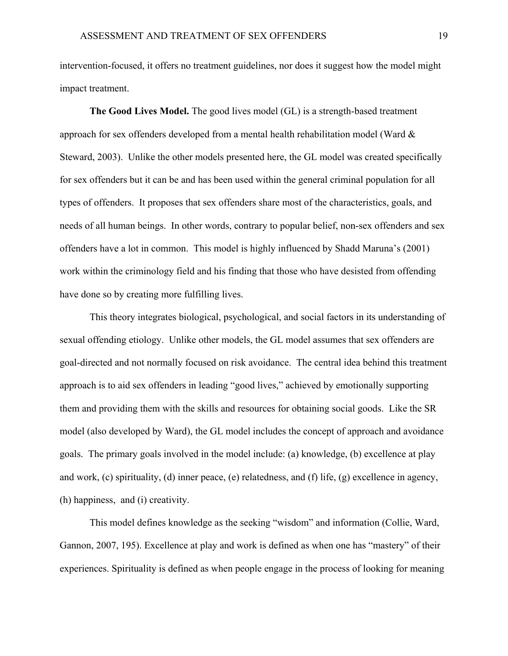intervention-focused, it offers no treatment guidelines, nor does it suggest how the model might impact treatment.

**The Good Lives Model.** The good lives model (GL) is a strength-based treatment approach for sex offenders developed from a mental health rehabilitation model (Ward & Steward, 2003). Unlike the other models presented here, the GL model was created specifically for sex offenders but it can be and has been used within the general criminal population for all types of offenders. It proposes that sex offenders share most of the characteristics, goals, and needs of all human beings. In other words, contrary to popular belief, non-sex offenders and sex offenders have a lot in common. This model is highly influenced by Shadd Maruna's (2001) work within the criminology field and his finding that those who have desisted from offending have done so by creating more fulfilling lives.

 This theory integrates biological, psychological, and social factors in its understanding of sexual offending etiology. Unlike other models, the GL model assumes that sex offenders are goal-directed and not normally focused on risk avoidance. The central idea behind this treatment approach is to aid sex offenders in leading "good lives," achieved by emotionally supporting them and providing them with the skills and resources for obtaining social goods. Like the SR model (also developed by Ward), the GL model includes the concept of approach and avoidance goals. The primary goals involved in the model include: (a) knowledge, (b) excellence at play and work, (c) spirituality, (d) inner peace, (e) relatedness, and (f) life, (g) excellence in agency, (h) happiness, and (i) creativity.

This model defines knowledge as the seeking "wisdom" and information (Collie, Ward, Gannon, 2007, 195). Excellence at play and work is defined as when one has "mastery" of their experiences. Spirituality is defined as when people engage in the process of looking for meaning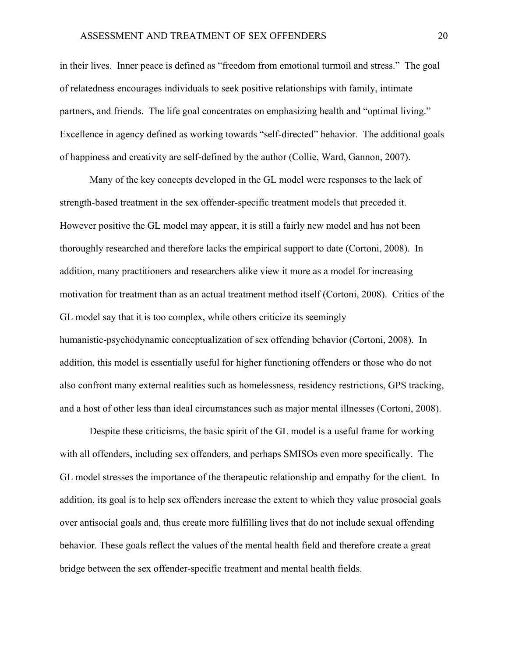#### ASSESSMENT AND TREATMENT OF SEX OFFENDERS 20

in their lives. Inner peace is defined as "freedom from emotional turmoil and stress." The goal of relatedness encourages individuals to seek positive relationships with family, intimate partners, and friends. The life goal concentrates on emphasizing health and "optimal living." Excellence in agency defined as working towards "self-directed" behavior. The additional goals of happiness and creativity are self-defined by the author (Collie, Ward, Gannon, 2007).

 Many of the key concepts developed in the GL model were responses to the lack of strength-based treatment in the sex offender-specific treatment models that preceded it. However positive the GL model may appear, it is still a fairly new model and has not been thoroughly researched and therefore lacks the empirical support to date (Cortoni, 2008). In addition, many practitioners and researchers alike view it more as a model for increasing motivation for treatment than as an actual treatment method itself (Cortoni, 2008). Critics of the GL model say that it is too complex, while others criticize its seemingly humanistic-psychodynamic conceptualization of sex offending behavior (Cortoni, 2008). In addition, this model is essentially useful for higher functioning offenders or those who do not also confront many external realities such as homelessness, residency restrictions, GPS tracking, and a host of other less than ideal circumstances such as major mental illnesses (Cortoni, 2008).

Despite these criticisms, the basic spirit of the GL model is a useful frame for working with all offenders, including sex offenders, and perhaps SMISOs even more specifically. The GL model stresses the importance of the therapeutic relationship and empathy for the client. In addition, its goal is to help sex offenders increase the extent to which they value prosocial goals over antisocial goals and, thus create more fulfilling lives that do not include sexual offending behavior. These goals reflect the values of the mental health field and therefore create a great bridge between the sex offender-specific treatment and mental health fields.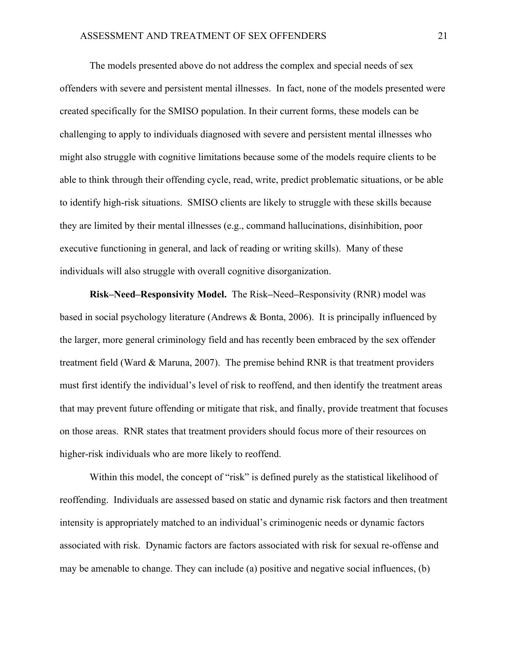The models presented above do not address the complex and special needs of sex offenders with severe and persistent mental illnesses. In fact, none of the models presented were created specifically for the SMISO population. In their current forms, these models can be challenging to apply to individuals diagnosed with severe and persistent mental illnesses who might also struggle with cognitive limitations because some of the models require clients to be able to think through their offending cycle, read, write, predict problematic situations, or be able to identify high-risk situations. SMISO clients are likely to struggle with these skills because they are limited by their mental illnesses (e.g., command hallucinations, disinhibition, poor executive functioning in general, and lack of reading or writing skills). Many of these individuals will also struggle with overall cognitive disorganization.

**Risk–Need–Responsivity Model.** The Risk**–**Need**–**Responsivity (RNR) model was based in social psychology literature (Andrews & Bonta, 2006). It is principally influenced by the larger, more general criminology field and has recently been embraced by the sex offender treatment field (Ward & Maruna, 2007). The premise behind RNR is that treatment providers must first identify the individual's level of risk to reoffend, and then identify the treatment areas that may prevent future offending or mitigate that risk, and finally, provide treatment that focuses on those areas. RNR states that treatment providers should focus more of their resources on higher-risk individuals who are more likely to reoffend.

Within this model, the concept of "risk" is defined purely as the statistical likelihood of reoffending. Individuals are assessed based on static and dynamic risk factors and then treatment intensity is appropriately matched to an individual's criminogenic needs or dynamic factors associated with risk. Dynamic factors are factors associated with risk for sexual re-offense and may be amenable to change. They can include (a) positive and negative social influences, (b)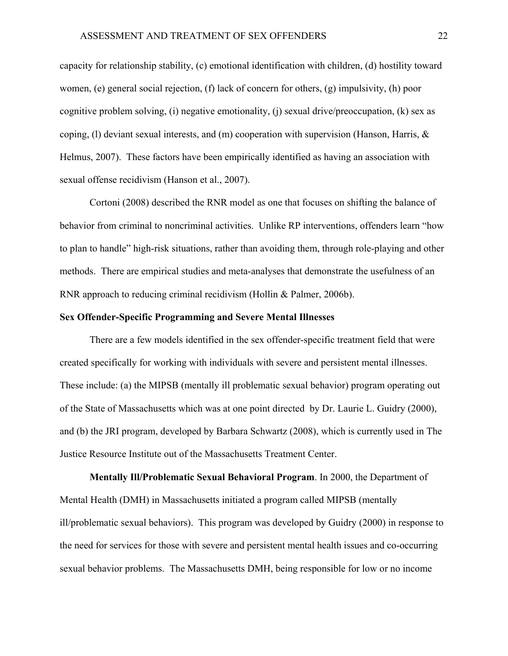capacity for relationship stability, (c) emotional identification with children, (d) hostility toward women, (e) general social rejection, (f) lack of concern for others, (g) impulsivity, (h) poor cognitive problem solving, (i) negative emotionality, (j) sexual drive/preoccupation, (k) sex as coping, (1) deviant sexual interests, and (m) cooperation with supervision (Hanson, Harris,  $\&$ Helmus, 2007). These factors have been empirically identified as having an association with sexual offense recidivism (Hanson et al., 2007).

Cortoni (2008) described the RNR model as one that focuses on shifting the balance of behavior from criminal to noncriminal activities. Unlike RP interventions, offenders learn "how to plan to handle" high-risk situations, rather than avoiding them, through role-playing and other methods. There are empirical studies and meta-analyses that demonstrate the usefulness of an RNR approach to reducing criminal recidivism (Hollin & Palmer, 2006b).

## **Sex Offender-Specific Programming and Severe Mental Illnesses**

There are a few models identified in the sex offender-specific treatment field that were created specifically for working with individuals with severe and persistent mental illnesses. These include: (a) the MIPSB (mentally ill problematic sexual behavior) program operating out of the State of Massachusetts which was at one point directed by Dr. Laurie L. Guidry (2000), and (b) the JRI program, developed by Barbara Schwartz (2008), which is currently used in The Justice Resource Institute out of the Massachusetts Treatment Center.

**Mentally Ill/Problematic Sexual Behavioral Program**. In 2000, the Department of Mental Health (DMH) in Massachusetts initiated a program called MIPSB (mentally ill/problematic sexual behaviors). This program was developed by Guidry (2000) in response to the need for services for those with severe and persistent mental health issues and co-occurring sexual behavior problems. The Massachusetts DMH, being responsible for low or no income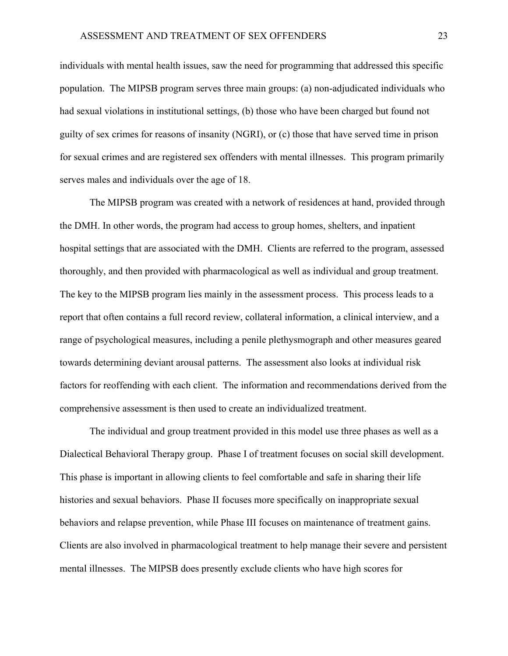individuals with mental health issues, saw the need for programming that addressed this specific population. The MIPSB program serves three main groups: (a) non-adjudicated individuals who had sexual violations in institutional settings, (b) those who have been charged but found not guilty of sex crimes for reasons of insanity (NGRI), or (c) those that have served time in prison for sexual crimes and are registered sex offenders with mental illnesses. This program primarily serves males and individuals over the age of 18.

 The MIPSB program was created with a network of residences at hand, provided through the DMH. In other words, the program had access to group homes, shelters, and inpatient hospital settings that are associated with the DMH. Clients are referred to the program, assessed thoroughly, and then provided with pharmacological as well as individual and group treatment. The key to the MIPSB program lies mainly in the assessment process. This process leads to a report that often contains a full record review, collateral information, a clinical interview, and a range of psychological measures, including a penile plethysmograph and other measures geared towards determining deviant arousal patterns. The assessment also looks at individual risk factors for reoffending with each client. The information and recommendations derived from the comprehensive assessment is then used to create an individualized treatment.

 The individual and group treatment provided in this model use three phases as well as a Dialectical Behavioral Therapy group. Phase I of treatment focuses on social skill development. This phase is important in allowing clients to feel comfortable and safe in sharing their life histories and sexual behaviors. Phase II focuses more specifically on inappropriate sexual behaviors and relapse prevention, while Phase III focuses on maintenance of treatment gains. Clients are also involved in pharmacological treatment to help manage their severe and persistent mental illnesses. The MIPSB does presently exclude clients who have high scores for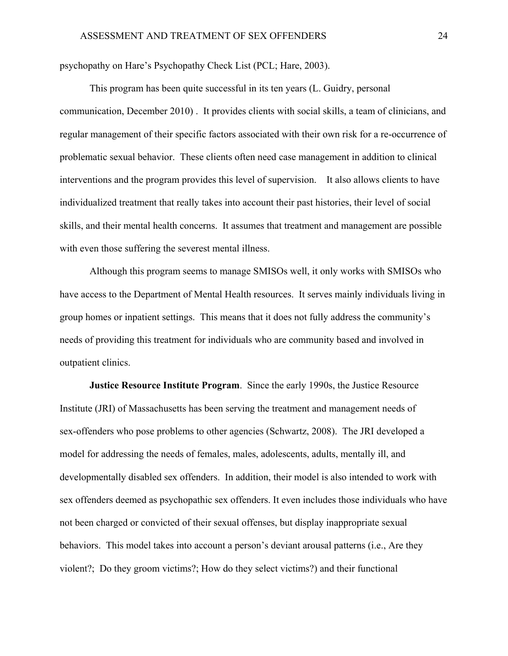psychopathy on Hare's Psychopathy Check List (PCL; Hare, 2003).

 This program has been quite successful in its ten years (L. Guidry, personal communication, December 2010) . It provides clients with social skills, a team of clinicians, and regular management of their specific factors associated with their own risk for a re-occurrence of problematic sexual behavior. These clients often need case management in addition to clinical interventions and the program provides this level of supervision. It also allows clients to have individualized treatment that really takes into account their past histories, their level of social skills, and their mental health concerns. It assumes that treatment and management are possible with even those suffering the severest mental illness.

 Although this program seems to manage SMISOs well, it only works with SMISOs who have access to the Department of Mental Health resources. It serves mainly individuals living in group homes or inpatient settings. This means that it does not fully address the community's needs of providing this treatment for individuals who are community based and involved in outpatient clinics.

**Justice Resource Institute Program**. Since the early 1990s, the Justice Resource Institute (JRI) of Massachusetts has been serving the treatment and management needs of sex-offenders who pose problems to other agencies (Schwartz, 2008). The JRI developed a model for addressing the needs of females, males, adolescents, adults, mentally ill, and developmentally disabled sex offenders. In addition, their model is also intended to work with sex offenders deemed as psychopathic sex offenders. It even includes those individuals who have not been charged or convicted of their sexual offenses, but display inappropriate sexual behaviors. This model takes into account a person's deviant arousal patterns (i.e., Are they violent?; Do they groom victims?; How do they select victims?) and their functional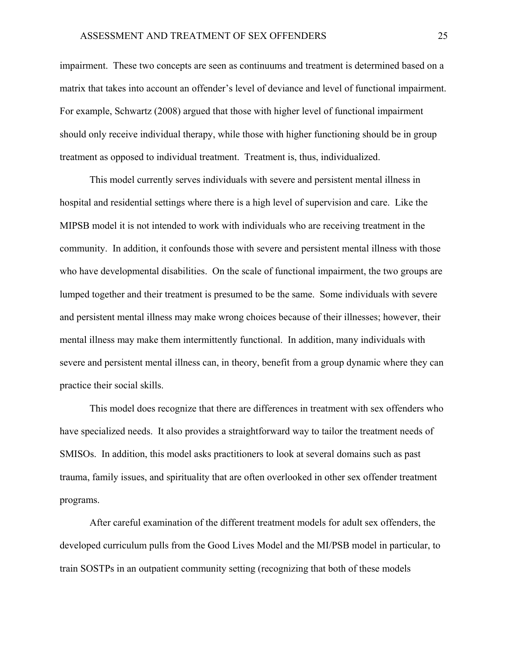impairment. These two concepts are seen as continuums and treatment is determined based on a matrix that takes into account an offender's level of deviance and level of functional impairment. For example, Schwartz (2008) argued that those with higher level of functional impairment should only receive individual therapy, while those with higher functioning should be in group treatment as opposed to individual treatment. Treatment is, thus, individualized.

 This model currently serves individuals with severe and persistent mental illness in hospital and residential settings where there is a high level of supervision and care. Like the MIPSB model it is not intended to work with individuals who are receiving treatment in the community. In addition, it confounds those with severe and persistent mental illness with those who have developmental disabilities. On the scale of functional impairment, the two groups are lumped together and their treatment is presumed to be the same. Some individuals with severe and persistent mental illness may make wrong choices because of their illnesses; however, their mental illness may make them intermittently functional. In addition, many individuals with severe and persistent mental illness can, in theory, benefit from a group dynamic where they can practice their social skills.

 This model does recognize that there are differences in treatment with sex offenders who have specialized needs. It also provides a straightforward way to tailor the treatment needs of SMISOs. In addition, this model asks practitioners to look at several domains such as past trauma, family issues, and spirituality that are often overlooked in other sex offender treatment programs.

After careful examination of the different treatment models for adult sex offenders, the developed curriculum pulls from the Good Lives Model and the MI/PSB model in particular, to train SOSTPs in an outpatient community setting (recognizing that both of these models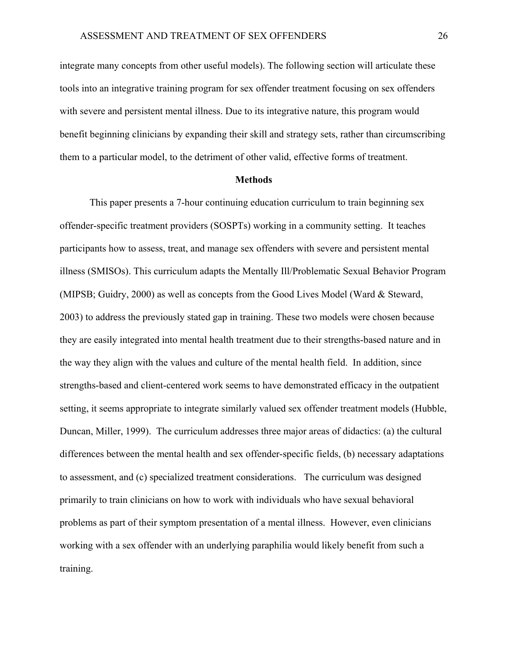integrate many concepts from other useful models). The following section will articulate these tools into an integrative training program for sex offender treatment focusing on sex offenders with severe and persistent mental illness. Due to its integrative nature, this program would benefit beginning clinicians by expanding their skill and strategy sets, rather than circumscribing them to a particular model, to the detriment of other valid, effective forms of treatment.

#### **Methods**

 This paper presents a 7-hour continuing education curriculum to train beginning sex offender-specific treatment providers (SOSPTs) working in a community setting. It teaches participants how to assess, treat, and manage sex offenders with severe and persistent mental illness (SMISOs). This curriculum adapts the Mentally Ill/Problematic Sexual Behavior Program (MIPSB; Guidry, 2000) as well as concepts from the Good Lives Model (Ward & Steward, 2003) to address the previously stated gap in training. These two models were chosen because they are easily integrated into mental health treatment due to their strengths-based nature and in the way they align with the values and culture of the mental health field. In addition, since strengths-based and client-centered work seems to have demonstrated efficacy in the outpatient setting, it seems appropriate to integrate similarly valued sex offender treatment models (Hubble, Duncan, Miller, 1999). The curriculum addresses three major areas of didactics: (a) the cultural differences between the mental health and sex offender-specific fields, (b) necessary adaptations to assessment, and (c) specialized treatment considerations. The curriculum was designed primarily to train clinicians on how to work with individuals who have sexual behavioral problems as part of their symptom presentation of a mental illness. However, even clinicians working with a sex offender with an underlying paraphilia would likely benefit from such a training.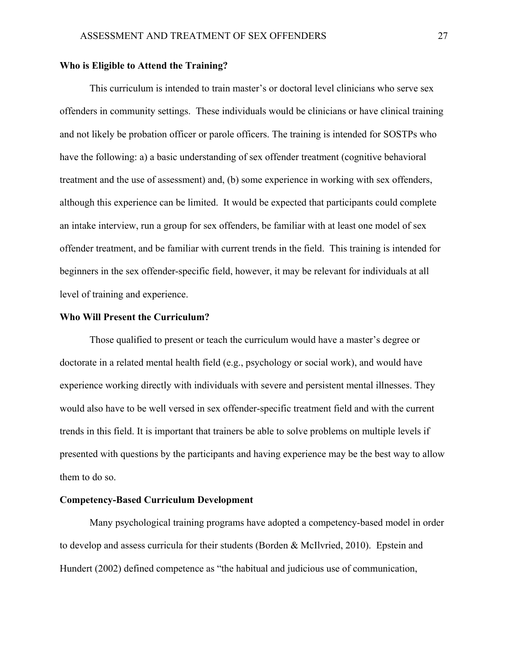## **Who is Eligible to Attend the Training?**

This curriculum is intended to train master's or doctoral level clinicians who serve sex offenders in community settings. These individuals would be clinicians or have clinical training and not likely be probation officer or parole officers. The training is intended for SOSTPs who have the following: a) a basic understanding of sex offender treatment (cognitive behavioral treatment and the use of assessment) and, (b) some experience in working with sex offenders, although this experience can be limited. It would be expected that participants could complete an intake interview, run a group for sex offenders, be familiar with at least one model of sex offender treatment, and be familiar with current trends in the field. This training is intended for beginners in the sex offender-specific field, however, it may be relevant for individuals at all level of training and experience.

#### **Who Will Present the Curriculum?**

 Those qualified to present or teach the curriculum would have a master's degree or doctorate in a related mental health field (e.g., psychology or social work), and would have experience working directly with individuals with severe and persistent mental illnesses. They would also have to be well versed in sex offender-specific treatment field and with the current trends in this field. It is important that trainers be able to solve problems on multiple levels if presented with questions by the participants and having experience may be the best way to allow them to do so.

## **Competency-Based Curriculum Development**

 Many psychological training programs have adopted a competency-based model in order to develop and assess curricula for their students (Borden & McIlvried, 2010). Epstein and Hundert (2002) defined competence as "the habitual and judicious use of communication,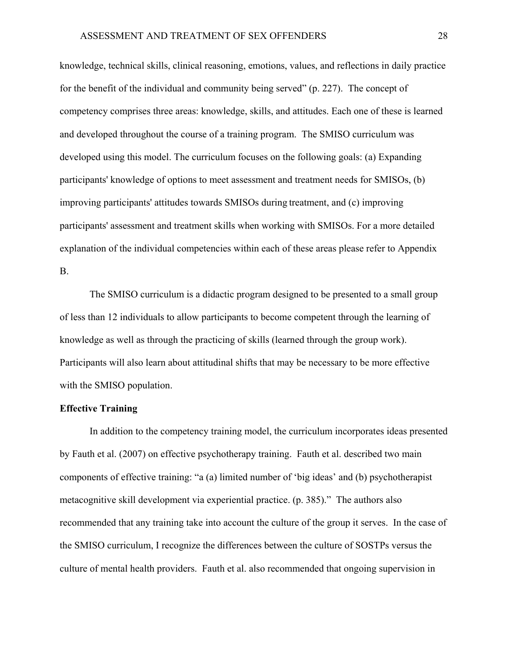knowledge, technical skills, clinical reasoning, emotions, values, and reflections in daily practice for the benefit of the individual and community being served" (p. 227). The concept of competency comprises three areas: knowledge, skills, and attitudes. Each one of these is learned and developed throughout the course of a training program. The SMISO curriculum was developed using this model. The curriculum focuses on the following goals: (a) Expanding participants' knowledge of options to meet assessment and treatment needs for SMISOs, (b) improving participants' attitudes towards SMISOs during treatment, and (c) improving participants' assessment and treatment skills when working with SMISOs. For a more detailed explanation of the individual competencies within each of these areas please refer to Appendix B.

The SMISO curriculum is a didactic program designed to be presented to a small group of less than 12 individuals to allow participants to become competent through the learning of knowledge as well as through the practicing of skills (learned through the group work). Participants will also learn about attitudinal shifts that may be necessary to be more effective with the SMISO population.

## **Effective Training**

In addition to the competency training model, the curriculum incorporates ideas presented by Fauth et al. (2007) on effective psychotherapy training. Fauth et al. described two main components of effective training: "a (a) limited number of 'big ideas' and (b) psychotherapist metacognitive skill development via experiential practice. (p. 385)." The authors also recommended that any training take into account the culture of the group it serves. In the case of the SMISO curriculum, I recognize the differences between the culture of SOSTPs versus the culture of mental health providers. Fauth et al. also recommended that ongoing supervision in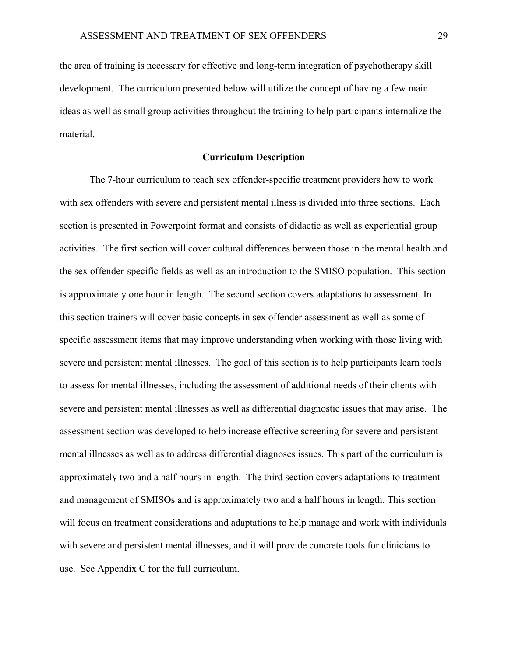the area of training is necessary for effective and long-term integration of psychotherapy skill development. The curriculum presented below will utilize the concept of having a few main ideas as well as small group activities throughout the training to help participants internalize the material.

### **Curriculum Description**

The 7-hour curriculum to teach sex offender-specific treatment providers how to work with sex offenders with severe and persistent mental illness is divided into three sections. Each section is presented in Powerpoint format and consists of didactic as well as experiential group activities. The first section will cover cultural differences between those in the mental health and the sex offender-specific fields as well as an introduction to the SMISO population. This section is approximately one hour in length. The second section covers adaptations to assessment. In this section trainers will cover basic concepts in sex offender assessment as well as some of specific assessment items that may improve understanding when working with those living with severe and persistent mental illnesses. The goal of this section is to help participants learn tools to assess for mental illnesses, including the assessment of additional needs of their clients with severe and persistent mental illnesses as well as differential diagnostic issues that may arise. The assessment section was developed to help increase effective screening for severe and persistent mental illnesses as well as to address differential diagnoses issues. This part of the curriculum is approximately two and a half hours in length. The third section covers adaptations to treatment and management of SMISOs and is approximately two and a half hours in length. This section will focus on treatment considerations and adaptations to help manage and work with individuals with severe and persistent mental illnesses, and it will provide concrete tools for clinicians to use. See Appendix C for the full curriculum.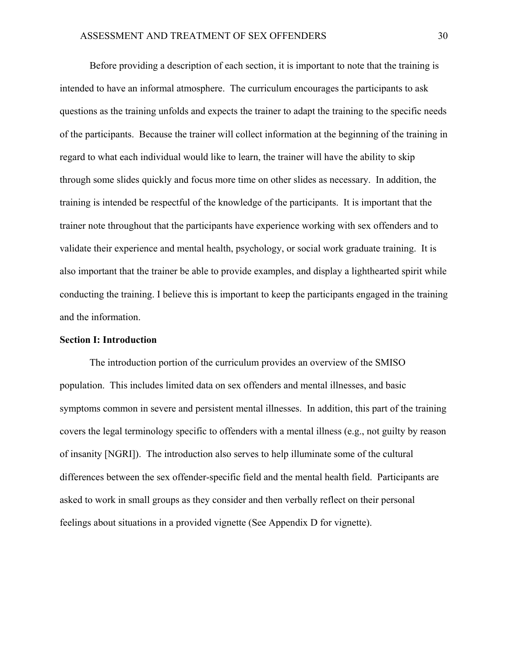Before providing a description of each section, it is important to note that the training is intended to have an informal atmosphere. The curriculum encourages the participants to ask questions as the training unfolds and expects the trainer to adapt the training to the specific needs of the participants. Because the trainer will collect information at the beginning of the training in regard to what each individual would like to learn, the trainer will have the ability to skip through some slides quickly and focus more time on other slides as necessary. In addition, the training is intended be respectful of the knowledge of the participants. It is important that the trainer note throughout that the participants have experience working with sex offenders and to validate their experience and mental health, psychology, or social work graduate training. It is also important that the trainer be able to provide examples, and display a lighthearted spirit while conducting the training. I believe this is important to keep the participants engaged in the training and the information.

#### **Section I: Introduction**

 The introduction portion of the curriculum provides an overview of the SMISO population. This includes limited data on sex offenders and mental illnesses, and basic symptoms common in severe and persistent mental illnesses. In addition, this part of the training covers the legal terminology specific to offenders with a mental illness (e.g., not guilty by reason of insanity [NGRI]). The introduction also serves to help illuminate some of the cultural differences between the sex offender-specific field and the mental health field. Participants are asked to work in small groups as they consider and then verbally reflect on their personal feelings about situations in a provided vignette (See Appendix D for vignette).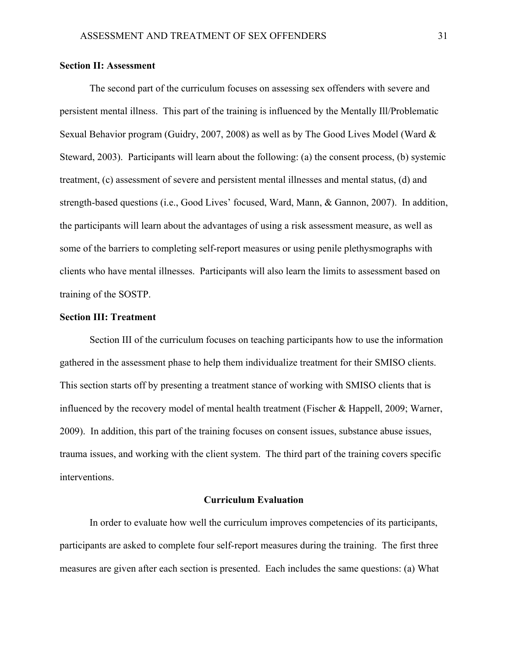## **Section II: Assessment**

The second part of the curriculum focuses on assessing sex offenders with severe and persistent mental illness. This part of the training is influenced by the Mentally Ill/Problematic Sexual Behavior program (Guidry, 2007, 2008) as well as by The Good Lives Model (Ward & Steward, 2003). Participants will learn about the following: (a) the consent process, (b) systemic treatment, (c) assessment of severe and persistent mental illnesses and mental status, (d) and strength-based questions (i.e., Good Lives' focused, Ward, Mann, & Gannon, 2007). In addition, the participants will learn about the advantages of using a risk assessment measure, as well as some of the barriers to completing self-report measures or using penile plethysmographs with clients who have mental illnesses. Participants will also learn the limits to assessment based on training of the SOSTP.

## **Section III: Treatment**

 Section III of the curriculum focuses on teaching participants how to use the information gathered in the assessment phase to help them individualize treatment for their SMISO clients. This section starts off by presenting a treatment stance of working with SMISO clients that is influenced by the recovery model of mental health treatment (Fischer & Happell, 2009; Warner, 2009). In addition, this part of the training focuses on consent issues, substance abuse issues, trauma issues, and working with the client system. The third part of the training covers specific interventions.

## **Curriculum Evaluation**

In order to evaluate how well the curriculum improves competencies of its participants, participants are asked to complete four self-report measures during the training. The first three measures are given after each section is presented. Each includes the same questions: (a) What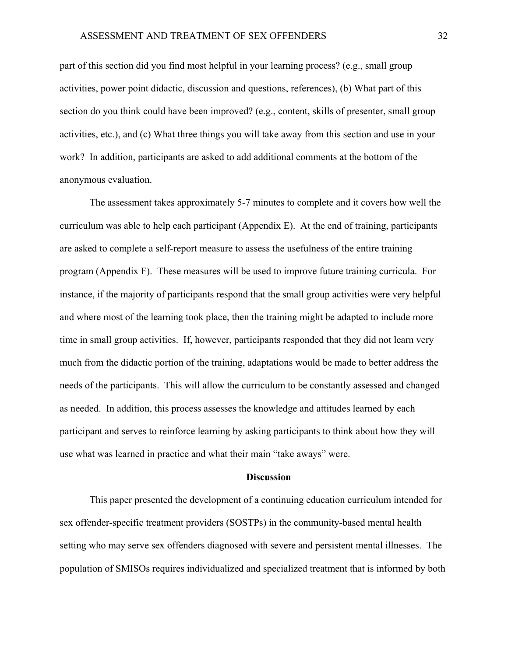part of this section did you find most helpful in your learning process? (e.g., small group activities, power point didactic, discussion and questions, references), (b) What part of this section do you think could have been improved? (e.g., content, skills of presenter, small group activities, etc.), and (c) What three things you will take away from this section and use in your work? In addition, participants are asked to add additional comments at the bottom of the anonymous evaluation.

The assessment takes approximately 5-7 minutes to complete and it covers how well the curriculum was able to help each participant (Appendix E). At the end of training, participants are asked to complete a self-report measure to assess the usefulness of the entire training program (Appendix F). These measures will be used to improve future training curricula. For instance, if the majority of participants respond that the small group activities were very helpful and where most of the learning took place, then the training might be adapted to include more time in small group activities. If, however, participants responded that they did not learn very much from the didactic portion of the training, adaptations would be made to better address the needs of the participants. This will allow the curriculum to be constantly assessed and changed as needed. In addition, this process assesses the knowledge and attitudes learned by each participant and serves to reinforce learning by asking participants to think about how they will use what was learned in practice and what their main "take aways" were.

## **Discussion**

This paper presented the development of a continuing education curriculum intended for sex offender-specific treatment providers (SOSTPs) in the community-based mental health setting who may serve sex offenders diagnosed with severe and persistent mental illnesses. The population of SMISOs requires individualized and specialized treatment that is informed by both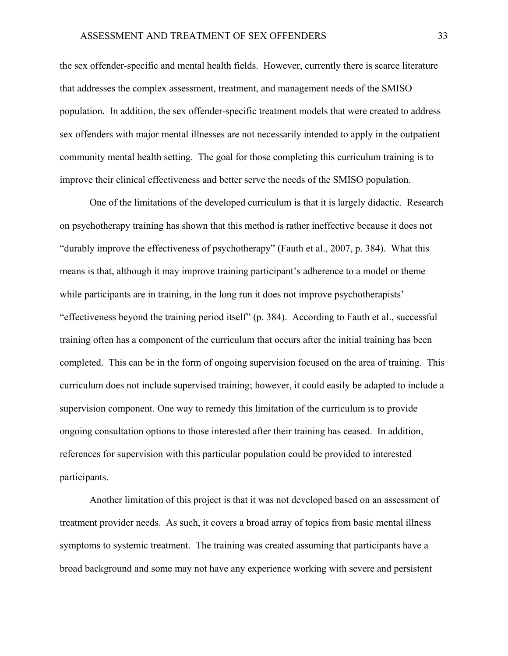the sex offender-specific and mental health fields. However, currently there is scarce literature that addresses the complex assessment, treatment, and management needs of the SMISO population. In addition, the sex offender-specific treatment models that were created to address sex offenders with major mental illnesses are not necessarily intended to apply in the outpatient community mental health setting. The goal for those completing this curriculum training is to improve their clinical effectiveness and better serve the needs of the SMISO population.

One of the limitations of the developed curriculum is that it is largely didactic. Research on psychotherapy training has shown that this method is rather ineffective because it does not "durably improve the effectiveness of psychotherapy" (Fauth et al., 2007, p. 384). What this means is that, although it may improve training participant's adherence to a model or theme while participants are in training, in the long run it does not improve psychotherapists' "effectiveness beyond the training period itself" (p. 384). According to Fauth et al., successful training often has a component of the curriculum that occurs after the initial training has been completed. This can be in the form of ongoing supervision focused on the area of training. This curriculum does not include supervised training; however, it could easily be adapted to include a supervision component. One way to remedy this limitation of the curriculum is to provide ongoing consultation options to those interested after their training has ceased. In addition, references for supervision with this particular population could be provided to interested participants.

Another limitation of this project is that it was not developed based on an assessment of treatment provider needs. As such, it covers a broad array of topics from basic mental illness symptoms to systemic treatment. The training was created assuming that participants have a broad background and some may not have any experience working with severe and persistent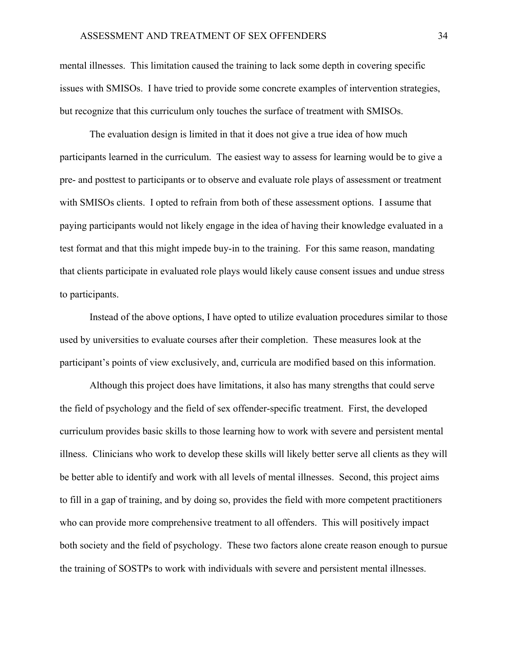mental illnesses. This limitation caused the training to lack some depth in covering specific issues with SMISOs. I have tried to provide some concrete examples of intervention strategies, but recognize that this curriculum only touches the surface of treatment with SMISOs.

The evaluation design is limited in that it does not give a true idea of how much participants learned in the curriculum. The easiest way to assess for learning would be to give a pre- and posttest to participants or to observe and evaluate role plays of assessment or treatment with SMISOs clients. I opted to refrain from both of these assessment options. I assume that paying participants would not likely engage in the idea of having their knowledge evaluated in a test format and that this might impede buy-in to the training. For this same reason, mandating that clients participate in evaluated role plays would likely cause consent issues and undue stress to participants.

Instead of the above options, I have opted to utilize evaluation procedures similar to those used by universities to evaluate courses after their completion. These measures look at the participant's points of view exclusively, and, curricula are modified based on this information.

Although this project does have limitations, it also has many strengths that could serve the field of psychology and the field of sex offender-specific treatment. First, the developed curriculum provides basic skills to those learning how to work with severe and persistent mental illness. Clinicians who work to develop these skills will likely better serve all clients as they will be better able to identify and work with all levels of mental illnesses. Second, this project aims to fill in a gap of training, and by doing so, provides the field with more competent practitioners who can provide more comprehensive treatment to all offenders. This will positively impact both society and the field of psychology. These two factors alone create reason enough to pursue the training of SOSTPs to work with individuals with severe and persistent mental illnesses.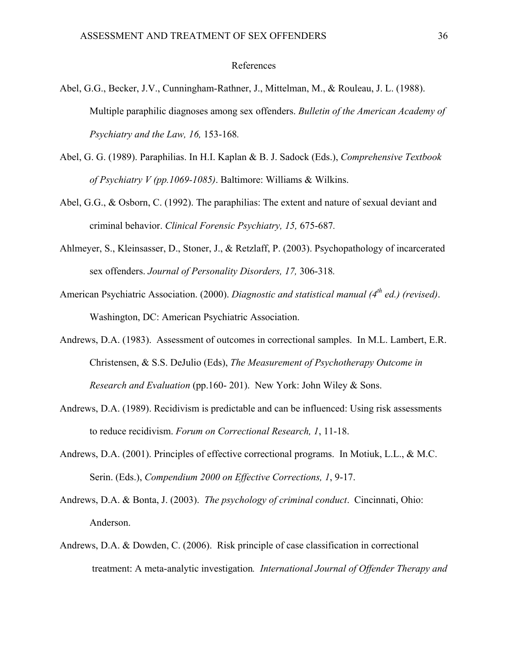## References

- Abel, G.G., Becker, J.V., Cunningham-Rathner, J., Mittelman, M., & Rouleau, J. L. (1988). Multiple paraphilic diagnoses among sex offenders. *Bulletin of the American Academy of Psychiatry and the Law, 16,* 153-168*.*
- Abel, G. G. (1989). Paraphilias. In H.I. Kaplan & B. J. Sadock (Eds.), *Comprehensive Textbook of Psychiatry V (pp.1069-1085)*. Baltimore: Williams & Wilkins.
- Abel, G.G., & Osborn, C. (1992). The paraphilias: The extent and nature of sexual deviant and criminal behavior. *Clinical Forensic Psychiatry, 15,* 675-687*.*
- Ahlmeyer, S., Kleinsasser, D., Stoner, J., & Retzlaff, P. (2003). Psychopathology of incarcerated sex offenders. *Journal of Personality Disorders, 17,* 306-318*.*
- American Psychiatric Association. (2000). *Diagnostic and statistical manual (4<sup>th</sup> ed.) (revised)*. Washington, DC: American Psychiatric Association.
- Andrews, D.A. (1983). Assessment of outcomes in correctional samples. In M.L. Lambert, E.R. Christensen, & S.S. DeJulio (Eds), *The Measurement of Psychotherapy Outcome in Research and Evaluation* (pp.160- 201). New York: John Wiley & Sons.
- Andrews, D.A. (1989). Recidivism is predictable and can be influenced: Using risk assessments to reduce recidivism. *Forum on Correctional Research, 1*, 11-18.
- Andrews, D.A. (2001). Principles of effective correctional programs. In Motiuk, L.L., & M.C. Serin. (Eds.), *Compendium 2000 on Effective Corrections, 1*, 9-17.
- Andrews, D.A. & Bonta, J. (2003). *The psychology of criminal conduct*. Cincinnati, Ohio: Anderson.
- Andrews, D.A. & Dowden, C. (2006). Risk principle of case classification in correctional treatment: A meta-analytic investigation*. International Journal of Offender Therapy and*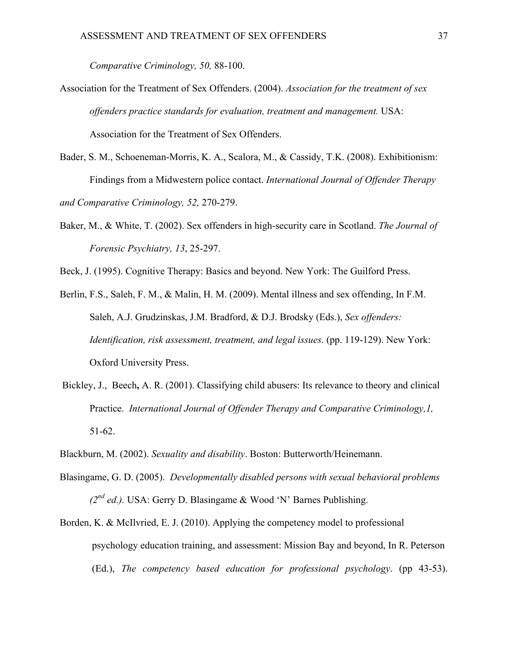*Comparative Criminology, 50,* 88-100.

- Association for the Treatment of Sex Offenders. (2004). *Association for the treatment of sex offenders practice standards for evaluation, treatment and management.* USA: Association for the Treatment of Sex Offenders.
- Bader, S. M., Schoeneman-Morris, K. A., Scalora, M., & Cassidy, T.K. (2008). Exhibitionism: Findings from a Midwestern police contact. *International Journal of Offender Therapy and Comparative Criminology, 52,* 270-279.
- Baker, M., & White, T. (2002). Sex offenders in high-security care in Scotland. *The Journal of Forensic Psychiatry, 13*, 25-297.

Beck, J. (1995). Cognitive Therapy: Basics and beyond. New York: The Guilford Press.

Berlin, F.S., Saleh, F. M., & Malin, H. M. (2009). Mental illness and sex offending, In F.M. Saleh, A.J. Grudzinskas, J.M. Bradford, & D.J. Brodsky (Eds.), *Sex offenders: Identification, risk assessment, treatment, and legal issues.* (pp. 119-129). New York: Oxford University Press.

- Bickley, J., Beech**,** A. R. (2001). Classifying child abusers: Its relevance to theory and clinical Practice. *International Journal of Offender Therapy and Comparative Criminology,1,* 51-62.
- Blackburn, M. (2002). *Sexuality and disability*. Boston: Butterworth/Heinemann.
- Blasingame, G. D. (2005). *Developmentally disabled persons with sexual behavioral problems (2nd ed.).* USA: Gerry D. Blasingame & Wood 'N' Barnes Publishing.
- Borden, K. & McIlvried, E. J. (2010). Applying the competency model to professional psychology education training, and assessment: Mission Bay and beyond, In R. Peterson (Ed.), *The competency based education for professional psychology*. (pp 43-53).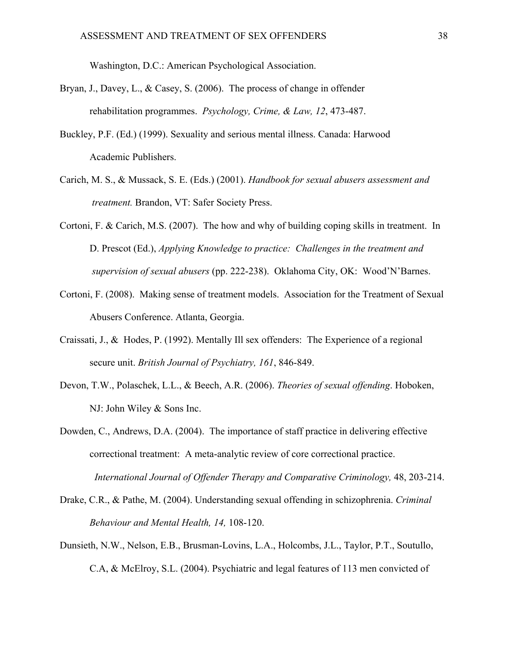Washington, D.C.: American Psychological Association.

- Bryan, J., Davey, L., & Casey, S. (2006). The process of change in offender rehabilitation programmes. *Psychology, Crime, & Law, 12*, 473-487.
- Buckley, P.F. (Ed.) (1999). Sexuality and serious mental illness. Canada: Harwood Academic Publishers.
- Carich, M. S., & Mussack, S. E. (Eds.) (2001). *Handbook for sexual abusers assessment and treatment.* Brandon, VT: Safer Society Press.
- Cortoni, F. & Carich, M.S. (2007). The how and why of building coping skills in treatment. In D. Prescot (Ed.), *Applying Knowledge to practice: Challenges in the treatment and supervision of sexual abusers* (pp. 222-238). Oklahoma City, OK: Wood'N'Barnes.
- Cortoni, F. (2008). Making sense of treatment models. Association for the Treatment of Sexual Abusers Conference. Atlanta, Georgia.
- Craissati, J., & Hodes, P. (1992). Mentally Ill sex offenders: The Experience of a regional secure unit. *British Journal of Psychiatry, 161*, 846-849.
- Devon, T.W., Polaschek, L.L., & Beech, A.R. (2006). *Theories of sexual offending*. Hoboken, NJ: John Wiley & Sons Inc.
- Dowden, C., Andrews, D.A. (2004). The importance of staff practice in delivering effective correctional treatment: A meta-analytic review of core correctional practice. *International Journal of Offender Therapy and Comparative Criminology,* 48, 203-214.
- Drake, C.R., & Pathe, M. (2004). Understanding sexual offending in schizophrenia. *Criminal Behaviour and Mental Health, 14,* 108-120.
- Dunsieth, N.W., Nelson, E.B., Brusman-Lovins, L.A., Holcombs, J.L., Taylor, P.T., Soutullo, C.A, & McElroy, S.L. (2004). Psychiatric and legal features of 113 men convicted of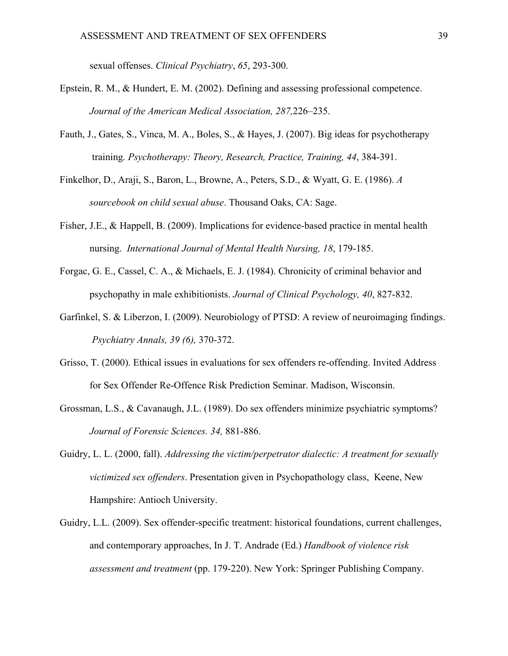sexual offenses. *Clinical Psychiatry*, *65*, 293-300.

- Epstein, R. M., & Hundert, E. M. (2002). Defining and assessing professional competence. *Journal of the American Medical Association, 287,*226–235.
- Fauth, J., Gates, S., Vinca, M. A., Boles, S., & Hayes, J. (2007). Big ideas for psychotherapy training*. Psychotherapy: Theory, Research, Practice, Training, 44*, 384-391.
- Finkelhor, D., Araji, S., Baron, L., Browne, A., Peters, S.D., & Wyatt, G. E. (1986). *A sourcebook on child sexual abuse*. Thousand Oaks, CA: Sage.
- Fisher, J.E., & Happell, B. (2009). Implications for evidence-based practice in mental health nursing. *International Journal of Mental Health Nursing, 18*, 179-185.
- Forgac, G. E., Cassel, C. A., & Michaels, E. J. (1984). Chronicity of criminal behavior and psychopathy in male exhibitionists. *Journal of Clinical Psychology, 40*, 827-832.
- Garfinkel, S. & Liberzon, I. (2009). Neurobiology of PTSD: A review of neuroimaging findings. *Psychiatry Annals, 39 (6),* 370-372.
- Grisso, T. (2000). Ethical issues in evaluations for sex offenders re-offending. Invited Address for Sex Offender Re-Offence Risk Prediction Seminar. Madison, Wisconsin.
- Grossman, L.S., & Cavanaugh, J.L. (1989). Do sex offenders minimize psychiatric symptoms? *Journal of Forensic Sciences. 34,* 881-886.
- Guidry, L. L. (2000, fall). *Addressing the victim/perpetrator dialectic: A treatment for sexually victimized sex offenders*. Presentation given in Psychopathology class, Keene, New Hampshire: Antioch University.
- Guidry, L.L. (2009). Sex offender-specific treatment: historical foundations, current challenges, and contemporary approaches, In J. T. Andrade (Ed.) *Handbook of violence risk assessment and treatment* (pp. 179-220). New York: Springer Publishing Company.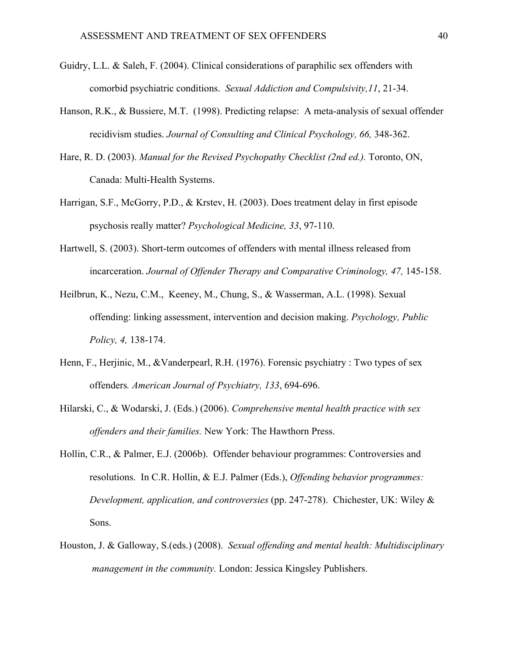- Guidry, L.L. & Saleh, F. (2004). Clinical considerations of paraphilic sex offenders with comorbid psychiatric conditions. *Sexual Addiction and Compulsivity,11*, 21-34.
- Hanson, R.K., & Bussiere, M.T. (1998). Predicting relapse: A meta-analysis of sexual offender recidivism studies. *Journal of Consulting and Clinical Psychology, 66,* 348-362.
- Hare, R. D. (2003). *Manual for the Revised Psychopathy Checklist (2nd ed.).* Toronto, ON, Canada: Multi-Health Systems.
- Harrigan, S.F., McGorry, P.D., & Krstev, H. (2003). Does treatment delay in first episode psychosis really matter? *Psychological Medicine, 33*, 97-110.
- Hartwell, S. (2003). Short-term outcomes of offenders with mental illness released from incarceration. *Journal of Offender Therapy and Comparative Criminology, 47, 145-158.*
- Heilbrun, K., Nezu, C.M., Keeney, M., Chung, S., & Wasserman, A.L. (1998). Sexual offending: linking assessment, intervention and decision making. *Psychology, Public Policy, 4,* 138-174.
- Henn, F., Herjinic, M., &Vanderpearl, R.H. (1976). Forensic psychiatry : Two types of sex offenders*. American Journal of Psychiatry, 133*, 694-696.
- Hilarski, C., & Wodarski, J. (Eds.) (2006). *Comprehensive mental health practice with sex offenders and their families.* New York: The Hawthorn Press.
- Hollin, C.R., & Palmer, E.J. (2006b). Offender behaviour programmes: Controversies and resolutions. In C.R. Hollin, & E.J. Palmer (Eds.), *Offending behavior programmes: Development, application, and controversies* (pp. 247-278). Chichester, UK: Wiley & Sons.
- Houston, J. & Galloway, S.(eds.) (2008). *Sexual offending and mental health: Multidisciplinary management in the community.* London: Jessica Kingsley Publishers.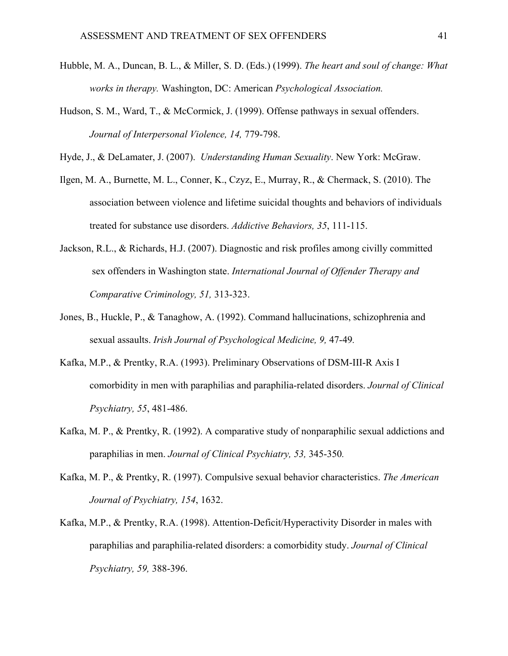- Hubble, M. A., Duncan, B. L., & Miller, S. D. (Eds.) (1999). *The heart and soul of change: What works in therapy.* Washington, DC: American *Psychological Association.*
- Hudson, S. M., Ward, T., & McCormick, J. (1999). Offense pathways in sexual offenders. *Journal of Interpersonal Violence, 14,* 779-798.

Hyde, J., & DeLamater, J. (2007). *Understanding Human Sexuality*. New York: McGraw.

- Ilgen, M. A., Burnette, M. L., Conner, K., Czyz, E., Murray, R., & Chermack, S. (2010). The association between violence and lifetime suicidal thoughts and behaviors of individuals treated for substance use disorders. *Addictive Behaviors, 35*, 111-115.
- Jackson, R.L., & Richards, H.J. (2007). Diagnostic and risk profiles among civilly committed sex offenders in Washington state. *International Journal of Offender Therapy and Comparative Criminology, 51,* 313-323.
- Jones, B., Huckle, P., & Tanaghow, A. (1992). Command hallucinations, schizophrenia and sexual assaults. *Irish Journal of Psychological Medicine, 9,* 47-49*.*
- Kafka, M.P., & Prentky, R.A. (1993). Preliminary Observations of DSM-III-R Axis I comorbidity in men with paraphilias and paraphilia-related disorders. *Journal of Clinical Psychiatry, 55*, 481-486.
- Kafka, M. P., & Prentky, R. (1992). A comparative study of nonparaphilic sexual addictions and paraphilias in men. *Journal of Clinical Psychiatry, 53,* 345-350*.*
- Kafka, M. P., & Prentky, R. (1997). Compulsive sexual behavior characteristics. *The American Journal of Psychiatry, 154*, 1632.
- Kafka, M.P., & Prentky, R.A. (1998). Attention-Deficit/Hyperactivity Disorder in males with paraphilias and paraphilia-related disorders: a comorbidity study. *Journal of Clinical Psychiatry, 59,* 388-396.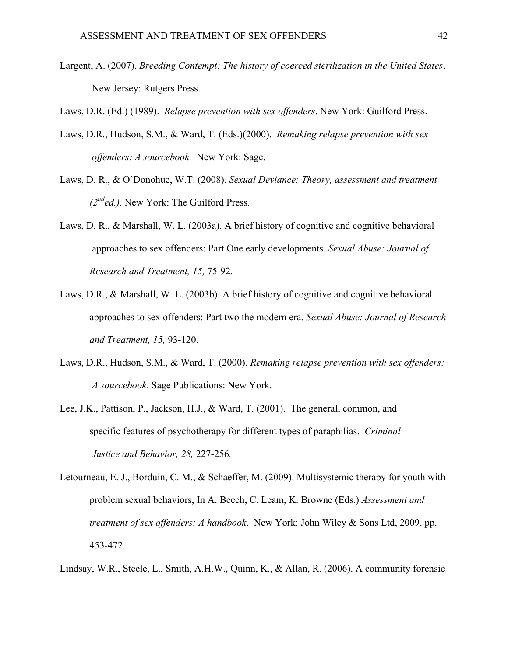- Largent, A. (2007). *Breeding Contempt: The history of coerced sterilization in the United States*. New Jersey: Rutgers Press.
- Laws, D.R. (Ed.) (1989). *Relapse prevention with sex offenders*. New York: Guilford Press.
- Laws, D.R., Hudson, S.M., & Ward, T. (Eds.)(2000). *Remaking relapse prevention with sex offenders: A sourcebook.* New York: Sage.
- Laws, D. R., & O'Donohue, W.T. (2008). *Sexual Deviance: Theory, assessment and treatment*   $(2^{nd}$ ed.). New York: The Guilford Press.
- Laws, D. R., & Marshall, W. L. (2003a). A brief history of cognitive and cognitive behavioral approaches to sex offenders: Part One early developments. *Sexual Abuse: Journal of Research and Treatment, 15,* 75-92*.*
- Laws, D.R., & Marshall, W. L. (2003b). A brief history of cognitive and cognitive behavioral approaches to sex offenders: Part two the modern era. *Sexual Abuse: Journal of Research and Treatment, 15,* 93-120.
- Laws, D.R., Hudson, S.M., & Ward, T. (2000). *Remaking relapse prevention with sex offenders: A sourcebook*. Sage Publications: New York.
- Lee, J.K., Pattison, P., Jackson, H.J., & Ward, T. (2001). The general, common, and specific features of psychotherapy for different types of paraphilias. *Criminal Justice and Behavior, 28,* 227-256*.*
- Letourneau, E. J., Borduin, C. M., & Schaeffer, M. (2009). Multisystemic therapy for youth with problem sexual behaviors, In A. Beech, C. Leam, K. Browne (Eds.) *Assessment and treatment of sex offenders: A handbook*. New York: John Wiley & Sons Ltd, 2009. pp. 453-472.

Lindsay, W.R., Steele, L., Smith, A.H.W., Quinn, K., & Allan, R. (2006). A community forensic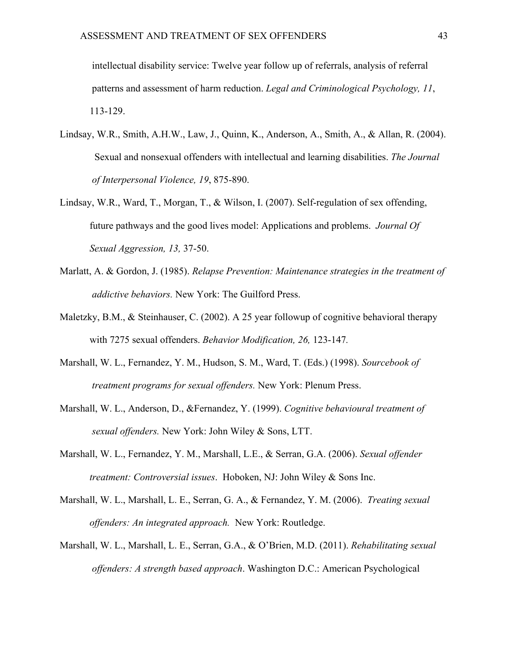intellectual disability service: Twelve year follow up of referrals, analysis of referral patterns and assessment of harm reduction. *Legal and Criminological Psychology, 11*, 113-129.

- Lindsay, W.R., Smith, A.H.W., Law, J., Quinn, K., Anderson, A., Smith, A., & Allan, R. (2004). Sexual and nonsexual offenders with intellectual and learning disabilities. *The Journal of Interpersonal Violence, 19*, 875-890.
- Lindsay, W.R., Ward, T., Morgan, T., & Wilson, I. (2007). Self-regulation of sex offending, future pathways and the good lives model: Applications and problems. *Journal Of Sexual Aggression, 13,* 37-50.
- Marlatt, A. & Gordon, J. (1985). *Relapse Prevention: Maintenance strategies in the treatment of addictive behaviors.* New York: The Guilford Press.
- Maletzky, B.M., & Steinhauser, C. (2002). A 25 year followup of cognitive behavioral therapy with 7275 sexual offenders. *Behavior Modification, 26,* 123-147*.*
- Marshall, W. L., Fernandez, Y. M., Hudson, S. M., Ward, T. (Eds.) (1998). *Sourcebook of treatment programs for sexual offenders.* New York: Plenum Press.
- Marshall, W. L., Anderson, D., &Fernandez, Y. (1999). *Cognitive behavioural treatment of sexual offenders.* New York: John Wiley & Sons, LTT.
- Marshall, W. L., Fernandez, Y. M., Marshall, L.E., & Serran, G.A. (2006). *Sexual offender treatment: Controversial issues*. Hoboken, NJ: John Wiley & Sons Inc.
- Marshall, W. L., Marshall, L. E., Serran, G. A., & Fernandez, Y. M. (2006). *Treating sexual offenders: An integrated approach.* New York: Routledge.
- Marshall, W. L., Marshall, L. E., Serran, G.A., & O'Brien, M.D. (2011). *Rehabilitating sexual offenders: A strength based approach*. Washington D.C.: American Psychological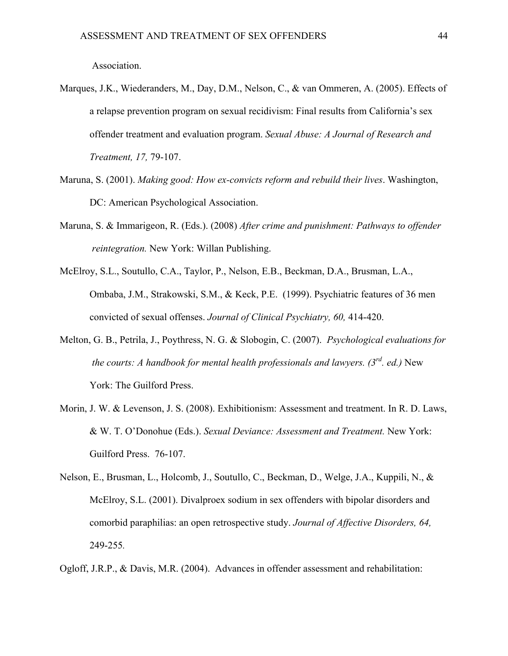Association.

- Marques, J.K., Wiederanders, M., Day, D.M., Nelson, C., & van Ommeren, A. (2005). Effects of a relapse prevention program on sexual recidivism: Final results from California's sex offender treatment and evaluation program. *Sexual Abuse: A Journal of Research and Treatment, 17,* 79-107.
- Maruna, S. (2001). *Making good: How ex-convicts reform and rebuild their lives*. Washington, DC: American Psychological Association.
- Maruna, S. & Immarigeon, R. (Eds.). (2008) *After crime and punishment: Pathways to offender reintegration.* New York: Willan Publishing.
- McElroy, S.L., Soutullo, C.A., Taylor, P., Nelson, E.B., Beckman, D.A., Brusman, L.A., Ombaba, J.M., Strakowski, S.M., & Keck, P.E. (1999). Psychiatric features of 36 men convicted of sexual offenses. *Journal of Clinical Psychiatry, 60,* 414-420.
- Melton, G. B., Petrila, J., Poythress, N. G. & Slobogin, C. (2007). *Psychological evaluations for the courts: A handbook for mental health professionals and lawyers. (3rd. ed.)* New York: The Guilford Press.
- Morin, J. W. & Levenson, J. S. (2008). Exhibitionism: Assessment and treatment. In R. D. Laws, & W. T. O'Donohue (Eds.). *Sexual Deviance: Assessment and Treatment.* New York: Guilford Press. 76-107.
- Nelson, E., Brusman, L., Holcomb, J., Soutullo, C., Beckman, D., Welge, J.A., Kuppili, N., & McElroy, S.L. (2001). Divalproex sodium in sex offenders with bipolar disorders and comorbid paraphilias: an open retrospective study. *Journal of Affective Disorders, 64,*  249-255*.*

Ogloff, J.R.P., & Davis, M.R. (2004). Advances in offender assessment and rehabilitation: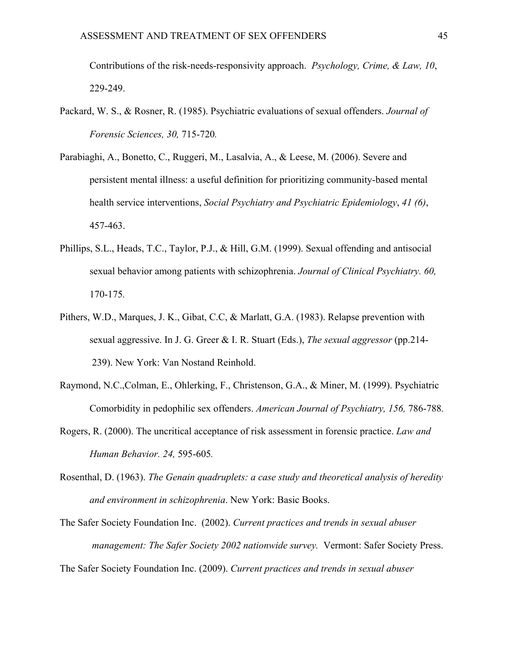Contributions of the risk-needs-responsivity approach. *Psychology, Crime, & Law, 10*, 229-249.

- Packard, W. S., & Rosner, R. (1985). Psychiatric evaluations of sexual offenders. *Journal of Forensic Sciences, 30,* 715-720*.*
- Parabiaghi, A., Bonetto, C., Ruggeri, M., Lasalvia, A., & Leese, M. (2006). Severe and persistent mental illness: a useful definition for prioritizing community-based mental health service interventions, *Social Psychiatry and Psychiatric Epidemiology*, *41 (6)*, 457-463.
- Phillips, S.L., Heads, T.C., Taylor, P.J., & Hill, G.M. (1999). Sexual offending and antisocial sexual behavior among patients with schizophrenia. *Journal of Clinical Psychiatry. 60,*  170-175*.*
- Pithers, W.D., Marques, J. K., Gibat, C.C, & Marlatt, G.A. (1983). Relapse prevention with sexual aggressive. In J. G. Greer & I. R. Stuart (Eds.), *The sexual aggressor* (pp.214- 239). New York: Van Nostand Reinhold.
- Raymond, N.C.,Colman, E., Ohlerking, F., Christenson, G.A., & Miner, M. (1999). Psychiatric Comorbidity in pedophilic sex offenders. *American Journal of Psychiatry, 156,* 786-788*.*
- Rogers, R. (2000). The uncritical acceptance of risk assessment in forensic practice. *Law and Human Behavior. 24,* 595-605*.*
- Rosenthal, D. (1963). *The Genain quadruplets: a case study and theoretical analysis of heredity and environment in schizophrenia*. New York: Basic Books.
- The Safer Society Foundation Inc. (2002). *Current practices and trends in sexual abuser management: The Safer Society 2002 nationwide survey.* Vermont: Safer Society Press.

The Safer Society Foundation Inc. (2009). *Current practices and trends in sexual abuser*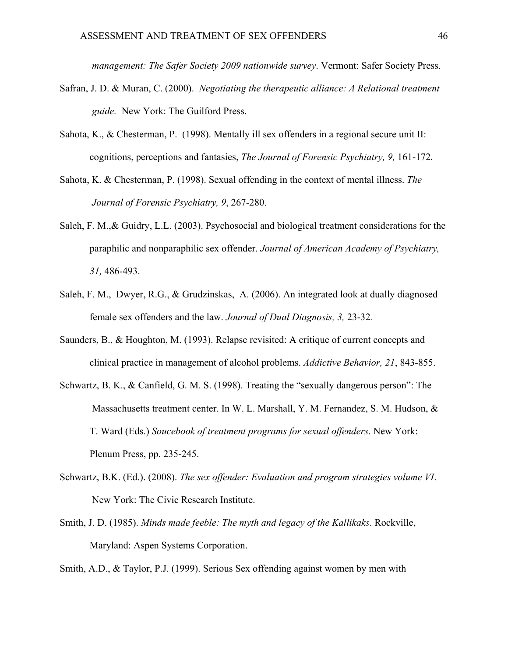*management: The Safer Society 2009 nationwide survey*. Vermont: Safer Society Press.

- Safran, J. D. & Muran, C. (2000). *Negotiating the therapeutic alliance: A Relational treatment guide.* New York: The Guilford Press.
- Sahota, K., & Chesterman, P. (1998). Mentally ill sex offenders in a regional secure unit II: cognitions, perceptions and fantasies, *The Journal of Forensic Psychiatry, 9,* 161-172*.*
- Sahota, K. & Chesterman, P. (1998). Sexual offending in the context of mental illness. *The Journal of Forensic Psychiatry, 9*, 267-280.
- Saleh, F. M.,& Guidry, L.L. (2003). Psychosocial and biological treatment considerations for the paraphilic and nonparaphilic sex offender. *Journal of American Academy of Psychiatry, 31,* 486-493.
- Saleh, F. M., Dwyer, R.G., & Grudzinskas, A. (2006). An integrated look at dually diagnosed female sex offenders and the law. *Journal of Dual Diagnosis, 3,* 23-32*.*
- Saunders, B., & Houghton, M. (1993). Relapse revisited: A critique of current concepts and clinical practice in management of alcohol problems. *Addictive Behavior, 21*, 843-855.
- Schwartz, B. K., & Canfield, G. M. S. (1998). Treating the "sexually dangerous person": The Massachusetts treatment center. In W. L. Marshall, Y. M. Fernandez, S. M. Hudson, & T. Ward (Eds.) *Soucebook of treatment programs for sexual offenders*. New York: Plenum Press, pp. 235-245.
- Schwartz, B.K. (Ed.). (2008). *The sex offender: Evaluation and program strategies volume VI*. New York: The Civic Research Institute.
- Smith, J. D. (1985). *Minds made feeble: The myth and legacy of the Kallikaks*. Rockville, Maryland: Aspen Systems Corporation.

Smith, A.D., & Taylor, P.J. (1999). Serious Sex offending against women by men with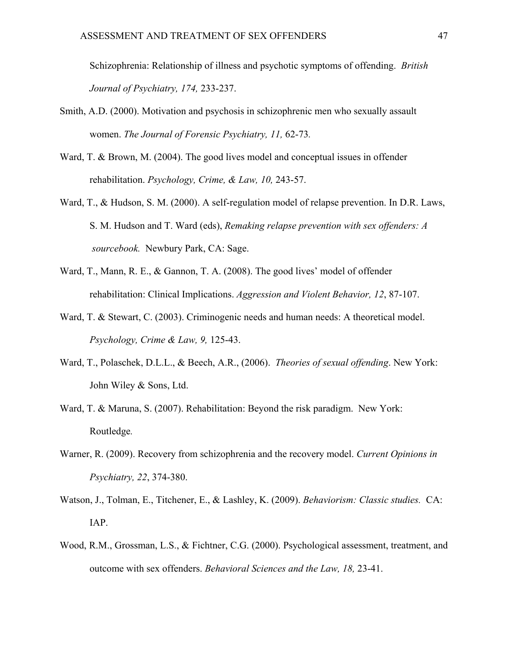Schizophrenia: Relationship of illness and psychotic symptoms of offending. *British Journal of Psychiatry, 174,* 233-237.

- Smith, A.D. (2000). Motivation and psychosis in schizophrenic men who sexually assault women. *The Journal of Forensic Psychiatry, 11,* 62-73*.*
- Ward, T. & Brown, M. (2004). The good lives model and conceptual issues in offender rehabilitation. *Psychology, Crime, & Law, 10,* 243-57.
- Ward, T., & Hudson, S. M. (2000). A self-regulation model of relapse prevention. In D.R. Laws, S. M. Hudson and T. Ward (eds), *Remaking relapse prevention with sex offenders: A sourcebook.* Newbury Park, CA: Sage.
- Ward, T., Mann, R. E., & Gannon, T. A. (2008). The good lives' model of offender rehabilitation: Clinical Implications. *Aggression and Violent Behavior, 12*, 87-107.
- Ward, T. & Stewart, C. (2003). Criminogenic needs and human needs: A theoretical model. *Psychology, Crime & Law, 9,* 125-43.
- Ward, T., Polaschek, D.L.L., & Beech, A.R., (2006). *Theories of sexual offending*. New York: John Wiley & Sons, Ltd.
- Ward, T. & Maruna, S. (2007). Rehabilitation: Beyond the risk paradigm. New York: Routledge*.*
- Warner, R. (2009). Recovery from schizophrenia and the recovery model. *Current Opinions in Psychiatry, 22*, 374-380.
- Watson, J., Tolman, E., Titchener, E., & Lashley, K. (2009). *Behaviorism: Classic studies.* CA: IAP.
- Wood, R.M., Grossman, L.S., & Fichtner, C.G. (2000). Psychological assessment, treatment, and outcome with sex offenders. *Behavioral Sciences and the Law, 18,* 23-41.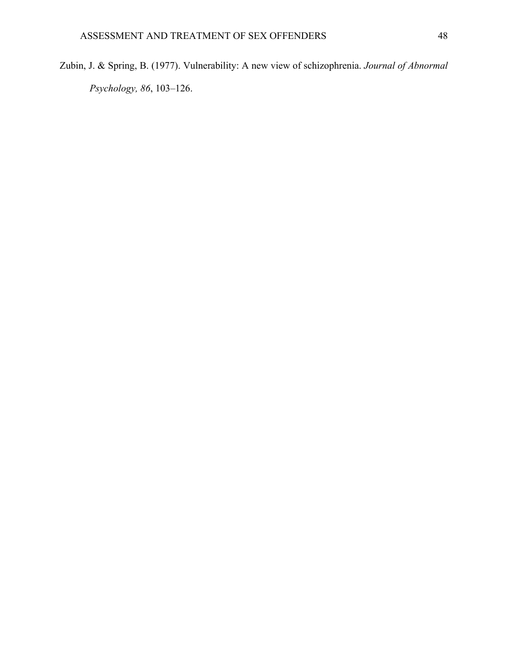Zubin, J. & Spring, B. (1977). Vulnerability: A new view of schizophrenia. *Journal of Abnormal Psychology, 86*, 103–126.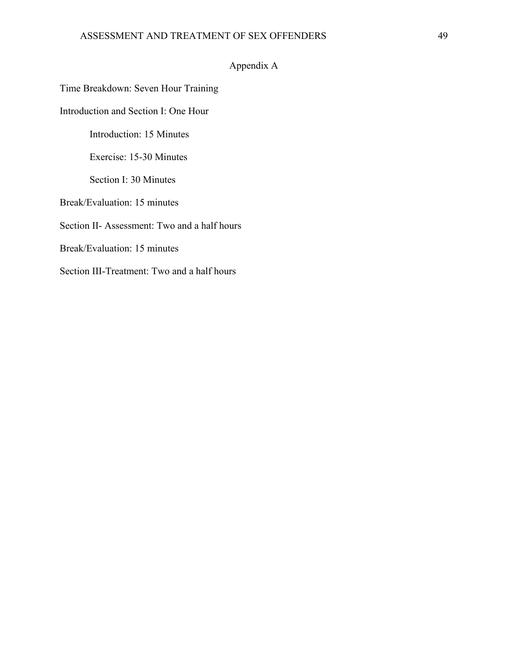## Appendix A

Time Breakdown: Seven Hour Training

Introduction and Section I: One Hour

Introduction: 15 Minutes

Exercise: 15-30 Minutes

Section I: 30 Minutes

Break/Evaluation: 15 minutes

Section II- Assessment: Two and a half hours

Break/Evaluation: 15 minutes

Section III-Treatment: Two and a half hours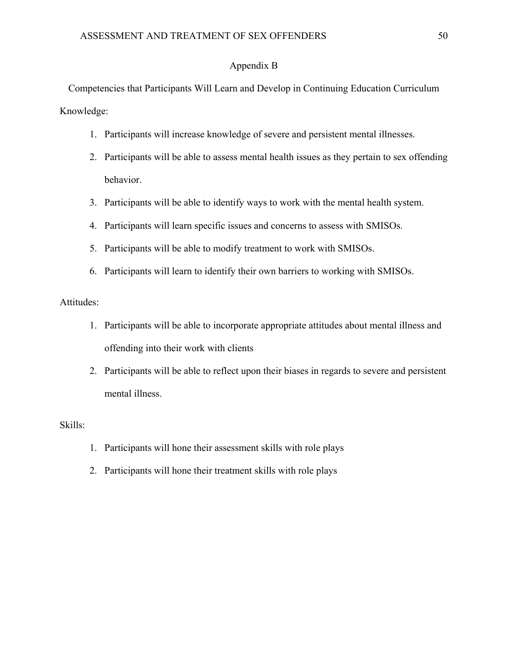## Appendix B

Competencies that Participants Will Learn and Develop in Continuing Education Curriculum Knowledge:

- 1. Participants will increase knowledge of severe and persistent mental illnesses.
- 2. Participants will be able to assess mental health issues as they pertain to sex offending behavior.
- 3. Participants will be able to identify ways to work with the mental health system.
- 4. Participants will learn specific issues and concerns to assess with SMISOs.
- 5. Participants will be able to modify treatment to work with SMISOs.
- 6. Participants will learn to identify their own barriers to working with SMISOs.

## Attitudes:

- 1. Participants will be able to incorporate appropriate attitudes about mental illness and offending into their work with clients
- 2. Participants will be able to reflect upon their biases in regards to severe and persistent mental illness.

## Skills:

- 1. Participants will hone their assessment skills with role plays
- 2. Participants will hone their treatment skills with role plays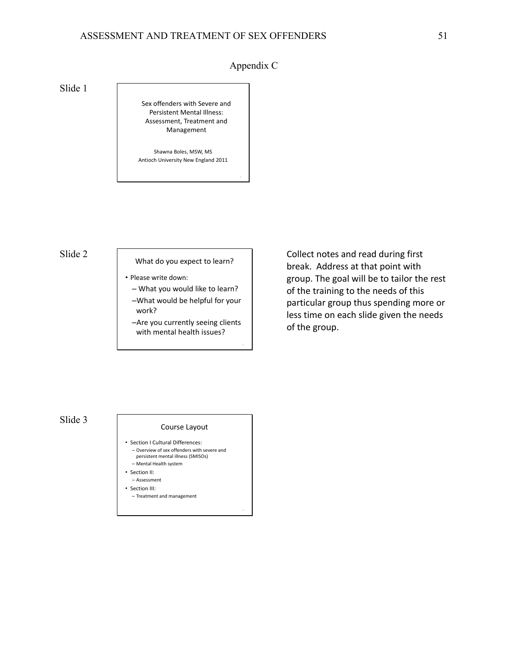## Appendix C

Slide 1

Sex offenders with Severe and Persistent Mental Illness: Assessment, Treatment and Management

Shawna Boles, MSW, MS Antioch University New England 2011

## Slide 2

- What do you expect to learn?
- Please write down:
	- What you would like to learn? –What would be helpful for your work?
	- –Are you currently seeing clients with mental health issues?

Collect notes and read during first break. Address at that point with group. The goal will be to tailor the rest of the training to the needs of this particular group thus spending more or less time on each slide given the needs of the group.

Slide 3

### Course Layout

- Section I Cultural Differences:
	- Overview of sex offenders with severe and persistent mental illness (SMISOs)
	- Mental Health system
- Section II:
- Assessment • Section III:
- Treatment and management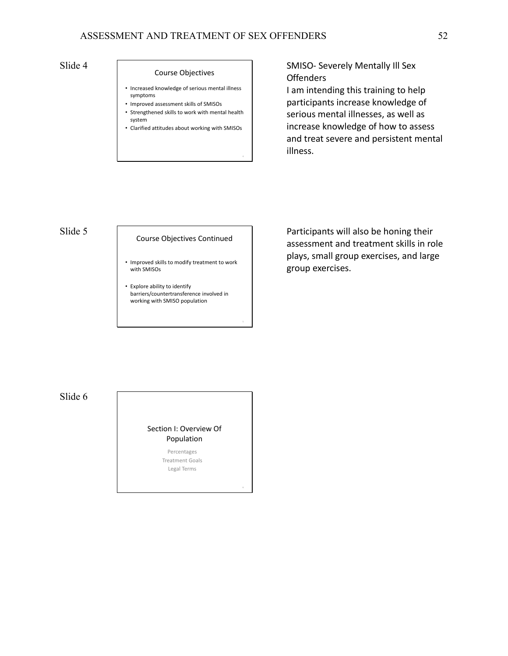### Course Objectives

- Increased knowledge of serious mental illness symptoms
- Improved assessment skills of SMISOs
- Strengthened skills to work with mental health system
- Clarified attitudes about working with SMISOs

SMISO- Severely Mentally Ill Sex **Offenders** 

I am intending this training to help participants increase knowledge of serious mental illnesses, as well as increase knowledge of how to assess and treat severe and persistent mental illness.

## Slide 5

#### Course Objectives Continued

- Improved skills to modify treatment to work with SMISOs
- Explore ability to identify barriers/countertransference involved in working with SMISO population

Participants will also be honing their assessment and treatment skills in role plays, small group exercises, and large group exercises.

Slide 6

## Section I: Overview Of Population

Percentages Treatment Goals Legal Terms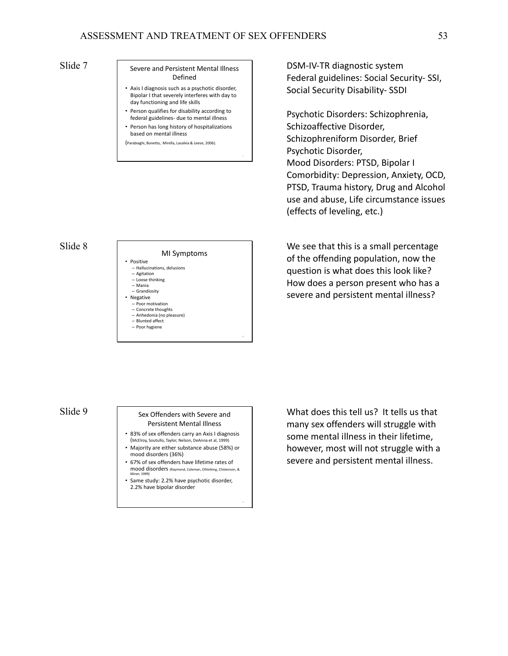## Slide 7 Severe and Persistent Mental Illness Defined

- Axis I diagnosis such as a psychotic disorder, Bipolar I that severely interferes with day to day functioning and life skills
- Person qualifies for disability according to federal guidelines- due to mental illness
- Person has long history of hospitalizations based on mental illness

(Parabiaghi, Bonetto, Mirella, Lasalvia & Leese, 2006).

## Slide 8

## MI Symptoms

- Positive – Hallucinations, delusions
- Agitation – Loose thinking
- Mania
- Grandiosity • Negative
- Poor motivation
- Concrete thoughts
- Anhedonia (no pleasure) – Blunted affect
- Poor hygiene

DSM-IV-TR diagnostic system Federal guidelines: Social Security- SSI, Social Security Disability- SSDI

Psychotic Disorders: Schizophrenia, Schizoaffective Disorder, Schizophreniform Disorder, Brief Psychotic Disorder, Mood Disorders: PTSD, Bipolar I Comorbidity: Depression, Anxiety, OCD, PTSD, Trauma history, Drug and Alcohol use and abuse, Life circumstance issues (effects of leveling, etc.)

We see that this is a small percentage of the offending population, now the question is what does this look like? How does a person present who has a severe and persistent mental illness?

## Slide 9 Sex Offenders with Severe and Persistent Mental Illness

- 83% of sex offenders carry an Axis I diagnosis (McElroy, Soutullo, Taylor, Nelson, DeAnna et al, 1999)
- Majority are either substance abuse (58%) or mood disorders (36%)
- 67% of sex offenders have lifetime rates of mood disorders (Raymond, Coleman, Ohlerking, Chistenson, & Miner, 1999)
- Same study: 2.2% have psychotic disorder, 2.2% have bipolar disorder

What does this tell us? It tells us that many sex offenders will struggle with some mental illness in their lifetime, however, most will not struggle with a severe and persistent mental illness.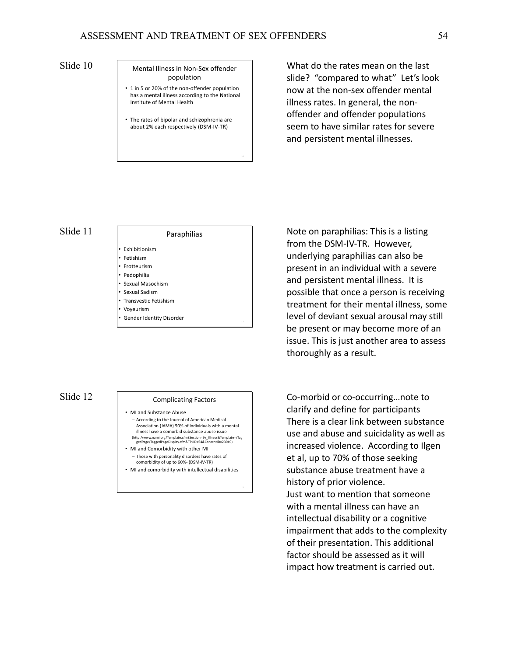## Slide 10 Mental Illness in Non-Sex offender population

- 1 in 5 or 20% of the non-offender population has a mental illness according to the National Institute of Mental Health
- The rates of bipolar and schizophrenia are about 2% each respectively (DSM-IV-TR)

What do the rates mean on the last slide? "compared to what" Let's look now at the non-sex offender mental illness rates. In general, the nonoffender and offender populations seem to have similar rates for severe and persistent mental illnesses.

# Slide 11 Paraphilias

- **Exhibitionism**
- Fetishism
- **Frotteurism** • Pedophilia
- 
- Sexual Masochism Sexual Sadism
- Transvestic Fetishism
- Voyeurism
- Gender Identity Disorder

# Slide 12 Complicating Factors

- MI and Substance Abuse – According to the Journal of American Medical
- Association (JAMA) 50% of individuals with a mental illness have a comorbid substance abuse issue (http://www.nami.org/Template.cfm?Section=By\_Illness&Template=/Tag gedPage/TaggedPageDisplay.cfm&TPLID=54&ContentID=23049)
- MI and Comorbidity with other MI – Those with personality disorders have rates of
- comorbidity of up to 60%- (DSM-IV-TR) • MI and comorbidity with intellectual disabilities

Note on paraphilias: This is a listing from the DSM-IV-TR. However, underlying paraphilias can also be present in an individual with a severe and persistent mental illness. It is possible that once a person is receiving treatment for their mental illness, some level of deviant sexual arousal may still be present or may become more of an issue. This is just another area to assess thoroughly as a result.

Co-morbid or co-occurring…note to clarify and define for participants There is a clear link between substance use and abuse and suicidality as well as increased violence. According to Ilgen et al, up to 70% of those seeking substance abuse treatment have a history of prior violence. Just want to mention that someone with a mental illness can have an intellectual disability or a cognitive impairment that adds to the complexity of their presentation. This additional factor should be assessed as it will impact how treatment is carried out.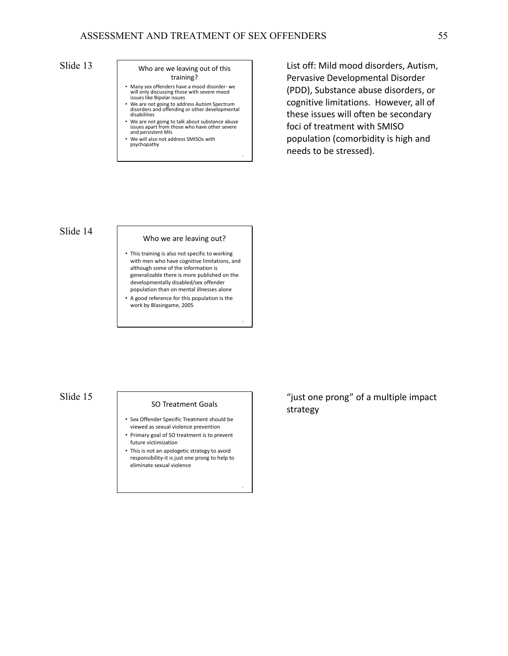## Slide 13 Who are we leaving out of this training?

- Many sex offenders have a mood disorder- we will only discussing those with severe mood issues like Bipolar issues
- We are not going to address Autism Spectrum disorders and offending or other developmental disabilities
- We are not going to talk about substance abuse issues apart from those who have other severe and persistent MIs
- We will also not address SMISOs with psychopathy

List off: Mild mood disorders, Autism, Pervasive Developmental Disorder (PDD), Substance abuse disorders, or cognitive limitations. However, all of these issues will often be secondary foci of treatment with SMISO population (comorbidity is high and needs to be stressed).

## Slide 14

#### Who we are leaving out?

- This training is also not specific to working with men who have cognitive limitations, and although some of the information is generalizable there is more published on the developmentally disabled/sex offender
- population than on mental illnesses alone • A good reference for this population is the work by Blasingame, 2005

## Slide 15

#### SO Treatment Goals

- Sex Offender Specific Treatment should be viewed as sexual violence prevention
- Primary goal of SO treatment is to prevent
- future victimization • This is not an apologetic strategy to avoid
- responsibility-it is just one prong to help to eliminate sexual violence

"just one prong" of a multiple impact strategy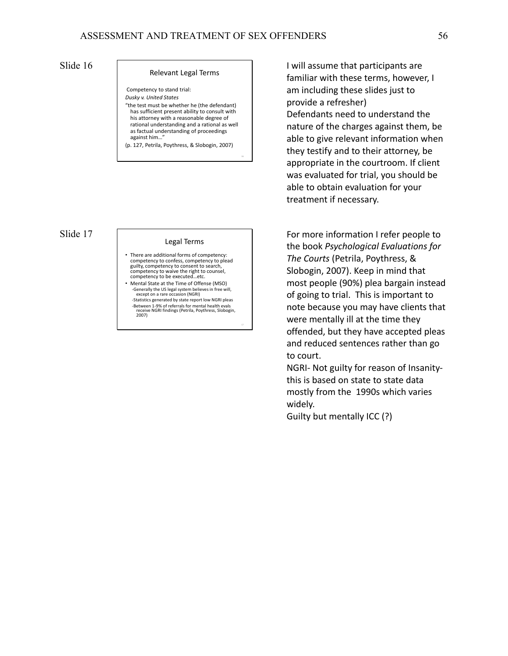#### Relevant Legal Terms

Competency to stand trial: *Dusky v. United States* "the test must be whether he (the defendant) has sufficient present ability to consult with his attorney with a reasonable degree of rational understanding and a rational as well as factual understanding of proceedings against him...

(p. 127, Petrila, Poythress, & Slobogin, 2007)

## Slide 17

#### Legal Terms

- There are additional forms of competency: competency to confess, competency to plead guilty, competency to consent to search, competency to waive the right to counsel, competency to be executed…etc.
- Mental State at the Time of Offense (MSO) -Generally the US legal system believes in free will, except on a rare occasion (NGRI) -Statistics generated by state report low NGRI pleas
	- -Between 1-9% of referrals for mental health evals receive NGRI findings (Petrila, Poythress, Slobogin, 2007)

I will assume that participants are familiar with these terms, however, I am including these slides just to provide a refresher) Defendants need to understand the nature of the charges against them, be able to give relevant information when they testify and to their attorney, be appropriate in the courtroom. If client was evaluated for trial, you should be able to obtain evaluation for your treatment if necessary.

For more information I refer people to the book *Psychological Evaluations for The Courts* (Petrila, Poythress, & Slobogin, 2007). Keep in mind that most people (90%) plea bargain instead of going to trial. This is important to note because you may have clients that were mentally ill at the time they offended, but they have accepted pleas and reduced sentences rather than go to court.

NGRI- Not guilty for reason of Insanitythis is based on state to state data mostly from the 1990s which varies widely.

Guilty but mentally ICC (?)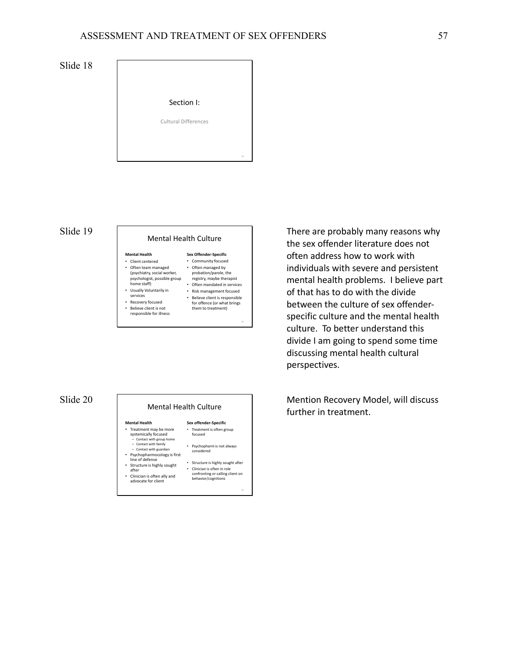

Slide 19



Slide 20



There are probably many reasons why the sex offender literature does not often address how to work with individuals with severe and persistent mental health problems. I believe part of that has to do with the divide between the culture of sex offenderspecific culture and the mental health culture. To better understand this divide I am going to spend some time discussing mental health cultural perspectives.

Mention Recovery Model, will discuss further in treatment.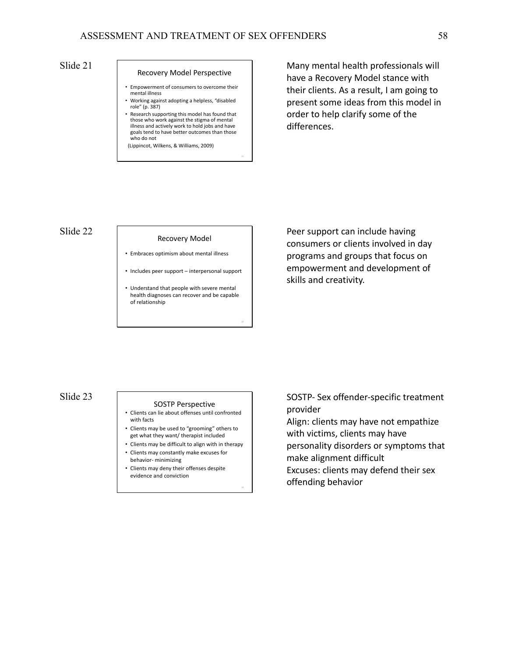#### Recovery Model Perspective

- Empowerment of consumers to overcome their mental illness
- Working against adopting a helpless, "disabled role" (p. 387)
- Research supporting this model has found that those who work against the stigma of mental illness and actively work to hold jobs and have goals tend to have better outcomes than those who do not

(Lippincot, Wilkens, & Williams, 2009)

Many mental health professionals will have a Recovery Model stance with their clients. As a result, I am going to present some ideas from this model in order to help clarify some of the differences.

## Slide 22

#### Recovery Model

- Embraces optimism about mental illness
- Includes peer support interpersonal support
- Understand that people with severe mental health diagnoses can recover and be capable of relationship

Peer support can include having consumers or clients involved in day programs and groups that focus on empowerment and development of skills and creativity.

## Slide 23

#### SOSTP Perspective

- Clients can lie about offenses until confronted with facts • Clients may be used to "grooming" others to
- get what they want/ therapist included • Clients may be difficult to align with in therapy
- Clients may constantly make excuses for
- behavior- minimizing
- Clients may deny their offenses despite evidence and conviction

SOSTP- Sex offender-specific treatment provider

Align: clients may have not empathize with victims, clients may have personality disorders or symptoms that

make alignment difficult

Excuses: clients may defend their sex offending behavior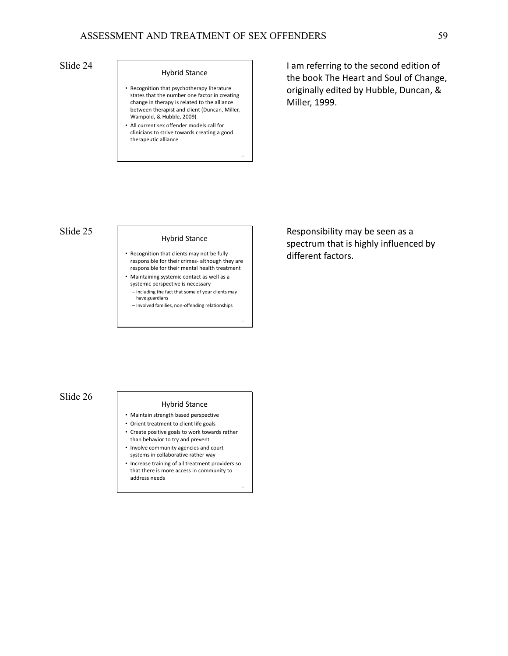## Hybrid Stance

- Recognition that psychotherapy literature states that the number one factor in creating change in therapy is related to the alliance between therapist and client (Duncan, Miller, Wampold, & Hubble, 2009)
- All current sex offender models call for clinicians to strive towards creating a good therapeutic alliance

I am referring to the second edition of the book The Heart and Soul of Change, originally edited by Hubble, Duncan, & Miller, 1999.

Slide 25

### Hybrid Stance

- Recognition that clients may not be fully responsible for their crimes- although they are responsible for their mental health treatment
- Maintaining systemic contact as well as a systemic perspective is necessary
	- Including the fact that some of your clients may have guardians
- Involved families, non-offending relationships

Responsibility may be seen as a spectrum that is highly influenced by different factors.

Slide 26

### Hybrid Stance

- Maintain strength based perspective
- Orient treatment to client life goals
- Create positive goals to work towards rather than behavior to try and prevent
- Involve community agencies and court systems in collaborative rather way
- Increase training of all treatment providers so that there is more access in community to address needs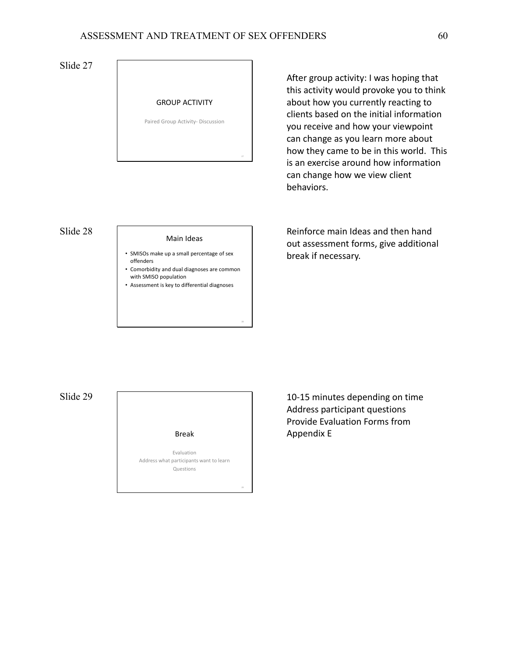## GROUP ACTIVITY

Paired Group Activity- Discussion

After group activity: I was hoping that this activity would provoke you to think about how you currently reacting to clients based on the initial information you receive and how your viewpoint can change as you learn more about how they came to be in this world. This is an exercise around how information can change how we view client behaviors.

Slide 28

#### Main Ideas

- SMISOs make up a small percentage of sex offenders
- Comorbidity and dual diagnoses are common with SMISO population
- Assessment is key to differential diagnoses

Reinforce main Ideas and then hand out assessment forms, give additional break if necessary.

Slide 29



10-15 minutes depending on time Address participant questions Provide Evaluation Forms from Appendix E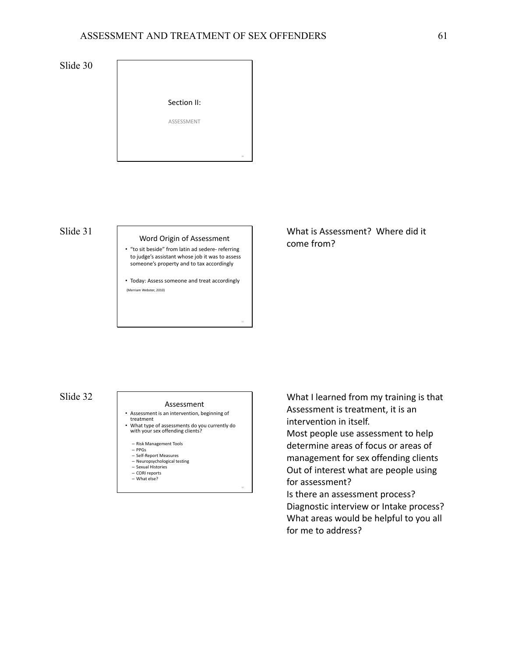

Slide 31

#### Word Origin of Assessment

• "to sit beside" from latin ad sedere- referring to judge's assistant whose job it was to assess someone's property and to tax accordingly

• Today: Assess someone and treat accordingly (Merriam Webster, 2010)

What is Assessment? Where did it come from?

Slide 32

#### Assessment

- Assessment is an intervention, beginning of treatment
- What type of assessments do you currently do with your sex offending clients?
	- Risk Management Tools
	- PPGs Self-Report Measures
	- Neuropsychological testing
	- Sexual Histories – CORI reports
	- What else?

What I learned from my training is that Assessment is treatment, it is an intervention in itself. Most people use assessment to help determine areas of focus or areas of management for sex offending clients Out of interest what are people using for assessment? Is there an assessment process?

Diagnostic interview or Intake process? What areas would be helpful to you all for me to address?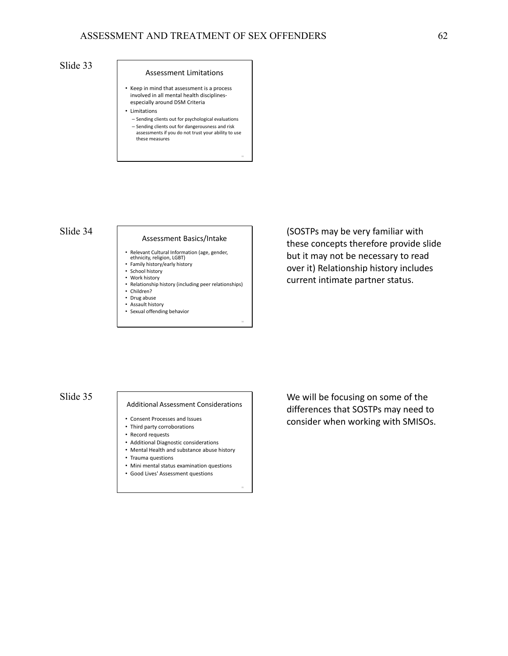#### Assessment Limitations

- Keep in mind that assessment is a process involved in all mental health disciplinesespecially around DSM Criteria
- Limitations
- Sending clients out for psychological evaluations – Sending clients out for dangerousness and risk assessments if you do not trust your ability to use these measures

Slide 34

#### Assessment Basics/Intake

- Relevant Cultural Information (age, gender, ethnicity, religion, LGBT)
- Family history/early history
- School history
- Work history
- Relationship history (including peer relationships)
- Children?
- Drug abuse • Assault history
- Sexual offending behavior

(SOSTPs may be very familiar with these concepts therefore provide slide but it may not be necessary to read over it) Relationship history includes current intimate partner status.

## Slide 35

### Additional Assessment Considerations

- Consent Processes and Issues
- Third party corroborations
- Record requests
- Additional Diagnostic considerations
- Mental Health and substance abuse history
- Trauma questions
- Mini mental status examination questions
- Good Lives' Assessment questions

We will be focusing on some of the differences that SOSTPs may need to consider when working with SMISOs.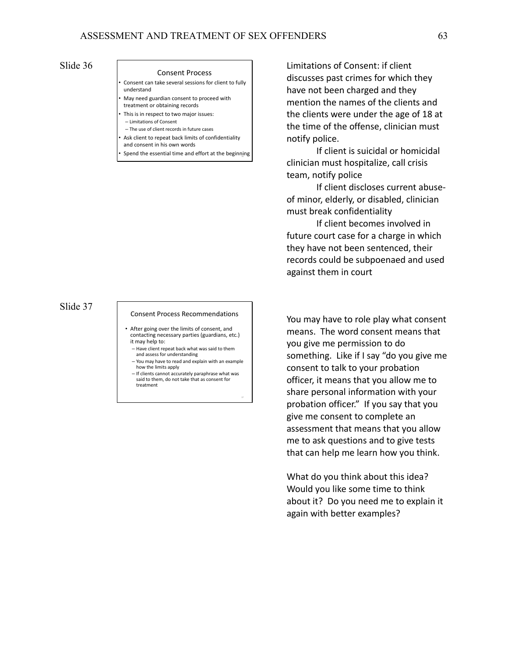#### Consent Process

- Consent can take several sessions for client to fully understand
- May need guardian consent to proceed with treatment or obtaining records
- This is in respect to two major issues: – Limitations of Consent
- The use of client records in future cases
- Ask client to repeat back limits of confidentiality
- and consent in his own words
- Spend the essential time and effort at the beginning
- 

Slide 37

#### Consent Process Recommendations

- After going over the limits of consent, and contacting necessary parties (guardians, etc.) it may help to:
	- Have client repeat back what was said to them and assess for understanding
	- You may have to read and explain with an example how the limits apply
	- If clients cannot accurately paraphrase what was said to them, do not take that as consent for treatment

Limitations of Consent: if client discusses past crimes for which they have not been charged and they mention the names of the clients and the clients were under the age of 18 at the time of the offense, clinician must notify police.

 If client is suicidal or homicidal clinician must hospitalize, call crisis team, notify police

 If client discloses current abuseof minor, elderly, or disabled, clinician must break confidentiality

 If client becomes involved in future court case for a charge in which they have not been sentenced, their records could be subpoenaed and used against them in court

You may have to role play what consent means. The word consent means that you give me permission to do something. Like if I say "do you give me consent to talk to your probation officer, it means that you allow me to share personal information with your probation officer." If you say that you give me consent to complete an assessment that means that you allow me to ask questions and to give tests that can help me learn how you think.

What do you think about this idea? Would you like some time to think about it? Do you need me to explain it again with better examples?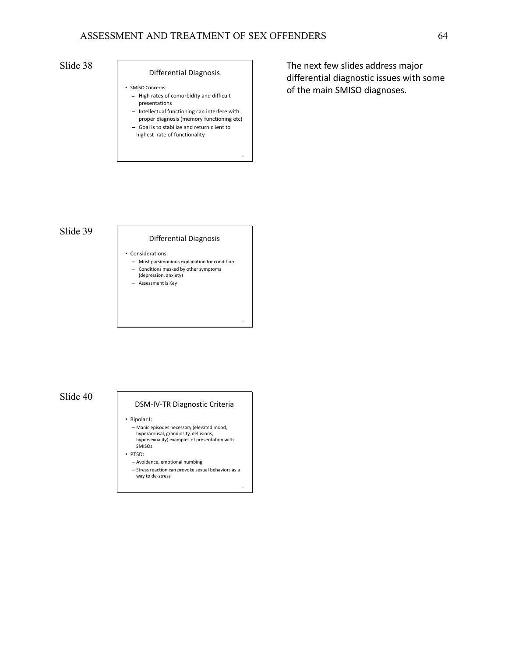### Differential Diagnosis

#### • SMISO Concerns:

- High rates of comorbidity and difficult presentations
- Intellectual functioning can interfere with proper diagnosis (memory functioning etc)
- Goal is to stabilize and return client to highest rate of functionality

The next few slides address major differential diagnostic issues with some of the main SMISO diagnoses.

## Slide 39

#### Differential Diagnosis

• Considerations:

- Most parsimonious explanation for condition – Conditions masked by other symptoms
- (depression, anxiety)
- Assessment is Key

## Slide 40

#### DSM-IV-TR Diagnostic Criteria

#### • Bipolar I:

- Manic episodes necessary (elevated mood, hyperarousal, grandiosity, delusions, hypersexuality) examples of presentation with SMISOs
- PTSD:
	- Avoidance, emotional numbing
	- Stress reaction can provoke sexual behaviors as a way to de-stress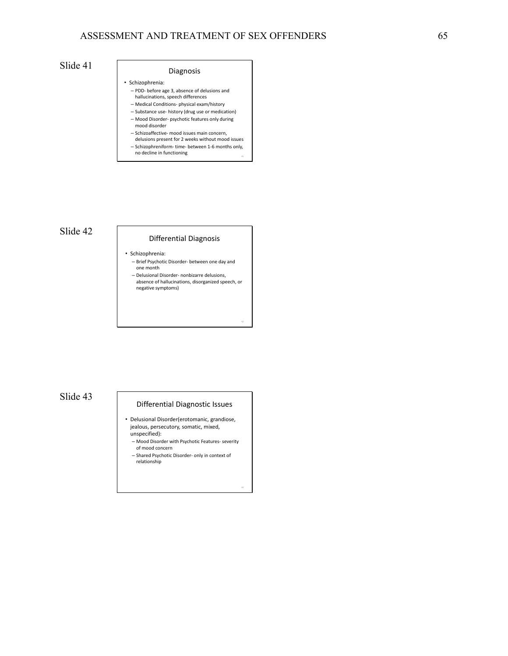## ASSESSMENT AND TREATMENT OF SEX OFFENDERS 65

# Slide 41 Diagnosis

- Schizophrenia:
	- PDD- before age 3, absence of delusions and hallucinations, speech differences
	- Medical Conditions- physical exam/history
	- Substance use- history (drug use or medication)
	- Mood Disorder- psychotic features only during
- mood disorder – Schizoaffective- mood issues main concern, delusions present for 2 weeks without mood issues
- Schizophreniform- time- between 1-6 months only, no decline in functioning

## Slide 42

### Differential Diagnosis

• Schizophrenia:

- Brief Psychotic Disorder- between one day and one month
- Delusional Disorder- nonbizarre delusions, absence of hallucinations, disorganized speech, or negative symptoms)

## Slide 43

### Differential Diagnostic Issues

- Delusional Disorder(erotomanic, grandiose, jealous, persecutory, somatic, mixed, unspecified):
	- Mood Disorder with Psychotic Features- severity of mood concern
	- Shared Psychotic Disorder- only in context of relationship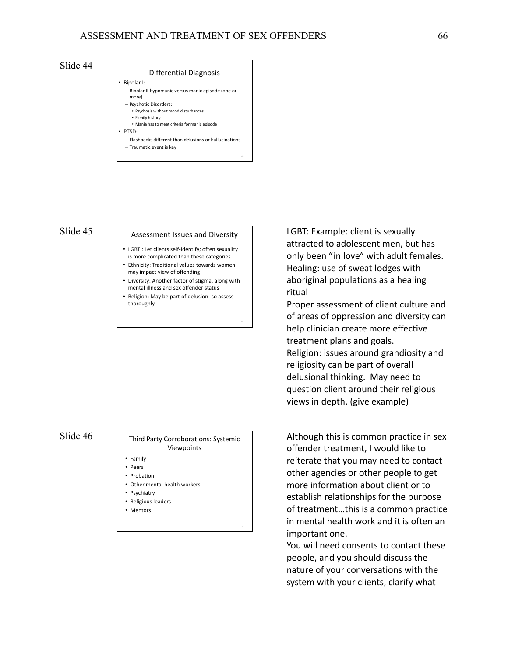#### Differential Diagnosis

- Bipolar I:
- Bipolar II-hypomanic versus manic episode (one or more)
- Psychotic Disorders:
- Psychosis without mood disturbances
- Family history • Mania has to meet criteria for manic episode
- PTSD:
- Flashbacks different than delusions or hallucinations
- Traumatic event is key

## Slide 45 Assessment Issues and Diversity

- LGBT : Let clients self-identify; often sexuality is more complicated than these categories
- Ethnicity: Traditional values towards women may impact view of offending
- Diversity: Another factor of stigma, along with mental illness and sex offender status
- Religion: May be part of delusion- so assess thoroughly

## Slide 46 Third Party Corroborations: Systemic Viewpoints

- 
- Family • Peers
- Probation
- Other mental health workers
- Psychiatry
- Religious leaders
- Mentors

LGBT: Example: client is sexually attracted to adolescent men, but has only been "in love" with adult females. Healing: use of sweat lodges with aboriginal populations as a healing ritual

Proper assessment of client culture and of areas of oppression and diversity can help clinician create more effective treatment plans and goals. Religion: issues around grandiosity and religiosity can be part of overall delusional thinking. May need to question client around their religious views in depth. (give example)

Although this is common practice in sex offender treatment, I would like to reiterate that you may need to contact other agencies or other people to get more information about client or to establish relationships for the purpose of treatment…this is a common practice in mental health work and it is often an important one.

You will need consents to contact these people, and you should discuss the nature of your conversations with the system with your clients, clarify what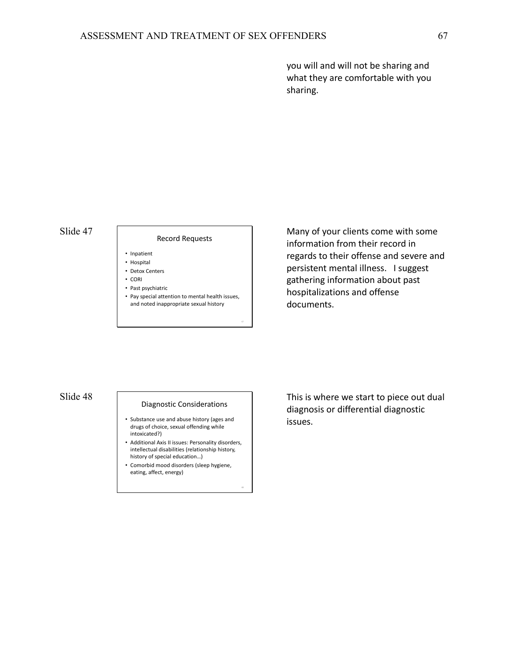you will and will not be sharing and what they are comfortable with you sharing.

Slide 47

### Record Requests

- Inpatient
- Hospital
- Detox Centers • CORI
- Past psychiatric
- Pay special attention to mental health issues, and noted inappropriate sexual history

Many of your clients come with some information from their record in regards to their offense and severe and persistent mental illness. I suggest gathering information about past hospitalizations and offense documents.

### Slide 48

#### Diagnostic Considerations

- Substance use and abuse history (ages and drugs of choice, sexual offending while intoxicated?)
- Additional Axis II issues: Personality disorders, intellectual disabilities (relationship history, history of special education…)
- Comorbid mood disorders (sleep hygiene, eating, affect, energy)

This is where we start to piece out dual diagnosis or differential diagnostic issues.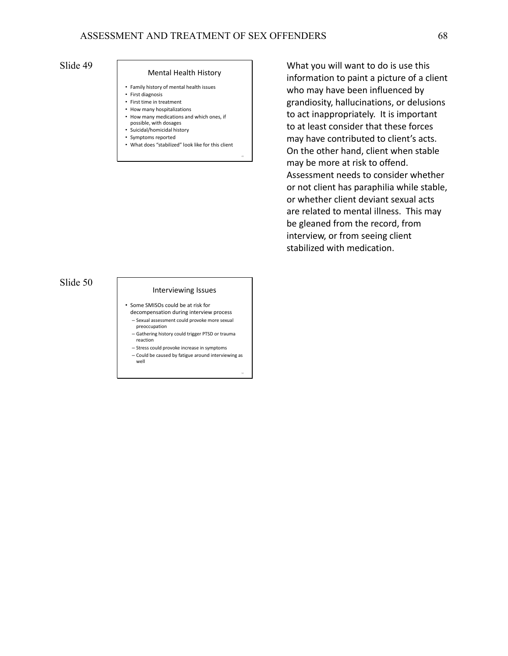#### Mental Health History

- Family history of mental health issues
- First diagnosis
- First time in treatment • How many hospitalizations
- How many medications and which ones, if
- possible, with dosages
- Suicidal/homicidal history
- Symptoms reported
- What does "stabilized" look like for this client

### Slide 50

#### Interviewing Issues

- Some SMISOs could be at risk for decompensation during interview process
	- Sexual assessment could provoke more sexual preoccupation
	- Gathering history could trigger PTSD or trauma reaction
	- Stress could provoke increase in symptoms – Could be caused by fatigue around interviewing as
	- well

What you will want to do is use this information to paint a picture of a client who may have been influenced by grandiosity, hallucinations, or delusions to act inappropriately. It is important to at least consider that these forces may have contributed to client's acts. On the other hand, client when stable may be more at risk to offend. Assessment needs to consider whether or not client has paraphilia while stable, or whether client deviant sexual acts are related to mental illness. This may be gleaned from the record, from interview, or from seeing client stabilized with medication.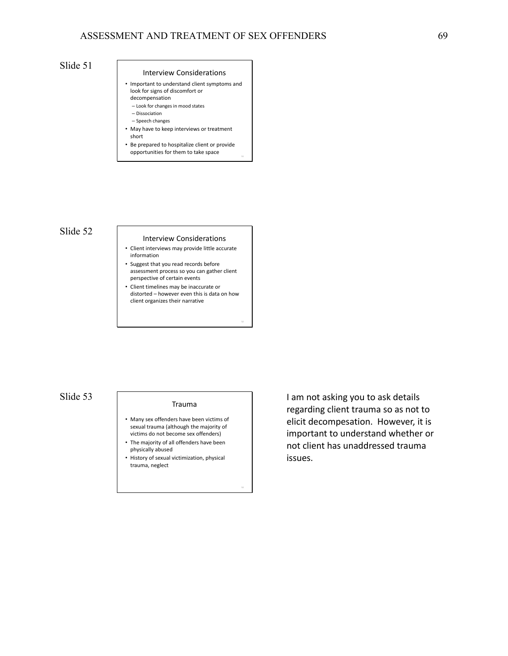#### Interview Considerations

- Important to understand client symptoms and look for signs of discomfort or decompensation
- Look for changes in mood states
- Dissociation
- Speech changes
- May have to keep interviews or treatment short
- Be prepared to hospitalize client or provide opportunities for them to take space

### Slide 52

#### Interview Considerations

- Client interviews may provide little accurate information
- Suggest that you read records before assessment process so you can gather client perspective of certain events
- Client timelines may be inaccurate or distorted – however even this is data on how client organizes their narrative

### Slide 53

#### Trauma

- Many sex offenders have been victims of sexual trauma (although the majority of victims do not become sex offenders)
- The majority of all offenders have been physically abused
- History of sexual victimization, physical trauma, neglect

I am not asking you to ask details regarding client trauma so as not to elicit decompesation. However, it is important to understand whether or not client has unaddressed trauma issues.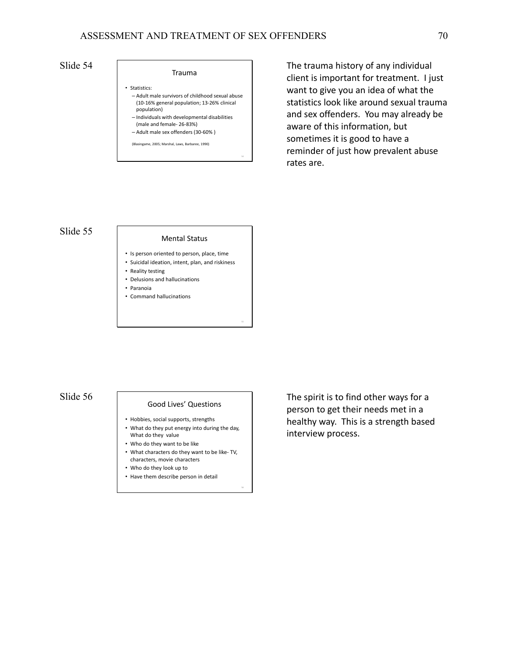• Statistics: – Adult male survivors of childhood sexual abuse (10-16% general population; 13-26% clinical population)

Trauma

- Individuals with developmental disabilities (male and female- 26-83%)
- Adult male sex offenders (30-60% )
- (Blasingame, 2005; Marshal, Laws, Barbaree, 1990)

The trauma history of any individual client is important for treatment. I just want to give you an idea of what the statistics look like around sexual trauma and sex offenders. You may already be aware of this information, but sometimes it is good to have a reminder of just how prevalent abuse rates are.

### Slide 55

#### Mental Status

- Is person oriented to person, place, time
- Suicidal ideation, intent, plan, and riskiness
- Reality testing
- Delusions and hallucinations
- Paranoia
- Command hallucinations

### Slide 56

### Good Lives' Questions

- Hobbies, social supports, strengths
- What do they put energy into during the day, What do they value
- Who do they want to be like
- What characters do they want to be like- TV, characters, movie characters
- Who do they look up to
- Have them describe person in detail

The spirit is to find other ways for a person to get their needs met in a healthy way. This is a strength based interview process.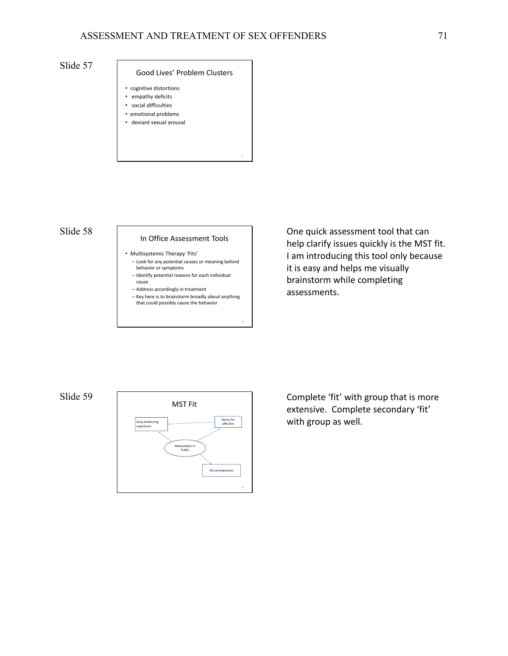#### Good Lives' Problem Clusters

- cognitive distortions
- empathy deficits
- social difficulties
- emotional problems
- deviant sexual arousal

Slide 58

#### In Office Assessment Tools

- Multisystemic Therapy 'Fits'
	- Look for any potential causes or meaning behind behavior or symptoms
	- Identify potential reasons for each individual cause
	- Address accordingly in treatment
	- Key here is to brainstorm broadly about anything that could possibly cause the behavior

One quick assessment tool that can help clarify issues quickly is the MST fit. I am introducing this tool only because it is easy and helps me visually brainstorm while completing assessments.

Slide 59



Complete 'fit' with group that is more extensive. Complete secondary 'fit' with group as well.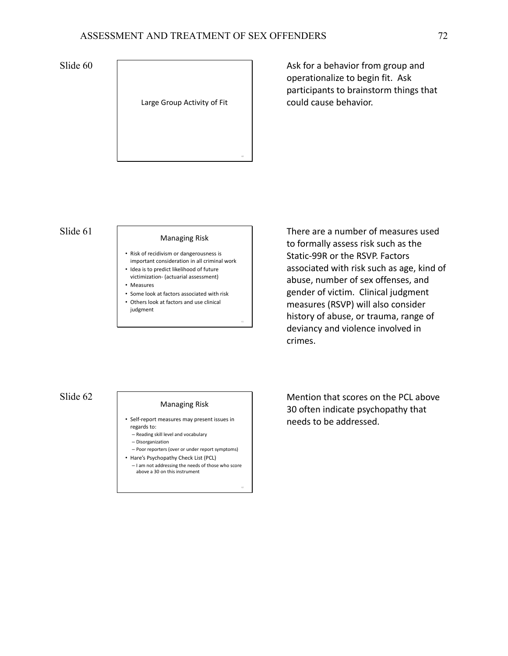Large Group Activity of Fit

Ask for a behavior from group and operationalize to begin fit. Ask participants to brainstorm things that could cause behavior.

Slide 61

#### Managing Risk

- Risk of recidivism or dangerousness is important consideration in all criminal work
- Idea is to predict likelihood of future
- victimization- (actuarial assessment) • Measures
- 
- Some look at factors associated with risk • Others look at factors and use clinical
- judgment

There are a number of measures used to formally assess risk such as the Static-99R or the RSVP. Factors associated with risk such as age, kind of abuse, number of sex offenses, and gender of victim. Clinical judgment measures (RSVP) will also consider history of abuse, or trauma, range of deviancy and violence involved in crimes.

### Slide 62

### Managing Risk

- Self-report measures may present issues in regards to:
	- Reading skill level and vocabulary
	- Disorganization
	- Poor reporters (over or under report symptoms)
- Hare's Psychopathy Check List (PCL)
	- I am not addressing the needs of those who score above a 30 on this instrument

Mention that scores on the PCL above 30 often indicate psychopathy that needs to be addressed.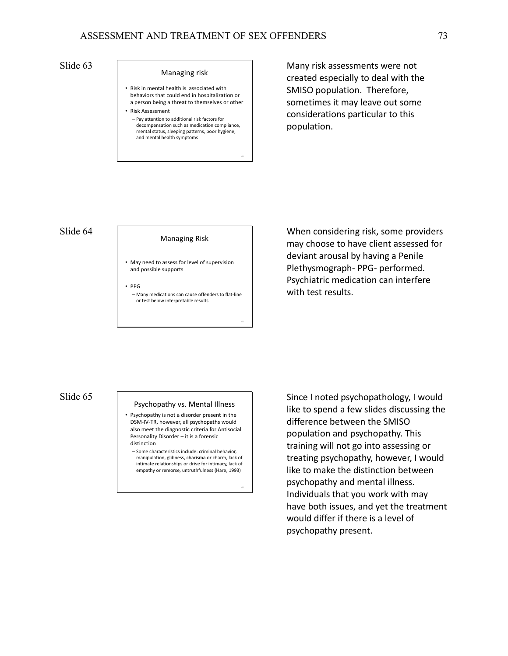#### Managing risk

- Risk in mental health is associated with behaviors that could end in hospitalization or a person being a threat to themselves or other
- Risk Assessment – Pay attention to additional risk factors for decompensation such as medication compliance, mental status, sleeping patterns, poor hygiene, and mental health symptoms

Many risk assessments were not created especially to deal with the SMISO population. Therefore, sometimes it may leave out some considerations particular to this population.

### Slide 64

### Managing Risk

- May need to assess for level of supervision and possible supports
- PPG
- Many medications can cause offenders to flat-line or test below interpretable results

When considering risk, some providers may choose to have client assessed for deviant arousal by having a Penile Plethysmograph- PPG- performed. Psychiatric medication can interfere with test results.

### Slide 65

#### Psychopathy vs. Mental Illness

- Psychopathy is not a disorder present in the DSM-IV-TR, however, all psychopaths would also meet the diagnostic criteria for Antisocial Personality Disorder – it is a forensic distinction
	- Some characteristics include: criminal behavior, manipulation, glibness, charisma or charm, lack of intimate relationships or drive for intimacy, lack of empathy or remorse, untruthfulness (Hare, 1993)

Since I noted psychopathology, I would like to spend a few slides discussing the difference between the SMISO population and psychopathy. This training will not go into assessing or treating psychopathy, however, I would like to make the distinction between psychopathy and mental illness. Individuals that you work with may have both issues, and yet the treatment would differ if there is a level of psychopathy present.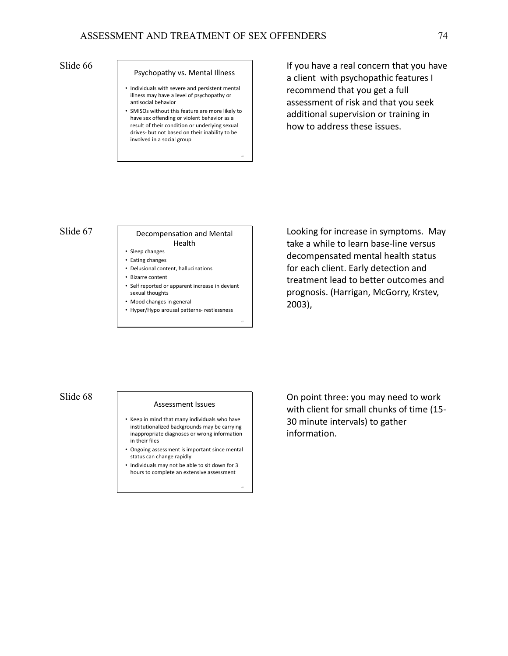#### Psychopathy vs. Mental Illness

- Individuals with severe and persistent mental illness may have a level of psychopathy or antisocial behavior
- SMISOs without this feature are more likely to have sex offending or violent behavior as a result of their condition or underlying sexual drives- but not based on their inability to be involved in a social group

If you have a real concern that you have a client with psychopathic features I recommend that you get a full assessment of risk and that you seek additional supervision or training in how to address these issues.

### Slide 67 Decompensation and Mental Health

- Sleep changes
- Eating changes
- Delusional content, hallucinations
- Bizarre content
- Self reported or apparent increase in deviant sexual thoughts
- Mood changes in general
- Hyper/Hypo arousal patterns- restlessness

Looking for increase in symptoms. May take a while to learn base-line versus decompensated mental health status for each client. Early detection and treatment lead to better outcomes and prognosis. (Harrigan, McGorry, Krstev, 2003),

### Slide 68

#### Assessment Issues

- Keep in mind that many individuals who have institutionalized backgrounds may be carrying inappropriate diagnoses or wrong information in their files
- Ongoing assessment is important since mental status can change rapidly
- Individuals may not be able to sit down for 3 hours to complete an extensive assessment

On point three: you may need to work with client for small chunks of time (15- 30 minute intervals) to gather information.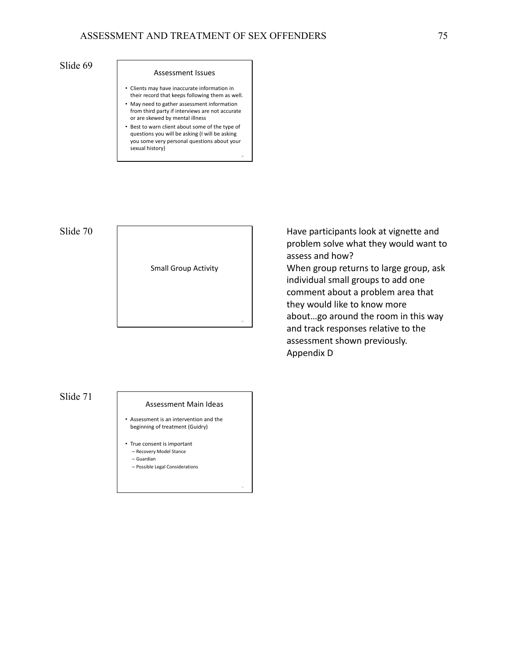#### Assessment Issues

- Clients may have inaccurate information in their record that keeps following them as well.
- May need to gather assessment information from third party if interviews are not accurate or are skewed by mental illness
- Best to warn client about some of the type of questions you will be asking (I will be asking you some very personal questions about your sexual history)



Slide 71

#### Assessment Main Ideas

- Assessment is an intervention and the beginning of treatment (Guidry)
- True consent is important
	- Recovery Model Stance
	- Guardian
	- Possible Legal Considerations

Have participants look at vignette and problem solve what they would want to assess and how? When group returns to large group, ask individual small groups to add one comment about a problem area that they would like to know more about…go around the room in this way and track responses relative to the assessment shown previously. Appendix D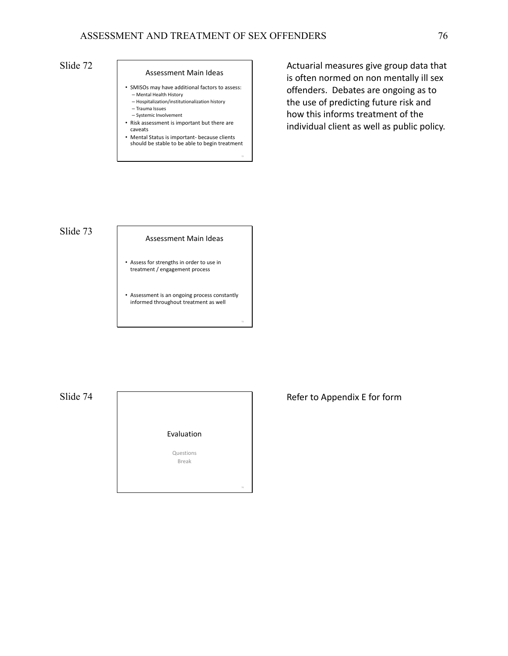### Assessment Main Ideas

- SMISOs may have additional factors to assess: – Mental Health History
- Hospitalization/institutionalization history – Trauma Issues
- Systemic Involvement
- Risk assessment is important but there are caveats
- Mental Status is important- because clients should be stable to be able to begin treatment

Actuarial measures give group data that is often normed on non mentally ill sex offenders. Debates are ongoing as to the use of predicting future risk and how this informs treatment of the individual client as well as public policy.

### Slide 73

### Assessment Main Ideas

- Assess for strengths in order to use in treatment / engagement process
- Assessment is an ongoing process constantly informed throughout treatment as well

Slide 74



Refer to Appendix E for form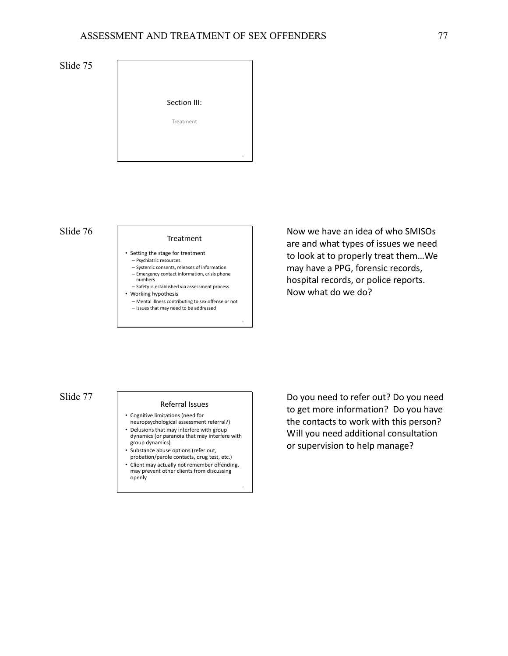| Section III: |    |
|--------------|----|
| Treatment    |    |
|              | 75 |

Slide 76

#### **Treatment**

- Setting the stage for treatment
- Psychiatric resources
- Systemic consents, releases of information – Emergency contact information, crisis phone
- numbers
- Safety is established via assessment process
- Working hypothesis
- Mental illness contributing to sex offense or not
- Issues that may need to be addressed

Now we have an idea of who SMISOs are and what types of issues we need to look at to properly treat them…We may have a PPG, forensic records, hospital records, or police reports. Now what do we do?

Slide 77

### Referral Issues

- Cognitive limitations (need for neuropsychological assessment referral?)
- Delusions that may interfere with group dynamics (or paranoia that may interfere with group dynamics)
- Substance abuse options (refer out,
- probation/parole contacts, drug test, etc.)
- Client may actually not remember offending, may prevent other clients from discussing openly

Do you need to refer out? Do you need to get more information? Do you have the contacts to work with this person? Will you need additional consultation or supervision to help manage?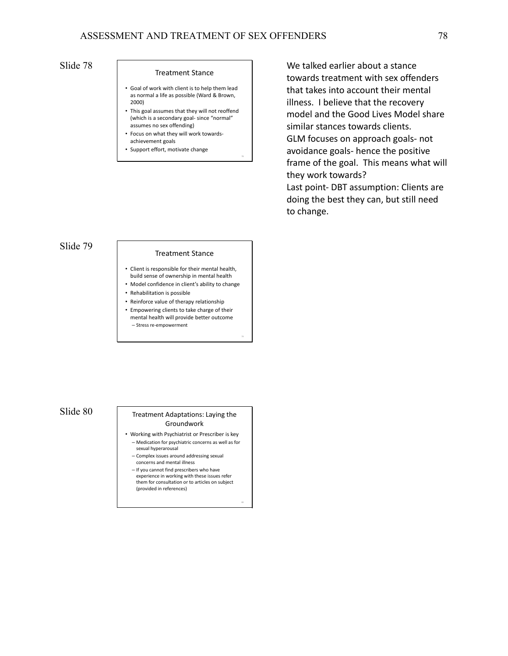#### Treatment Stance

- Goal of work with client is to help them lead as normal a life as possible (Ward & Brown, 2000)
- This goal assumes that they will not reoffend (which is a secondary goal- since "normal" assumes no sex offending)
- Focus on what they will work towardsachievement goals
- Support effort, motivate change

### Slide 79

#### Treatment Stance

- Client is responsible for their mental health, build sense of ownership in mental health
- Model confidence in client's ability to change
- Rehabilitation is possible
- Reinforce value of therapy relationship
- Empowering clients to take charge of their mental health will provide better outcome – Stress re-empowerment

We talked earlier about a stance towards treatment with sex offenders that takes into account their mental illness. I believe that the recovery model and the Good Lives Model share similar stances towards clients. GLM focuses on approach goals- not avoidance goals- hence the positive frame of the goal. This means what will they work towards? Last point- DBT assumption: Clients are doing the best they can, but still need

to change.

### Slide 80 Treatment Adaptations: Laying the Groundwork

- Working with Psychiatrist or Prescriber is key – Medication for psychiatric concerns as well as for
	- sexual hyperarousal – Complex issues around addressing sexual concerns and mental illness
	- If you cannot find prescribers who have experience in working with these issues refer them for consultation or to articles on subject (provided in references)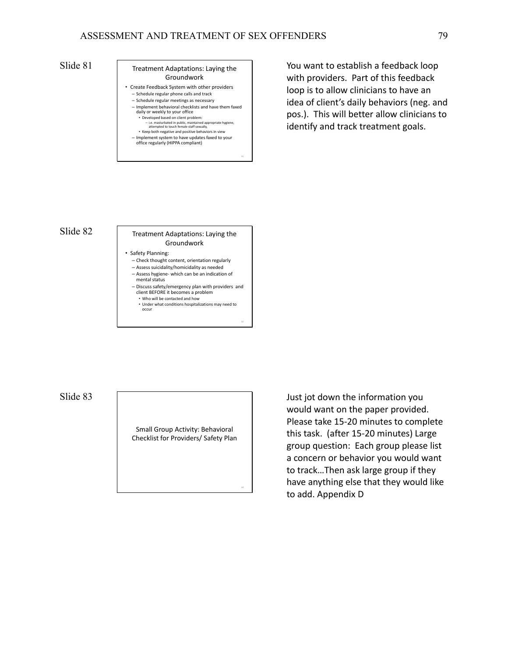### Slide 81 Treatment Adaptations: Laying the Groundwork

- Create Feedback System with other providers
- Schedule regular phone calls and track
- Schedule regular meetings as necessary – Implement behavioral checklists and have them faxed daily or weekly to your office
	- Developed based on client problem:
	- i.e. masturbated in public, maintained appropriate hygiene, attempted to touch female staff sexually, Keep both negative and positive behaviors in view
	- Implement system to have updates faxed to your
- office regularly (HIPPA compliant)

You want to establish a feedback loop with providers. Part of this feedback loop is to allow clinicians to have an idea of client's daily behaviors (neg. and pos.). This will better allow clinicians to identify and track treatment goals.

### Slide 82 **Treatment Adaptations: Laying the** Groundwork

- Safety Planning:
	- Check thought content, orientation regularly
	- Assess suicidality/homicidality as needed – Assess hygiene- which can be an indication of
	- mental status
	- Discuss safety/emergency plan with providers and client BEFORE it becomes a problem • Who will be contacted and how
	- Under what conditions hospitalizations may need to occur

Slide 83

Small Group Activity: Behavioral Checklist for Providers/ Safety Plan

Just jot down the information you would want on the paper provided. Please take 15-20 minutes to complete this task. (after 15-20 minutes) Large group question: Each group please list a concern or behavior you would want to track…Then ask large group if they have anything else that they would like to add. Appendix D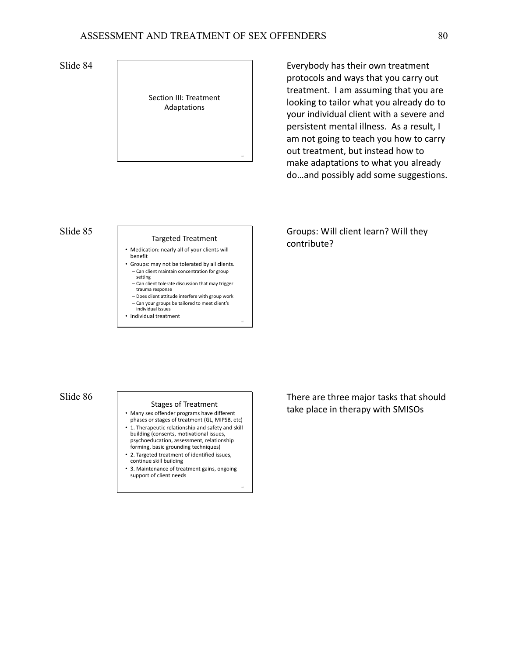Section III: Treatment Adaptations

Everybody has their own treatment protocols and ways that you carry out treatment. I am assuming that you are looking to tailor what you already do to your individual client with a severe and persistent mental illness. As a result, I am not going to teach you how to carry out treatment, but instead how to make adaptations to what you already do…and possibly add some suggestions.

Slide 85

#### Targeted Treatment

- Medication: nearly all of your clients will benefit
- Groups: may not be tolerated by all clients. – Can client maintain concentration for group setting
	- Can client tolerate discussion that may trigger trauma response
	- Does client attitude interfere with group work – Can your groups be tailored to meet client's individual issues

85

86

• Individual treatment

Groups: Will client learn? Will they contribute?

# Slide 86

#### Stages of Treatment

- Many sex offender programs have different phases or stages of treatment (GL, MIPSB, etc)
- 1. Therapeutic relationship and safety and skill building (consents, motivational issues, psychoeducation, assessment, relationship forming, basic grounding techniques)
- 2. Targeted treatment of identified issues, continue skill building
- 3. Maintenance of treatment gains, ongoing support of client needs

There are three major tasks that should take place in therapy with SMISOs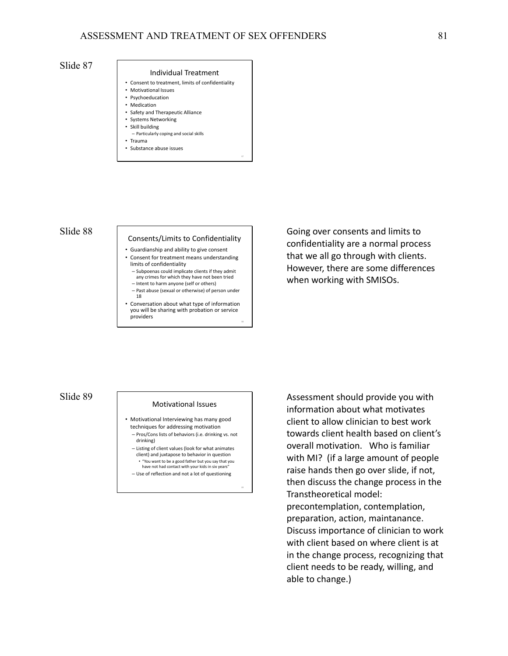#### Individual Treatment

- Consent to treatment, limits of confidentiality
- Motivational Issues • Psychoeducation
- Medication
- Safety and Therapeutic Alliance
- Systems Networking
- Skill building
- Particularly coping and social skills
- Trauma
- Substance abuse issues

### Slide 88

#### Consents/Limits to Confidentiality

- Guardianship and ability to give consent • Consent for treatment means understanding limits of confidentiality
- Subpoenas could implicate clients if they admit any crimes for which they have not been tried
- Intent to harm anyone (self or others) – Past abuse (sexual or otherwise) of person under 18
- Conversation about what type of information you will be sharing with probation or service providers

Going over consents and limits to confidentiality are a normal process that we all go through with clients. However, there are some differences when working with SMISOs.

### Slide 89

#### Motivational Issues

- Motivational Interviewing has many good techniques for addressing motivation – Pros/Cons lists of behaviors (i.e. drinking vs. not
	- drinking) – Listing of client values (look for what animates client) and juxtapose to behavior in question • "You want to be a good father but you say that you have not had contact with your kids in six years"
	- Use of reflection and not a lot of questioning

Assessment should provide you with information about what motivates client to allow clinician to best work towards client health based on client's overall motivation. Who is familiar with MI? (if a large amount of people raise hands then go over slide, if not, then discuss the change process in the Transtheoretical model: precontemplation, contemplation, preparation, action, maintanance. Discuss importance of clinician to work with client based on where client is at in the change process, recognizing that client needs to be ready, willing, and able to change.)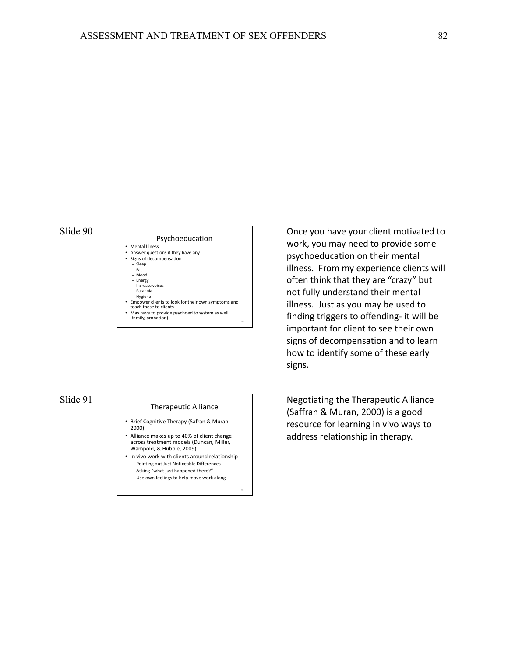#### Psychoeducation

- Mental Illness • Answer questions if they have any
- Signs of decompensation
	- Sleep Eat
- Mood
- Energy Increase voices
- Paranoia
- Hygiene
- Empower clients to look for their own symptoms and teach these to clients • May have to provide psychoed to system as well (family, probation)

### Slide 91

### Therapeutic Alliance

- Brief Cognitive Therapy (Safran & Muran, 2000)
- Alliance makes up to 40% of client change across treatment models (Duncan, Miller, Wampold, & Hubble, 2009)
- In vivo work with clients around relationship – Pointing out Just Noticeable Differences
	- Asking "what just happened there?"
	- Use own feelings to help move work along

Once you have your client motivated to work, you may need to provide some psychoeducation on their mental illness. From my experience clients will often think that they are "crazy" but not fully understand their mental illness. Just as you may be used to finding triggers to offending- it will be important for client to see their own signs of decompensation and to learn how to identify some of these early signs.

Negotiating the Therapeutic Alliance (Saffran & Muran, 2000) is a good resource for learning in vivo ways to address relationship in therapy.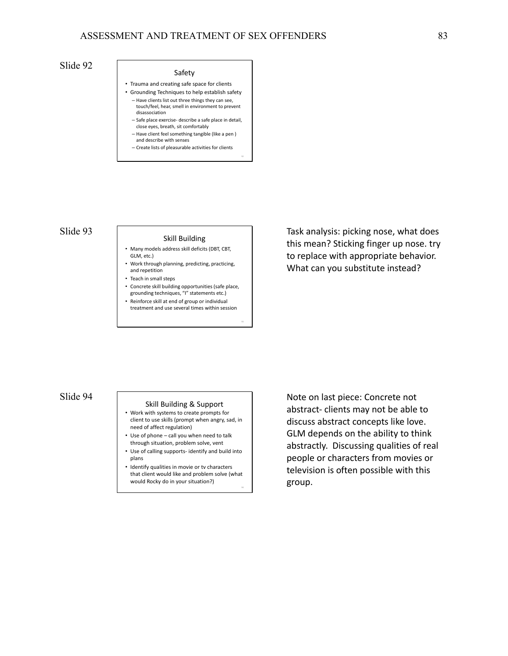#### Safety

- Trauma and creating safe space for clients
- Grounding Techniques to help establish safety – Have clients list out three things they can see, touch/feel, hear, smell in environment to prevent
- disassociation – Safe place exercise- describe a safe place in detail, close eyes, breath, sit comfortably
- Have client feel something tangible (like a pen )
- and describe with senses
- Create lists of pleasurable activities for clients

### Slide 93

#### Skill Building

- Many models address skill deficits (DBT, CBT, GLM, etc.)
- Work through planning, predicting, practicing, and repetition
- Teach in small steps
- Concrete skill building opportunities (safe place, grounding techniques, "I" statements etc.)
- Reinforce skill at end of group or individual treatment and use several times within session

Task analysis: picking nose, what does this mean? Sticking finger up nose. try to replace with appropriate behavior. What can you substitute instead?

### Slide 94

#### Skill Building & Support

- Work with systems to create prompts for client to use skills (prompt when angry, sad, in need of affect regulation)
- Use of phone call you when need to talk through situation, problem solve, vent
- Use of calling supports- identify and build into plans
- Identify qualities in movie or tv characters that client would like and problem solve (what would Rocky do in your situation?)

Note on last piece: Concrete not abstract- clients may not be able to discuss abstract concepts like love. GLM depends on the ability to think abstractly. Discussing qualities of real people or characters from movies or television is often possible with this group.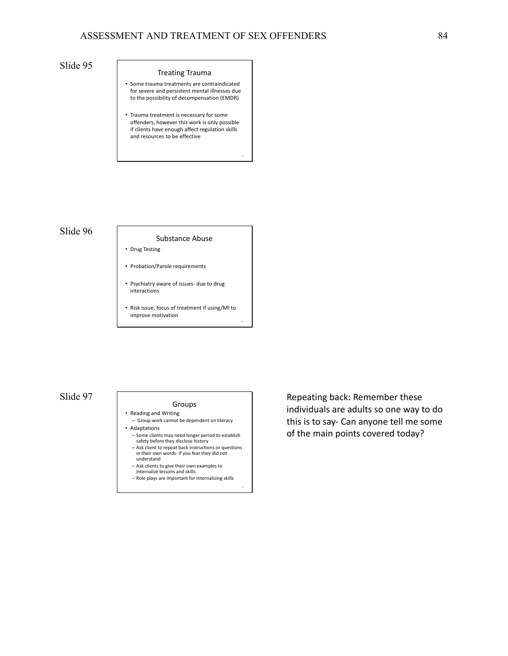#### Treating Trauma

- Some trauma treatments are contraindicated for severe and persistent mental illnesses due to the possibility of decompensation (EMDR)
- Trauma treatment is necessary for some offenders, however this work is only possible if clients have enough affect regulation skills and resources to be effective

### Slide 96

#### Substance Abuse

• Drug Testing

- Probation/Parole requirements
- Psychiatry aware of issues- due to drug interactions
- Risk issue, focus of treatment if using/MI to improve motivation

96

### Slide 97

### Groups

- Reading and Writing – Group work cannot be dependent on literacy
- Adaptations
	- Some clients may need longer period to establish safety before they disclose history
	- Ask client to repeat back instructions or questions in their own words- if you fear they did not understand
	- Ask clients to give their own examples to internalize lessons and skills
	- Role plays are important for internalizing skills

Repeating back: Remember these individuals are adults so one way to do this is to say- Can anyone tell me some of the main points covered today?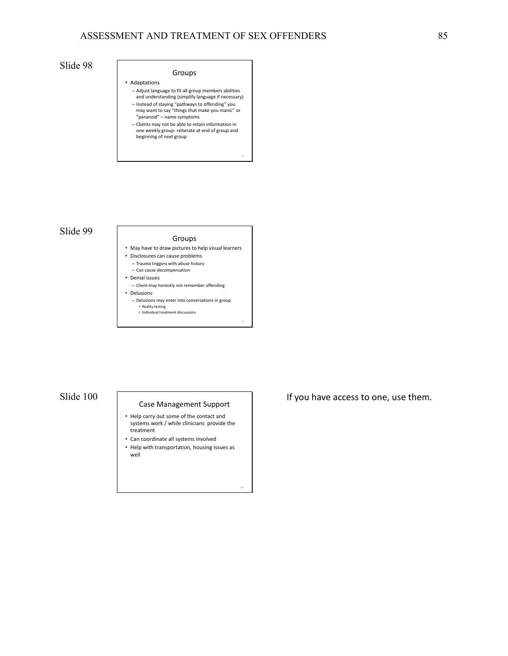### Groups • Adaptations

- Adjust language to fit all group members abilities and understanding (simplify language if necessary) – Instead of staying "pathways to offending" you
- may want to say "things that make you manic" or "paranoid" name symptoms
- Clients may not be able to retain information in one weekly group- reiterate at end of group and beginning of next group

### Slide 99

#### Groups

- May have to draw pictures to help visual learners
- Disclosures can cause problems
	- Trauma triggers with abuse history – Can cause decompensation
- Denial issues
- Client may honestly not remember offending
- Delusions
	- Delusions may enter into conversations in group • Reality testing • Individual treatment discussions

99

100

## Slide 100

#### Case Management Support

- Help carry out some of the contact and systems work / while clinicians provide the treatment
- Can coordinate all systems involved
- Help with transportation, housing issues as well

If you have access to one, use them.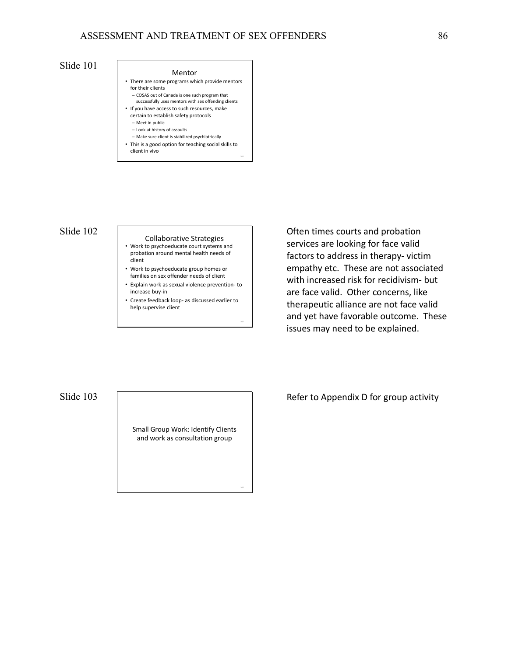101

102

### Slide 101

- Mentor
- There are some programs which provide mentors for their clients
- COSAS out of Canada is one such program that successfully uses mentors with sex offending clients
- If you have access to such resources, make
- certain to establish safety protocols
	- Meet in public
- Look at history of assaults
- Make sure client is stabilized psychiatrically • This is a good option for teaching social skills to client in vivo

# Slide 102

# Collaborative Strategies • Work to psychoeducate court systems and

- probation around mental health needs of client
- Work to psychoeducate group homes or families on sex offender needs of client
- Explain work as sexual violence prevention- to increase buy-in
- Create feedback loop- as discussed earlier to help supervise client

Often times courts and probation services are looking for face valid factors to address in therapy- victim empathy etc. These are not associated with increased risk for recidivism- but are face valid. Other concerns, like therapeutic alliance are not face valid and yet have favorable outcome. These issues may need to be explained.

Slide 103

Small Group Work: Identify Clients and work as consultation group

Refer to Appendix D for group activity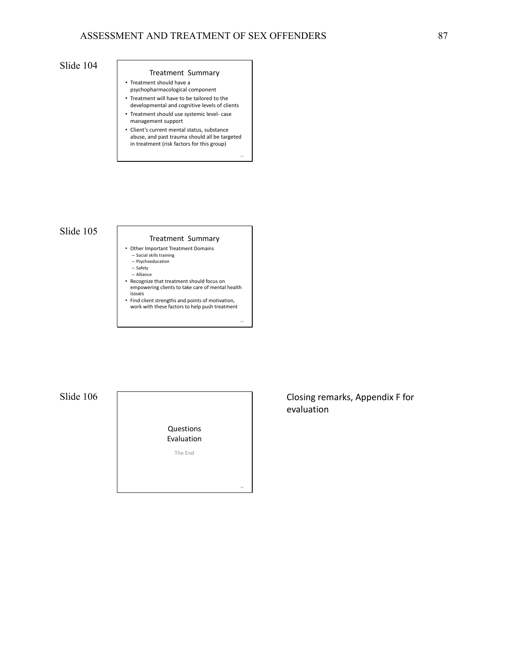#### Treatment Summary

- Treatment should have a psychopharmacological component
- Treatment will have to be tailored to the developmental and cognitive levels of clients
- Treatment should use systemic level- case management support
- Client's current mental status, substance abuse, and past trauma should all be targeted in treatment (risk factors for this group)

104

105

106

### Slide 105

#### Treatment Summary

- Other Important Treatment Domains
	- Social skills training
	- Psychoeducation – Safety
- Alliance
- Recognize that treatment should focus on
- empowering clients to take care of mental health issues • Find client strengths and points of motivation,
- work with these factors to help push treatment

Slide 106



Closing remarks, Appendix F for evaluation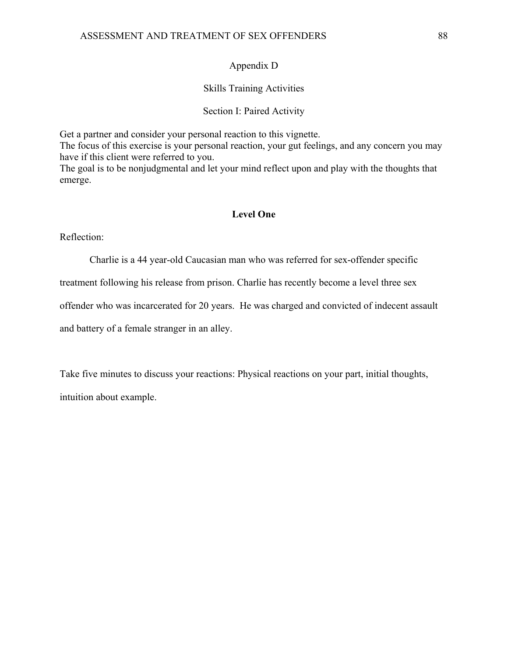### Appendix D

### Skills Training Activities

### Section I: Paired Activity

Get a partner and consider your personal reaction to this vignette. The focus of this exercise is your personal reaction, your gut feelings, and any concern you may have if this client were referred to you. The goal is to be nonjudgmental and let your mind reflect upon and play with the thoughts that emerge.

### **Level One**

Reflection:

Charlie is a 44 year-old Caucasian man who was referred for sex-offender specific

treatment following his release from prison. Charlie has recently become a level three sex

offender who was incarcerated for 20 years. He was charged and convicted of indecent assault

and battery of a female stranger in an alley.

Take five minutes to discuss your reactions: Physical reactions on your part, initial thoughts, intuition about example.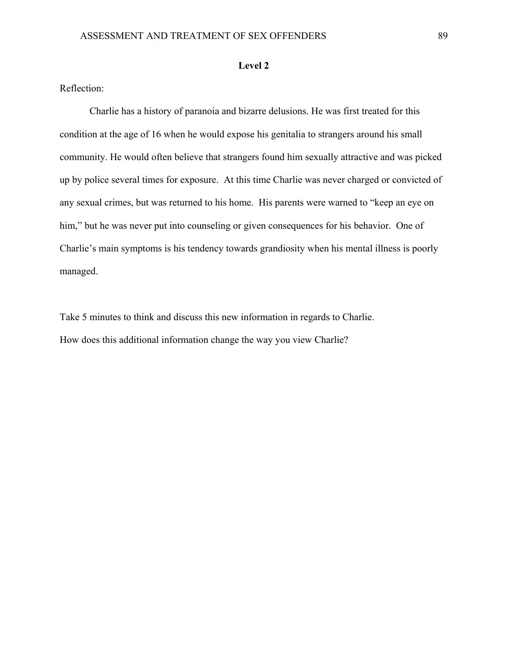### **Level 2**

Reflection:

Charlie has a history of paranoia and bizarre delusions. He was first treated for this condition at the age of 16 when he would expose his genitalia to strangers around his small community. He would often believe that strangers found him sexually attractive and was picked up by police several times for exposure. At this time Charlie was never charged or convicted of any sexual crimes, but was returned to his home. His parents were warned to "keep an eye on him," but he was never put into counseling or given consequences for his behavior. One of Charlie's main symptoms is his tendency towards grandiosity when his mental illness is poorly managed.

Take 5 minutes to think and discuss this new information in regards to Charlie. How does this additional information change the way you view Charlie?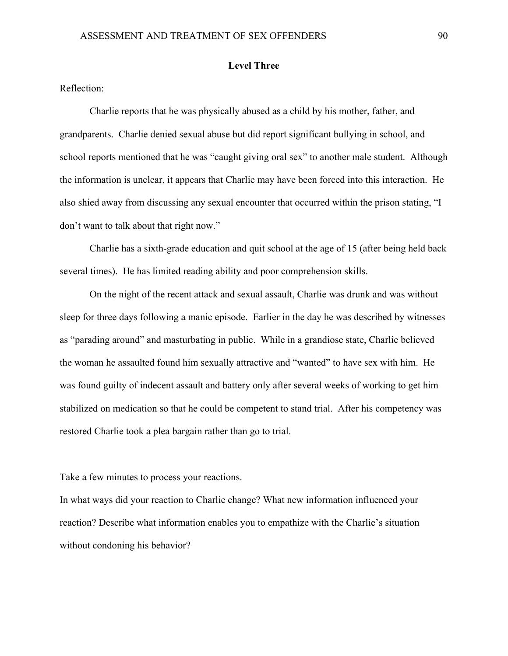### **Level Three**

Reflection:

Charlie reports that he was physically abused as a child by his mother, father, and grandparents. Charlie denied sexual abuse but did report significant bullying in school, and school reports mentioned that he was "caught giving oral sex" to another male student. Although the information is unclear, it appears that Charlie may have been forced into this interaction. He also shied away from discussing any sexual encounter that occurred within the prison stating, "I don't want to talk about that right now."

Charlie has a sixth-grade education and quit school at the age of 15 (after being held back several times). He has limited reading ability and poor comprehension skills.

On the night of the recent attack and sexual assault, Charlie was drunk and was without sleep for three days following a manic episode. Earlier in the day he was described by witnesses as "parading around" and masturbating in public. While in a grandiose state, Charlie believed the woman he assaulted found him sexually attractive and "wanted" to have sex with him. He was found guilty of indecent assault and battery only after several weeks of working to get him stabilized on medication so that he could be competent to stand trial. After his competency was restored Charlie took a plea bargain rather than go to trial.

Take a few minutes to process your reactions.

In what ways did your reaction to Charlie change? What new information influenced your reaction? Describe what information enables you to empathize with the Charlie's situation without condoning his behavior?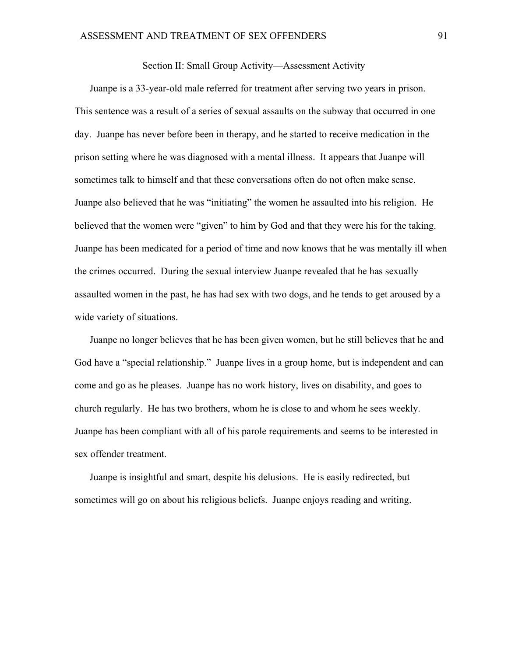### Section II: Small Group Activity—Assessment Activity

Juanpe is a 33-year-old male referred for treatment after serving two years in prison. This sentence was a result of a series of sexual assaults on the subway that occurred in one day. Juanpe has never before been in therapy, and he started to receive medication in the prison setting where he was diagnosed with a mental illness. It appears that Juanpe will sometimes talk to himself and that these conversations often do not often make sense. Juanpe also believed that he was "initiating" the women he assaulted into his religion. He believed that the women were "given" to him by God and that they were his for the taking. Juanpe has been medicated for a period of time and now knows that he was mentally ill when the crimes occurred. During the sexual interview Juanpe revealed that he has sexually assaulted women in the past, he has had sex with two dogs, and he tends to get aroused by a wide variety of situations.

Juanpe no longer believes that he has been given women, but he still believes that he and God have a "special relationship." Juanpe lives in a group home, but is independent and can come and go as he pleases. Juanpe has no work history, lives on disability, and goes to church regularly. He has two brothers, whom he is close to and whom he sees weekly. Juanpe has been compliant with all of his parole requirements and seems to be interested in sex offender treatment.

Juanpe is insightful and smart, despite his delusions. He is easily redirected, but sometimes will go on about his religious beliefs. Juanpe enjoys reading and writing.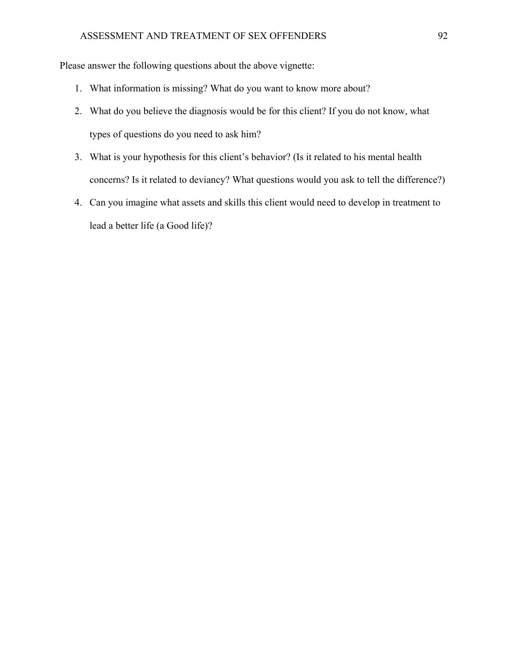Please answer the following questions about the above vignette:

- 1. What information is missing? What do you want to know more about?
- 2. What do you believe the diagnosis would be for this client? If you do not know, what types of questions do you need to ask him?
- 3. What is your hypothesis for this client's behavior? (Is it related to his mental health concerns? Is it related to deviancy? What questions would you ask to tell the difference?)
- 4. Can you imagine what assets and skills this client would need to develop in treatment to lead a better life (a Good life)?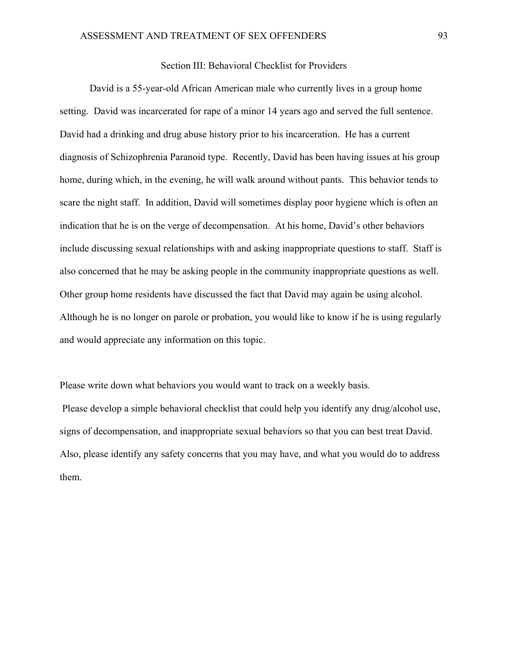### Section III: Behavioral Checklist for Providers

 David is a 55-year-old African American male who currently lives in a group home setting. David was incarcerated for rape of a minor 14 years ago and served the full sentence. David had a drinking and drug abuse history prior to his incarceration. He has a current diagnosis of Schizophrenia Paranoid type. Recently, David has been having issues at his group home, during which, in the evening, he will walk around without pants. This behavior tends to scare the night staff. In addition, David will sometimes display poor hygiene which is often an indication that he is on the verge of decompensation. At his home, David's other behaviors include discussing sexual relationships with and asking inappropriate questions to staff. Staff is also concerned that he may be asking people in the community inappropriate questions as well. Other group home residents have discussed the fact that David may again be using alcohol. Although he is no longer on parole or probation, you would like to know if he is using regularly and would appreciate any information on this topic.

Please write down what behaviors you would want to track on a weekly basis. Please develop a simple behavioral checklist that could help you identify any drug/alcohol use, signs of decompensation, and inappropriate sexual behaviors so that you can best treat David. Also, please identify any safety concerns that you may have, and what you would do to address them.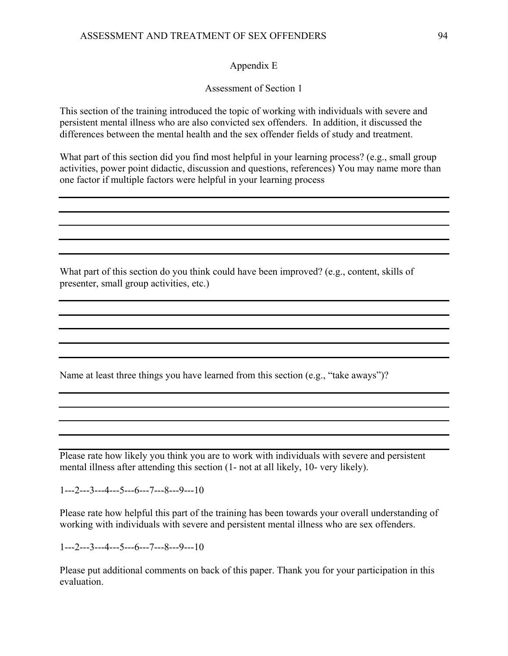## Appendix E

Assessment of Section 1

This section of the training introduced the topic of working with individuals with severe and persistent mental illness who are also convicted sex offenders. In addition, it discussed the differences between the mental health and the sex offender fields of study and treatment.

What part of this section did you find most helpful in your learning process? (e.g., small group activities, power point didactic, discussion and questions, references) You may name more than one factor if multiple factors were helpful in your learning process

What part of this section do you think could have been improved? (e.g., content, skills of presenter, small group activities, etc.)

Name at least three things you have learned from this section (e.g., "take aways")?

Please rate how likely you think you are to work with individuals with severe and persistent mental illness after attending this section (1- not at all likely, 10- very likely).

 $1--2--3--4--5--6--7--8--9--10$ 

Please rate how helpful this part of the training has been towards your overall understanding of working with individuals with severe and persistent mental illness who are sex offenders.

 $1--2--3--4--5--6--7--8--9--10$ 

Please put additional comments on back of this paper. Thank you for your participation in this evaluation.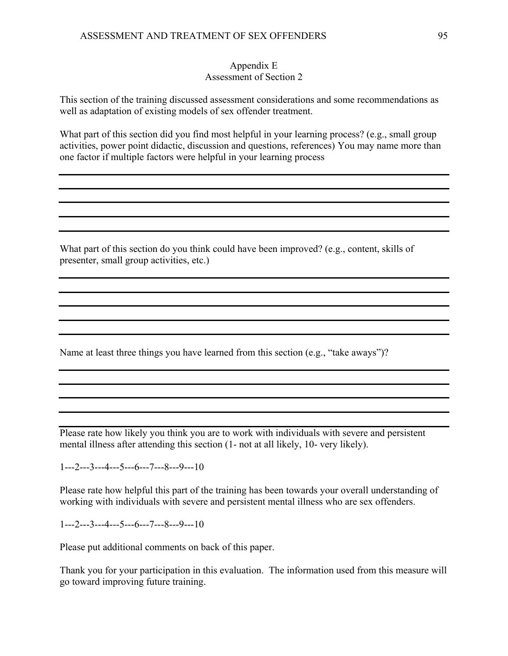### Appendix E Assessment of Section 2

This section of the training discussed assessment considerations and some recommendations as well as adaptation of existing models of sex offender treatment.

What part of this section did you find most helpful in your learning process? (e.g., small group activities, power point didactic, discussion and questions, references) You may name more than one factor if multiple factors were helpful in your learning process

What part of this section do you think could have been improved? (e.g., content, skills of presenter, small group activities, etc.)

Name at least three things you have learned from this section (e.g., "take aways")?

Please rate how likely you think you are to work with individuals with severe and persistent mental illness after attending this section (1- not at all likely, 10- very likely).

 $1--2--3--4--5--6--7--8--9--10$ 

Please rate how helpful this part of the training has been towards your overall understanding of working with individuals with severe and persistent mental illness who are sex offenders.

 $1--2--3--4--5--6--7--8--9--10$ 

Please put additional comments on back of this paper.

Thank you for your participation in this evaluation. The information used from this measure will go toward improving future training.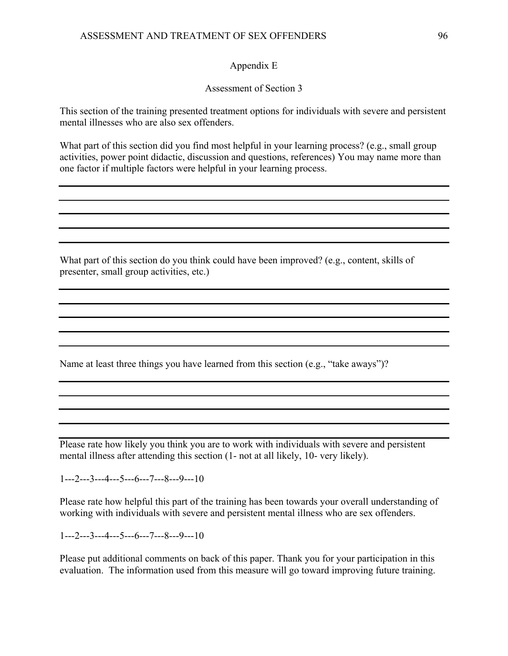## Appendix E

## Assessment of Section 3

This section of the training presented treatment options for individuals with severe and persistent mental illnesses who are also sex offenders.

What part of this section did you find most helpful in your learning process? (e.g., small group activities, power point didactic, discussion and questions, references) You may name more than one factor if multiple factors were helpful in your learning process.

What part of this section do you think could have been improved? (e.g., content, skills of presenter, small group activities, etc.)

Name at least three things you have learned from this section (e.g., "take aways")?

Please rate how likely you think you are to work with individuals with severe and persistent mental illness after attending this section (1- not at all likely, 10- very likely).

1---2---3---4---5---6---7---8---9---10

Please rate how helpful this part of the training has been towards your overall understanding of working with individuals with severe and persistent mental illness who are sex offenders.

 $1--2--3--4--5--6--7--8--9--10$ 

Please put additional comments on back of this paper. Thank you for your participation in this evaluation. The information used from this measure will go toward improving future training.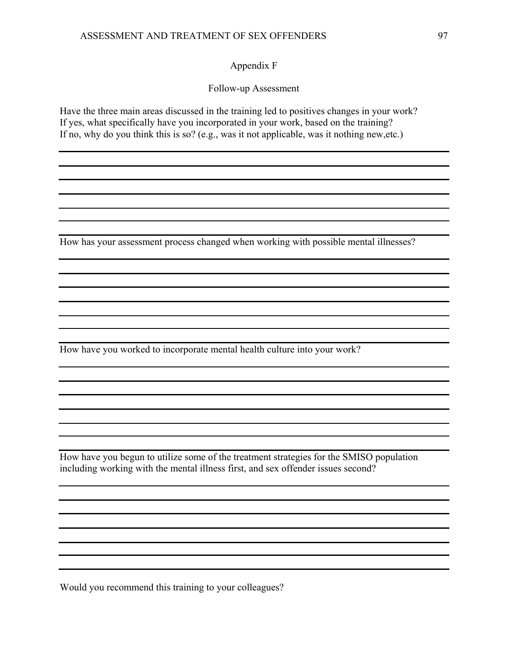Appendix F

Follow-up Assessment

Have the three main areas discussed in the training led to positives changes in your work? If yes, what specifically have you incorporated in your work, based on the training? If no, why do you think this is so? (e.g., was it not applicable, was it nothing new,etc.)

How has your assessment process changed when working with possible mental illnesses?

How have you worked to incorporate mental health culture into your work?

How have you begun to utilize some of the treatment strategies for the SMISO population including working with the mental illness first, and sex offender issues second?

Would you recommend this training to your colleagues?